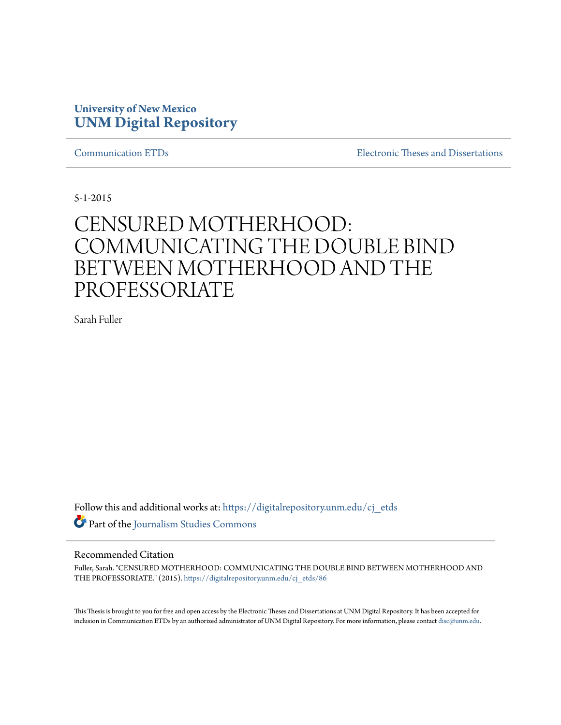# **University of New Mexico [UNM Digital Repository](https://digitalrepository.unm.edu?utm_source=digitalrepository.unm.edu%2Fcj_etds%2F86&utm_medium=PDF&utm_campaign=PDFCoverPages)**

[Communication ETDs](https://digitalrepository.unm.edu/cj_etds?utm_source=digitalrepository.unm.edu%2Fcj_etds%2F86&utm_medium=PDF&utm_campaign=PDFCoverPages) [Electronic Theses and Dissertations](https://digitalrepository.unm.edu/etds?utm_source=digitalrepository.unm.edu%2Fcj_etds%2F86&utm_medium=PDF&utm_campaign=PDFCoverPages)

5-1-2015

# CENSURED MOTHERHOOD: COMMUNICATING THE DOUBLE BIND BETWEEN MOTHERHOOD AND THE PROFESSORIATE

Sarah Fuller

Follow this and additional works at: [https://digitalrepository.unm.edu/cj\\_etds](https://digitalrepository.unm.edu/cj_etds?utm_source=digitalrepository.unm.edu%2Fcj_etds%2F86&utm_medium=PDF&utm_campaign=PDFCoverPages) Part of the [Journalism Studies Commons](http://network.bepress.com/hgg/discipline/333?utm_source=digitalrepository.unm.edu%2Fcj_etds%2F86&utm_medium=PDF&utm_campaign=PDFCoverPages)

# Recommended Citation

Fuller, Sarah. "CENSURED MOTHERHOOD: COMMUNICATING THE DOUBLE BIND BETWEEN MOTHERHOOD AND THE PROFESSORIATE." (2015). [https://digitalrepository.unm.edu/cj\\_etds/86](https://digitalrepository.unm.edu/cj_etds/86?utm_source=digitalrepository.unm.edu%2Fcj_etds%2F86&utm_medium=PDF&utm_campaign=PDFCoverPages)

This Thesis is brought to you for free and open access by the Electronic Theses and Dissertations at UNM Digital Repository. It has been accepted for inclusion in Communication ETDs by an authorized administrator of UNM Digital Repository. For more information, please contact [disc@unm.edu.](mailto:disc@unm.edu)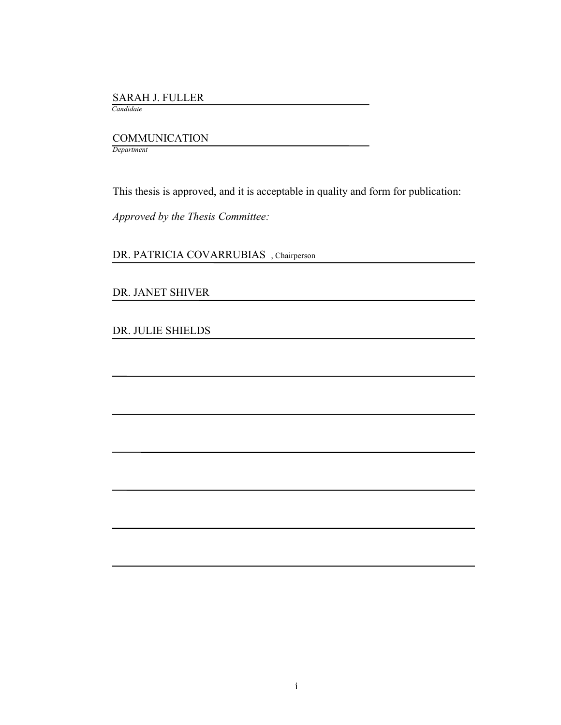#### SARAH J. FULLER

 *Candidate*

 COMMUNICATION *Department*

This thesis is approved, and it is acceptable in quality and form for publication:

*Approved by the Thesis Committee:*

DR. PATRICIA COVARRUBIAS , Chairperson

DR. JANET SHIVER

DR. JULIE SHIELDS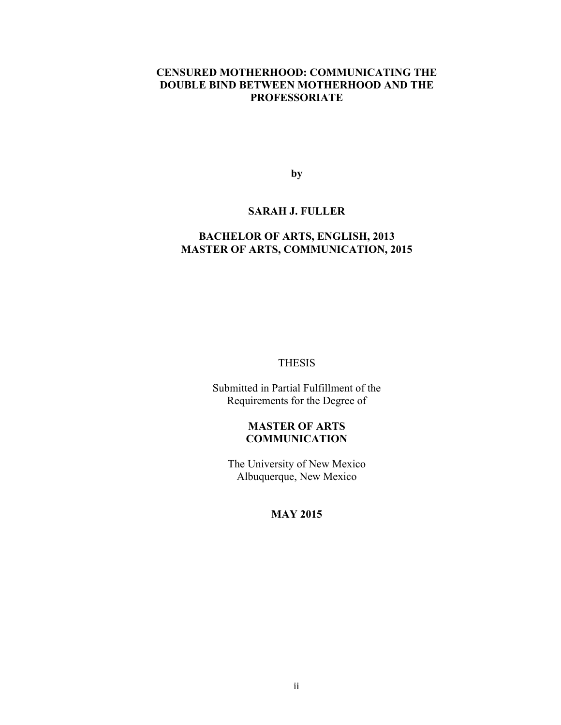# **CENSURED MOTHERHOOD: COMMUNICATING THE DOUBLE BIND BETWEEN MOTHERHOOD AND THE PROFESSORIATE**

**by**

# **SARAH J. FULLER**

# **BACHELOR OF ARTS, ENGLISH, 2013 MASTER OF ARTS, COMMUNICATION, 2015**

# THESIS

Submitted in Partial Fulfillment of the Requirements for the Degree of

# **MASTER OF ARTS COMMUNICATION**

The University of New Mexico Albuquerque, New Mexico

# **MAY 2015**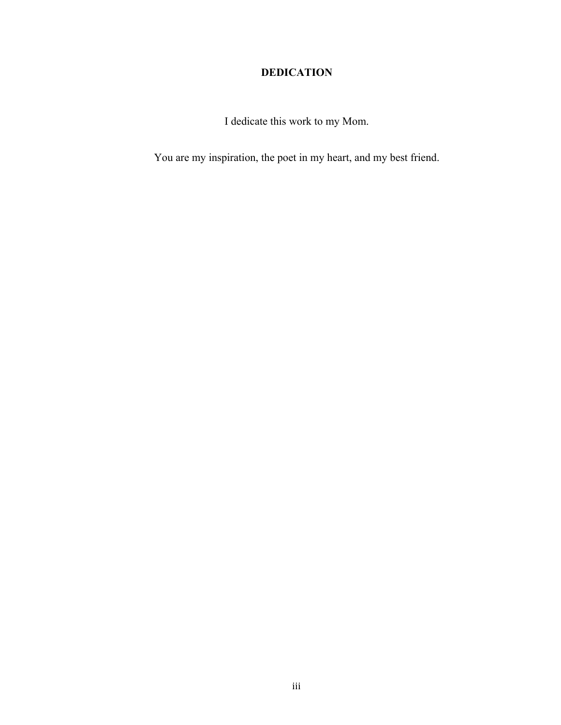# **DEDICATION**

I dedicate this work to my Mom.

You are my inspiration, the poet in my heart, and my best friend.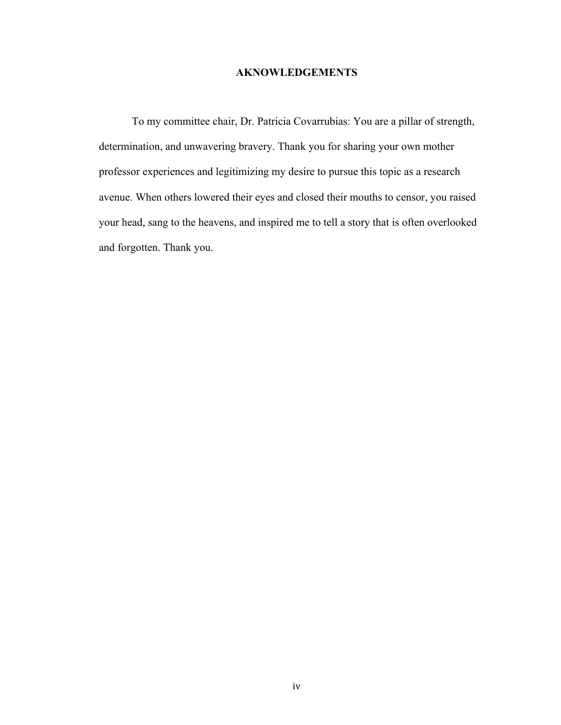# **AKNOWLEDGEMENTS**

To my committee chair, Dr. Patricia Covarrubias: You are a pillar of strength, determination, and unwavering bravery. Thank you for sharing your own mother professor experiences and legitimizing my desire to pursue this topic as a research avenue. When others lowered their eyes and closed their mouths to censor, you raised your head, sang to the heavens, and inspired me to tell a story that is often overlooked and forgotten. Thank you.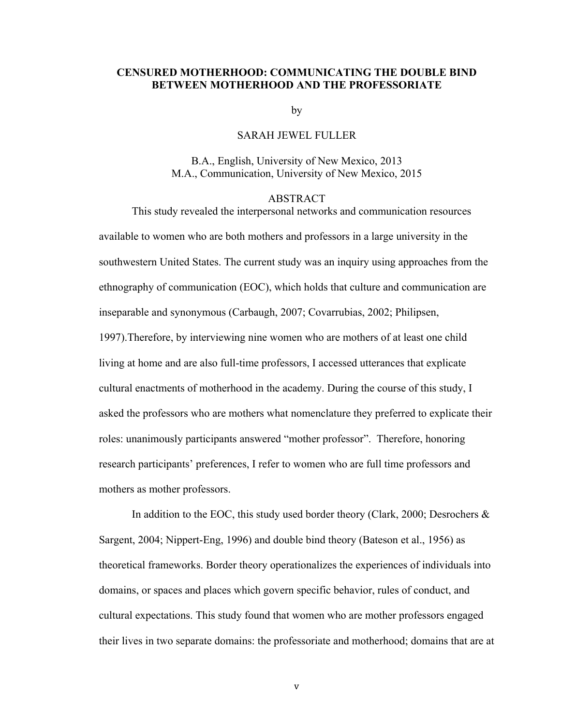# **CENSURED MOTHERHOOD: COMMUNICATING THE DOUBLE BIND BETWEEN MOTHERHOOD AND THE PROFESSORIATE**

by

#### SARAH JEWEL FULLER

B.A., English, University of New Mexico, 2013 M.A., Communication, University of New Mexico, 2015

#### ABSTRACT

This study revealed the interpersonal networks and communication resources available to women who are both mothers and professors in a large university in the southwestern United States. The current study was an inquiry using approaches from the ethnography of communication (EOC), which holds that culture and communication are inseparable and synonymous (Carbaugh, 2007; Covarrubias, 2002; Philipsen, 1997).Therefore, by interviewing nine women who are mothers of at least one child living at home and are also full-time professors, I accessed utterances that explicate cultural enactments of motherhood in the academy. During the course of this study, I asked the professors who are mothers what nomenclature they preferred to explicate their roles: unanimously participants answered "mother professor". Therefore, honoring research participants' preferences, I refer to women who are full time professors and mothers as mother professors.

In addition to the EOC, this study used border theory (Clark, 2000; Desrochers  $\&$ Sargent, 2004; Nippert-Eng, 1996) and double bind theory (Bateson et al., 1956) as theoretical frameworks. Border theory operationalizes the experiences of individuals into domains, or spaces and places which govern specific behavior, rules of conduct, and cultural expectations. This study found that women who are mother professors engaged their lives in two separate domains: the professoriate and motherhood; domains that are at

v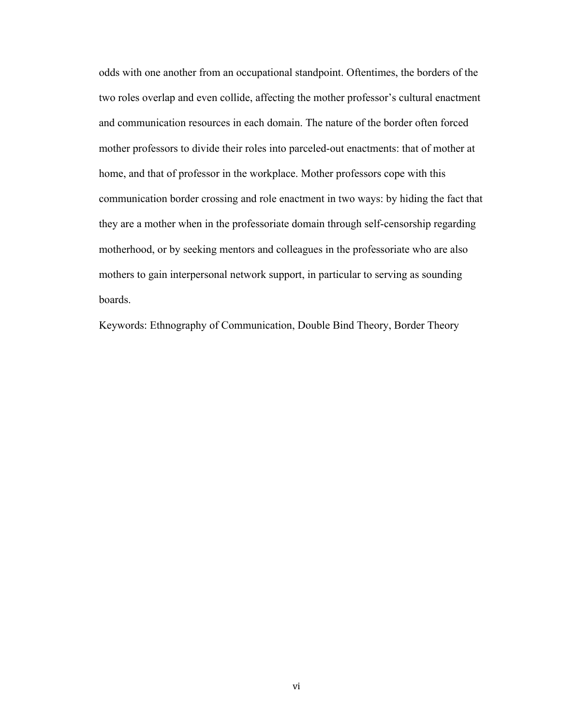odds with one another from an occupational standpoint. Oftentimes, the borders of the two roles overlap and even collide, affecting the mother professor's cultural enactment and communication resources in each domain. The nature of the border often forced mother professors to divide their roles into parceled-out enactments: that of mother at home, and that of professor in the workplace. Mother professors cope with this communication border crossing and role enactment in two ways: by hiding the fact that they are a mother when in the professoriate domain through self-censorship regarding motherhood, or by seeking mentors and colleagues in the professoriate who are also mothers to gain interpersonal network support, in particular to serving as sounding boards.

Keywords: Ethnography of Communication, Double Bind Theory, Border Theory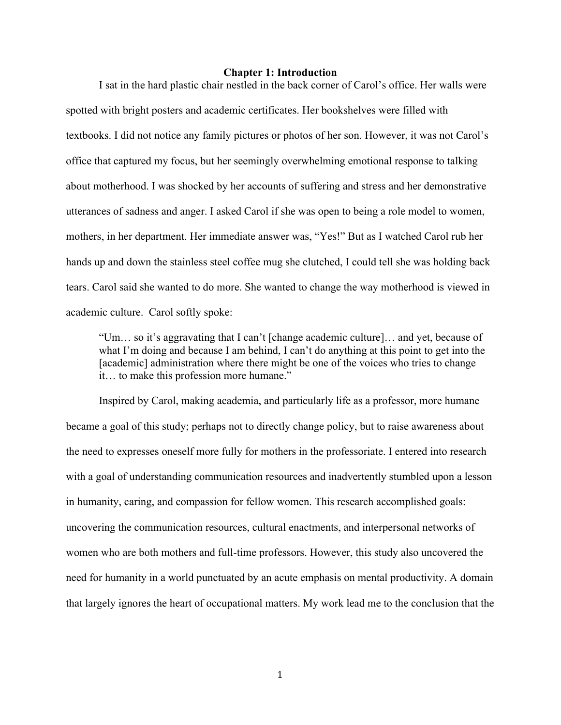#### **Chapter 1: Introduction**

I sat in the hard plastic chair nestled in the back corner of Carol's office. Her walls were spotted with bright posters and academic certificates. Her bookshelves were filled with textbooks. I did not notice any family pictures or photos of her son. However, it was not Carol's office that captured my focus, but her seemingly overwhelming emotional response to talking about motherhood. I was shocked by her accounts of suffering and stress and her demonstrative utterances of sadness and anger. I asked Carol if she was open to being a role model to women, mothers, in her department. Her immediate answer was, "Yes!" But as I watched Carol rub her hands up and down the stainless steel coffee mug she clutched, I could tell she was holding back tears. Carol said she wanted to do more. She wanted to change the way motherhood is viewed in academic culture. Carol softly spoke:

"Um… so it's aggravating that I can't [change academic culture]… and yet, because of what I'm doing and because I am behind, I can't do anything at this point to get into the [academic] administration where there might be one of the voices who tries to change it… to make this profession more humane."

Inspired by Carol, making academia, and particularly life as a professor, more humane became a goal of this study; perhaps not to directly change policy, but to raise awareness about the need to expresses oneself more fully for mothers in the professoriate. I entered into research with a goal of understanding communication resources and inadvertently stumbled upon a lesson in humanity, caring, and compassion for fellow women. This research accomplished goals: uncovering the communication resources, cultural enactments, and interpersonal networks of women who are both mothers and full-time professors. However, this study also uncovered the need for humanity in a world punctuated by an acute emphasis on mental productivity. A domain that largely ignores the heart of occupational matters. My work lead me to the conclusion that the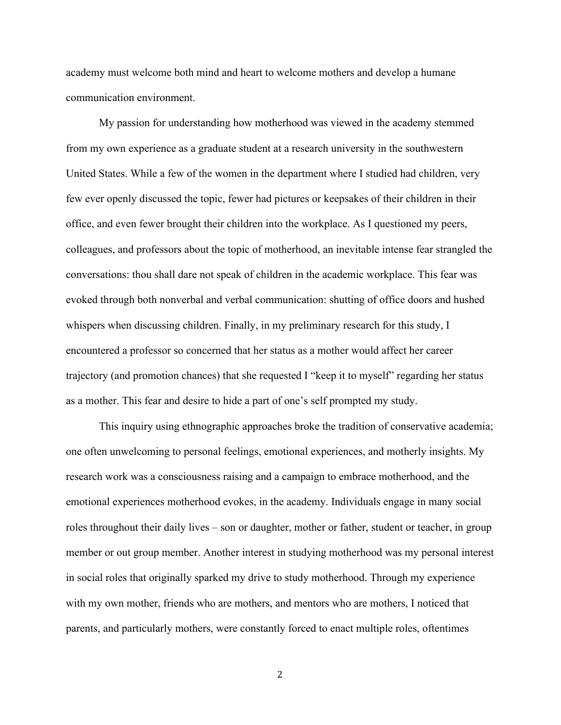academy must welcome both mind and heart to welcome mothers and develop a humane communication environment.

My passion for understanding how motherhood was viewed in the academy stemmed from my own experience as a graduate student at a research university in the southwestern United States. While a few of the women in the department where I studied had children, very few ever openly discussed the topic, fewer had pictures or keepsakes of their children in their office, and even fewer brought their children into the workplace. As I questioned my peers, colleagues, and professors about the topic of motherhood, an inevitable intense fear strangled the conversations: thou shall dare not speak of children in the academic workplace. This fear was evoked through both nonverbal and verbal communication: shutting of office doors and hushed whispers when discussing children. Finally, in my preliminary research for this study, I encountered a professor so concerned that her status as a mother would affect her career trajectory (and promotion chances) that she requested I "keep it to myself" regarding her status as a mother. This fear and desire to hide a part of one's self prompted my study.

This inquiry using ethnographic approaches broke the tradition of conservative academia; one often unwelcoming to personal feelings, emotional experiences, and motherly insights. My research work was a consciousness raising and a campaign to embrace motherhood, and the emotional experiences motherhood evokes, in the academy. Individuals engage in many social roles throughout their daily lives – son or daughter, mother or father, student or teacher, in group member or out group member. Another interest in studying motherhood was my personal interest in social roles that originally sparked my drive to study motherhood. Through my experience with my own mother, friends who are mothers, and mentors who are mothers, I noticed that parents, and particularly mothers, were constantly forced to enact multiple roles, oftentimes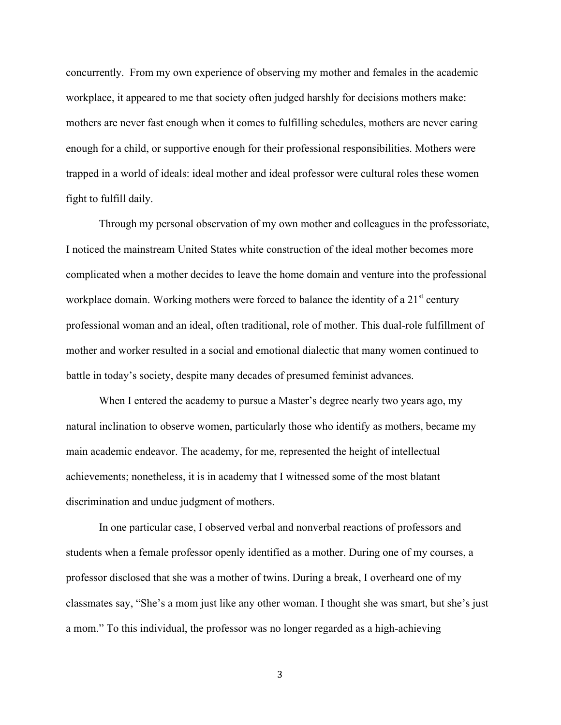concurrently. From my own experience of observing my mother and females in the academic workplace, it appeared to me that society often judged harshly for decisions mothers make: mothers are never fast enough when it comes to fulfilling schedules, mothers are never caring enough for a child, or supportive enough for their professional responsibilities. Mothers were trapped in a world of ideals: ideal mother and ideal professor were cultural roles these women fight to fulfill daily.

Through my personal observation of my own mother and colleagues in the professoriate, I noticed the mainstream United States white construction of the ideal mother becomes more complicated when a mother decides to leave the home domain and venture into the professional workplace domain. Working mothers were forced to balance the identity of a 21<sup>st</sup> century professional woman and an ideal, often traditional, role of mother. This dual-role fulfillment of mother and worker resulted in a social and emotional dialectic that many women continued to battle in today's society, despite many decades of presumed feminist advances.

When I entered the academy to pursue a Master's degree nearly two years ago, my natural inclination to observe women, particularly those who identify as mothers, became my main academic endeavor. The academy, for me, represented the height of intellectual achievements; nonetheless, it is in academy that I witnessed some of the most blatant discrimination and undue judgment of mothers.

In one particular case, I observed verbal and nonverbal reactions of professors and students when a female professor openly identified as a mother. During one of my courses, a professor disclosed that she was a mother of twins. During a break, I overheard one of my classmates say, "She's a mom just like any other woman. I thought she was smart, but she's just a mom." To this individual, the professor was no longer regarded as a high-achieving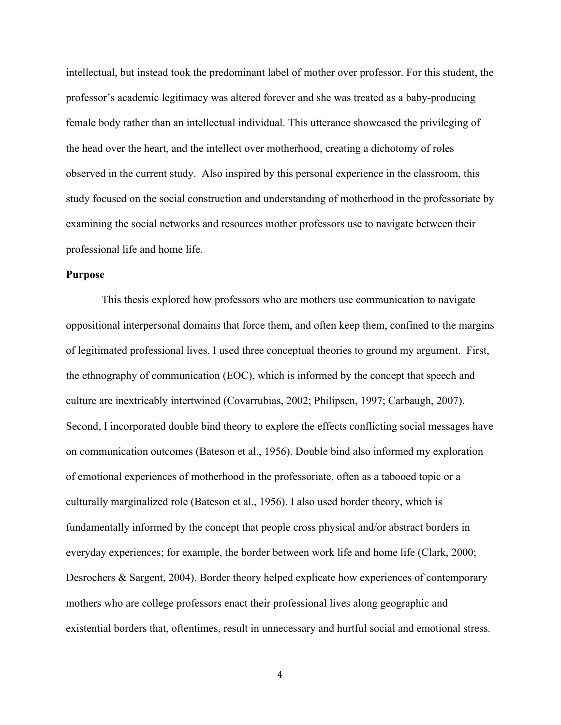intellectual, but instead took the predominant label of mother over professor. For this student, the professor's academic legitimacy was altered forever and she was treated as a baby-producing female body rather than an intellectual individual. This utterance showcased the privileging of the head over the heart, and the intellect over motherhood, creating a dichotomy of roles observed in the current study. Also inspired by this personal experience in the classroom, this study focused on the social construction and understanding of motherhood in the professoriate by examining the social networks and resources mother professors use to navigate between their professional life and home life.

## **Purpose**

This thesis explored how professors who are mothers use communication to navigate oppositional interpersonal domains that force them, and often keep them, confined to the margins of legitimated professional lives. I used three conceptual theories to ground my argument. First, the ethnography of communication (EOC), which is informed by the concept that speech and culture are inextricably intertwined (Covarrubias, 2002; Philipsen, 1997; Carbaugh, 2007). Second, I incorporated double bind theory to explore the effects conflicting social messages have on communication outcomes (Bateson et al., 1956). Double bind also informed my exploration of emotional experiences of motherhood in the professoriate, often as a tabooed topic or a culturally marginalized role (Bateson et al., 1956). I also used border theory, which is fundamentally informed by the concept that people cross physical and/or abstract borders in everyday experiences; for example, the border between work life and home life (Clark, 2000; Desrochers & Sargent, 2004). Border theory helped explicate how experiences of contemporary mothers who are college professors enact their professional lives along geographic and existential borders that, oftentimes, result in unnecessary and hurtful social and emotional stress.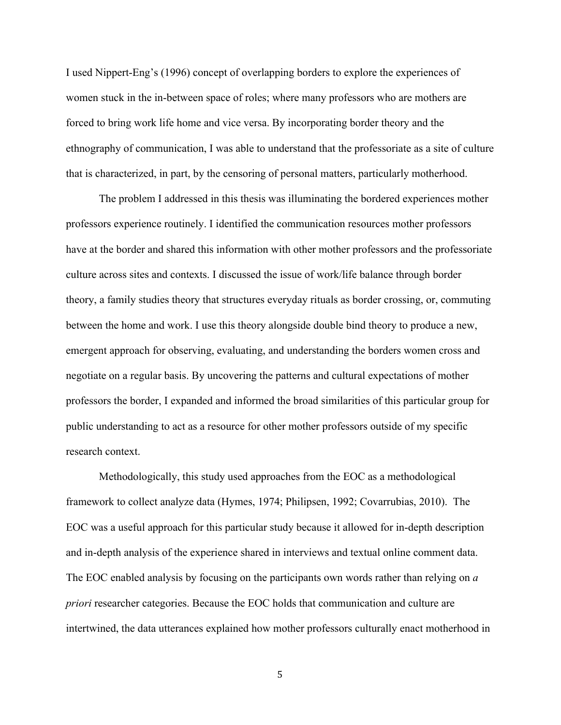I used Nippert-Eng's (1996) concept of overlapping borders to explore the experiences of women stuck in the in-between space of roles; where many professors who are mothers are forced to bring work life home and vice versa. By incorporating border theory and the ethnography of communication, I was able to understand that the professoriate as a site of culture that is characterized, in part, by the censoring of personal matters, particularly motherhood.

The problem I addressed in this thesis was illuminating the bordered experiences mother professors experience routinely. I identified the communication resources mother professors have at the border and shared this information with other mother professors and the professoriate culture across sites and contexts. I discussed the issue of work/life balance through border theory, a family studies theory that structures everyday rituals as border crossing, or, commuting between the home and work. I use this theory alongside double bind theory to produce a new, emergent approach for observing, evaluating, and understanding the borders women cross and negotiate on a regular basis. By uncovering the patterns and cultural expectations of mother professors the border, I expanded and informed the broad similarities of this particular group for public understanding to act as a resource for other mother professors outside of my specific research context.

Methodologically, this study used approaches from the EOC as a methodological framework to collect analyze data (Hymes, 1974; Philipsen, 1992; Covarrubias, 2010). The EOC was a useful approach for this particular study because it allowed for in-depth description and in-depth analysis of the experience shared in interviews and textual online comment data. The EOC enabled analysis by focusing on the participants own words rather than relying on *a priori* researcher categories. Because the EOC holds that communication and culture are intertwined, the data utterances explained how mother professors culturally enact motherhood in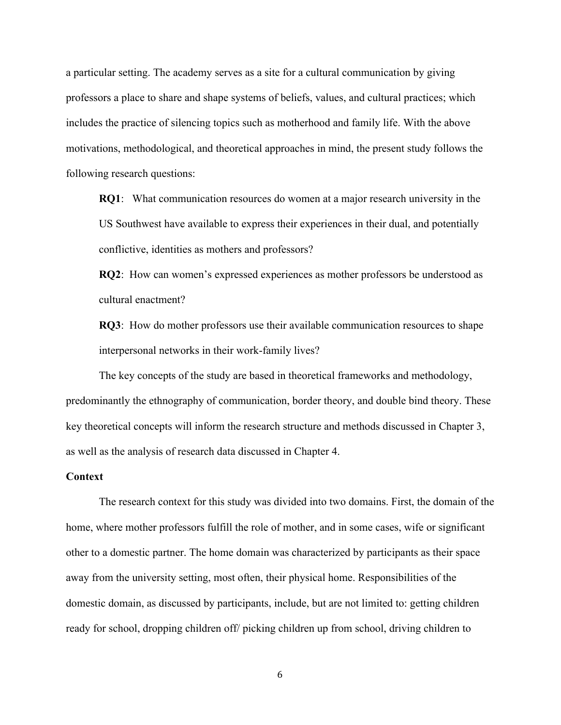a particular setting. The academy serves as a site for a cultural communication by giving professors a place to share and shape systems of beliefs, values, and cultural practices; which includes the practice of silencing topics such as motherhood and family life. With the above motivations, methodological, and theoretical approaches in mind, the present study follows the following research questions:

**RQ1**: What communication resources do women at a major research university in the US Southwest have available to express their experiences in their dual, and potentially conflictive, identities as mothers and professors?

**RQ2**: How can women's expressed experiences as mother professors be understood as cultural enactment?

**RQ3**: How do mother professors use their available communication resources to shape interpersonal networks in their work-family lives?

The key concepts of the study are based in theoretical frameworks and methodology, predominantly the ethnography of communication, border theory, and double bind theory. These key theoretical concepts will inform the research structure and methods discussed in Chapter 3, as well as the analysis of research data discussed in Chapter 4.

#### **Context**

The research context for this study was divided into two domains. First, the domain of the home, where mother professors fulfill the role of mother, and in some cases, wife or significant other to a domestic partner. The home domain was characterized by participants as their space away from the university setting, most often, their physical home. Responsibilities of the domestic domain, as discussed by participants, include, but are not limited to: getting children ready for school, dropping children off/ picking children up from school, driving children to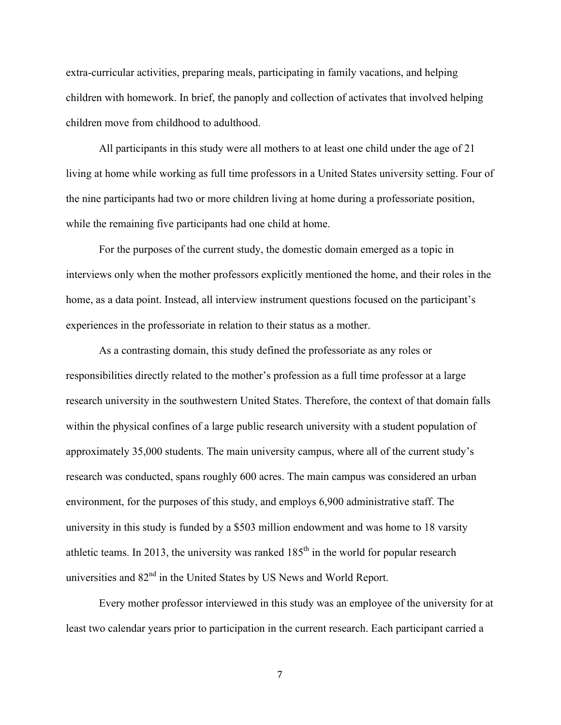extra-curricular activities, preparing meals, participating in family vacations, and helping children with homework. In brief, the panoply and collection of activates that involved helping children move from childhood to adulthood.

All participants in this study were all mothers to at least one child under the age of 21 living at home while working as full time professors in a United States university setting. Four of the nine participants had two or more children living at home during a professoriate position, while the remaining five participants had one child at home.

For the purposes of the current study, the domestic domain emerged as a topic in interviews only when the mother professors explicitly mentioned the home, and their roles in the home, as a data point. Instead, all interview instrument questions focused on the participant's experiences in the professoriate in relation to their status as a mother.

As a contrasting domain, this study defined the professoriate as any roles or responsibilities directly related to the mother's profession as a full time professor at a large research university in the southwestern United States. Therefore, the context of that domain falls within the physical confines of a large public research university with a student population of approximately 35,000 students. The main university campus, where all of the current study's research was conducted, spans roughly 600 acres. The main campus was considered an urban environment, for the purposes of this study, and employs 6,900 administrative staff. The university in this study is funded by a \$503 million endowment and was home to 18 varsity athletic teams. In 2013, the university was ranked  $185<sup>th</sup>$  in the world for popular research universities and 82<sup>nd</sup> in the United States by US News and World Report.

Every mother professor interviewed in this study was an employee of the university for at least two calendar years prior to participation in the current research. Each participant carried a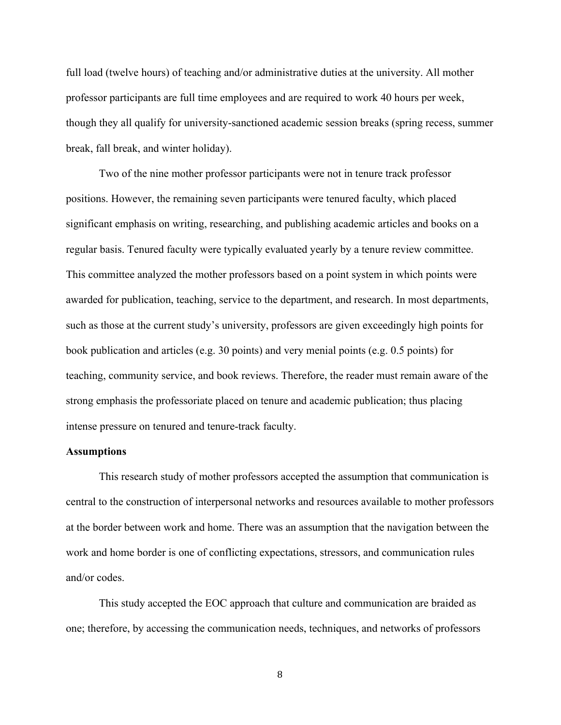full load (twelve hours) of teaching and/or administrative duties at the university. All mother professor participants are full time employees and are required to work 40 hours per week, though they all qualify for university-sanctioned academic session breaks (spring recess, summer break, fall break, and winter holiday).

Two of the nine mother professor participants were not in tenure track professor positions. However, the remaining seven participants were tenured faculty, which placed significant emphasis on writing, researching, and publishing academic articles and books on a regular basis. Tenured faculty were typically evaluated yearly by a tenure review committee. This committee analyzed the mother professors based on a point system in which points were awarded for publication, teaching, service to the department, and research. In most departments, such as those at the current study's university, professors are given exceedingly high points for book publication and articles (e.g. 30 points) and very menial points (e.g. 0.5 points) for teaching, community service, and book reviews. Therefore, the reader must remain aware of the strong emphasis the professoriate placed on tenure and academic publication; thus placing intense pressure on tenured and tenure-track faculty.

#### **Assumptions**

This research study of mother professors accepted the assumption that communication is central to the construction of interpersonal networks and resources available to mother professors at the border between work and home. There was an assumption that the navigation between the work and home border is one of conflicting expectations, stressors, and communication rules and/or codes.

This study accepted the EOC approach that culture and communication are braided as one; therefore, by accessing the communication needs, techniques, and networks of professors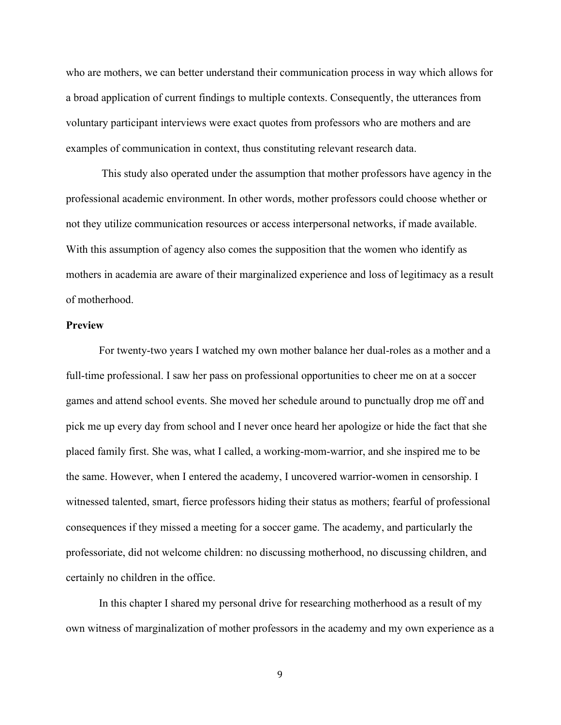who are mothers, we can better understand their communication process in way which allows for a broad application of current findings to multiple contexts. Consequently, the utterances from voluntary participant interviews were exact quotes from professors who are mothers and are examples of communication in context, thus constituting relevant research data.

This study also operated under the assumption that mother professors have agency in the professional academic environment. In other words, mother professors could choose whether or not they utilize communication resources or access interpersonal networks, if made available. With this assumption of agency also comes the supposition that the women who identify as mothers in academia are aware of their marginalized experience and loss of legitimacy as a result of motherhood.

#### **Preview**

For twenty-two years I watched my own mother balance her dual-roles as a mother and a full-time professional. I saw her pass on professional opportunities to cheer me on at a soccer games and attend school events. She moved her schedule around to punctually drop me off and pick me up every day from school and I never once heard her apologize or hide the fact that she placed family first. She was, what I called, a working-mom-warrior, and she inspired me to be the same. However, when I entered the academy, I uncovered warrior-women in censorship. I witnessed talented, smart, fierce professors hiding their status as mothers; fearful of professional consequences if they missed a meeting for a soccer game. The academy, and particularly the professoriate, did not welcome children: no discussing motherhood, no discussing children, and certainly no children in the office.

In this chapter I shared my personal drive for researching motherhood as a result of my own witness of marginalization of mother professors in the academy and my own experience as a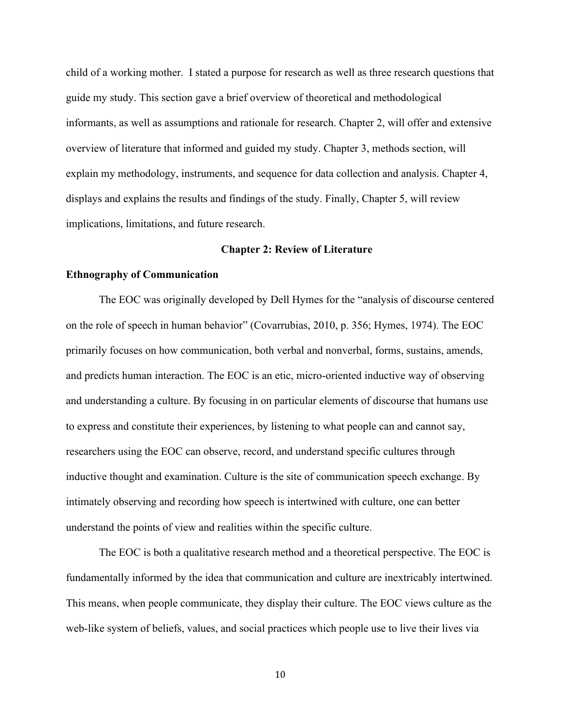child of a working mother. I stated a purpose for research as well as three research questions that guide my study. This section gave a brief overview of theoretical and methodological informants, as well as assumptions and rationale for research. Chapter 2, will offer and extensive overview of literature that informed and guided my study. Chapter 3, methods section, will explain my methodology, instruments, and sequence for data collection and analysis. Chapter 4, displays and explains the results and findings of the study. Finally, Chapter 5, will review implications, limitations, and future research.

## **Chapter 2: Review of Literature**

#### **Ethnography of Communication**

The EOC was originally developed by Dell Hymes for the "analysis of discourse centered on the role of speech in human behavior" (Covarrubias, 2010, p. 356; Hymes, 1974). The EOC primarily focuses on how communication, both verbal and nonverbal, forms, sustains, amends, and predicts human interaction. The EOC is an etic, micro-oriented inductive way of observing and understanding a culture. By focusing in on particular elements of discourse that humans use to express and constitute their experiences, by listening to what people can and cannot say, researchers using the EOC can observe, record, and understand specific cultures through inductive thought and examination. Culture is the site of communication speech exchange. By intimately observing and recording how speech is intertwined with culture, one can better understand the points of view and realities within the specific culture.

The EOC is both a qualitative research method and a theoretical perspective. The EOC is fundamentally informed by the idea that communication and culture are inextricably intertwined. This means, when people communicate, they display their culture. The EOC views culture as the web-like system of beliefs, values, and social practices which people use to live their lives via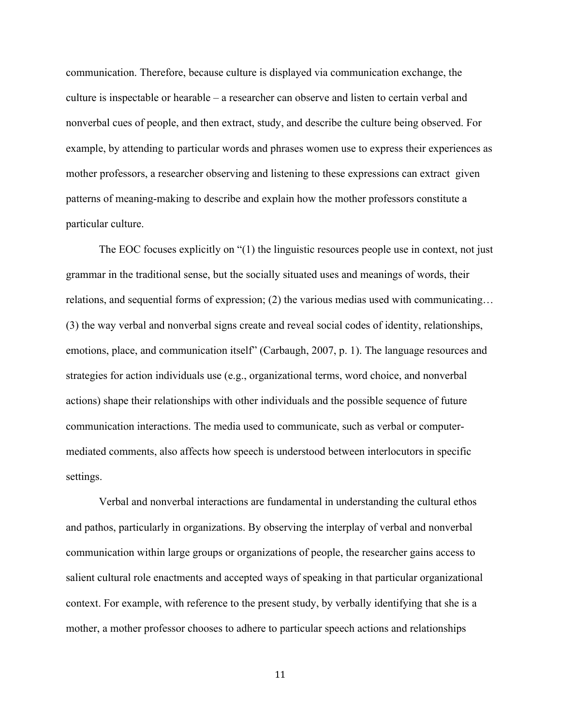communication. Therefore, because culture is displayed via communication exchange, the culture is inspectable or hearable – a researcher can observe and listen to certain verbal and nonverbal cues of people, and then extract, study, and describe the culture being observed. For example, by attending to particular words and phrases women use to express their experiences as mother professors, a researcher observing and listening to these expressions can extract given patterns of meaning-making to describe and explain how the mother professors constitute a particular culture.

The EOC focuses explicitly on "(1) the linguistic resources people use in context, not just grammar in the traditional sense, but the socially situated uses and meanings of words, their relations, and sequential forms of expression; (2) the various medias used with communicating… (3) the way verbal and nonverbal signs create and reveal social codes of identity, relationships, emotions, place, and communication itself" (Carbaugh, 2007, p. 1). The language resources and strategies for action individuals use (e.g., organizational terms, word choice, and nonverbal actions) shape their relationships with other individuals and the possible sequence of future communication interactions. The media used to communicate, such as verbal or computermediated comments, also affects how speech is understood between interlocutors in specific settings.

Verbal and nonverbal interactions are fundamental in understanding the cultural ethos and pathos, particularly in organizations. By observing the interplay of verbal and nonverbal communication within large groups or organizations of people, the researcher gains access to salient cultural role enactments and accepted ways of speaking in that particular organizational context. For example, with reference to the present study, by verbally identifying that she is a mother, a mother professor chooses to adhere to particular speech actions and relationships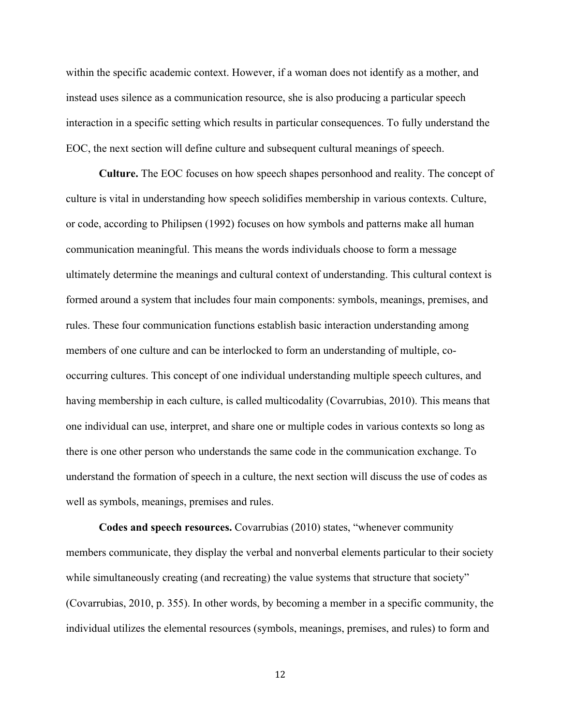within the specific academic context. However, if a woman does not identify as a mother, and instead uses silence as a communication resource, she is also producing a particular speech interaction in a specific setting which results in particular consequences. To fully understand the EOC, the next section will define culture and subsequent cultural meanings of speech.

**Culture.** The EOC focuses on how speech shapes personhood and reality. The concept of culture is vital in understanding how speech solidifies membership in various contexts. Culture, or code, according to Philipsen (1992) focuses on how symbols and patterns make all human communication meaningful. This means the words individuals choose to form a message ultimately determine the meanings and cultural context of understanding. This cultural context is formed around a system that includes four main components: symbols, meanings, premises, and rules. These four communication functions establish basic interaction understanding among members of one culture and can be interlocked to form an understanding of multiple, cooccurring cultures. This concept of one individual understanding multiple speech cultures, and having membership in each culture, is called multicodality (Covarrubias, 2010). This means that one individual can use, interpret, and share one or multiple codes in various contexts so long as there is one other person who understands the same code in the communication exchange. To understand the formation of speech in a culture, the next section will discuss the use of codes as well as symbols, meanings, premises and rules.

**Codes and speech resources.** Covarrubias (2010) states, "whenever community members communicate, they display the verbal and nonverbal elements particular to their society while simultaneously creating (and recreating) the value systems that structure that society" (Covarrubias, 2010, p. 355). In other words, by becoming a member in a specific community, the individual utilizes the elemental resources (symbols, meanings, premises, and rules) to form and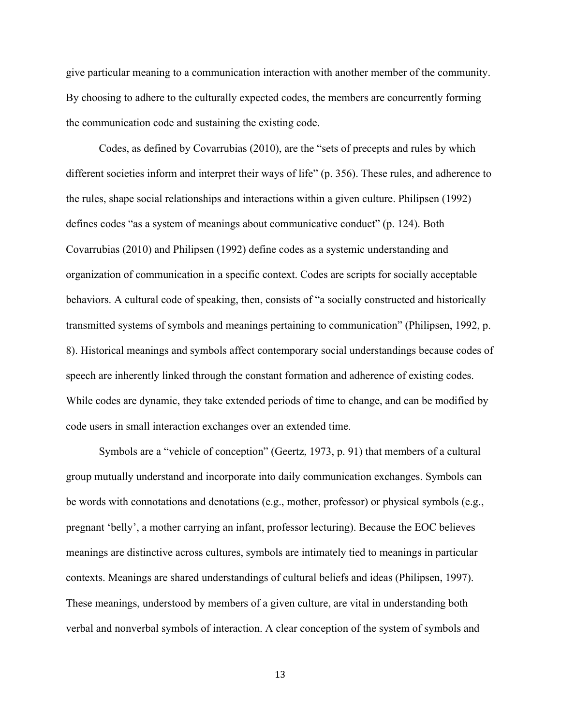give particular meaning to a communication interaction with another member of the community. By choosing to adhere to the culturally expected codes, the members are concurrently forming the communication code and sustaining the existing code.

Codes, as defined by Covarrubias (2010), are the "sets of precepts and rules by which different societies inform and interpret their ways of life" (p. 356). These rules, and adherence to the rules, shape social relationships and interactions within a given culture. Philipsen (1992) defines codes "as a system of meanings about communicative conduct" (p. 124). Both Covarrubias (2010) and Philipsen (1992) define codes as a systemic understanding and organization of communication in a specific context. Codes are scripts for socially acceptable behaviors. A cultural code of speaking, then, consists of "a socially constructed and historically transmitted systems of symbols and meanings pertaining to communication" (Philipsen, 1992, p. 8). Historical meanings and symbols affect contemporary social understandings because codes of speech are inherently linked through the constant formation and adherence of existing codes. While codes are dynamic, they take extended periods of time to change, and can be modified by code users in small interaction exchanges over an extended time.

Symbols are a "vehicle of conception" (Geertz, 1973, p. 91) that members of a cultural group mutually understand and incorporate into daily communication exchanges. Symbols can be words with connotations and denotations (e.g., mother, professor) or physical symbols (e.g., pregnant 'belly', a mother carrying an infant, professor lecturing). Because the EOC believes meanings are distinctive across cultures, symbols are intimately tied to meanings in particular contexts. Meanings are shared understandings of cultural beliefs and ideas (Philipsen, 1997). These meanings, understood by members of a given culture, are vital in understanding both verbal and nonverbal symbols of interaction. A clear conception of the system of symbols and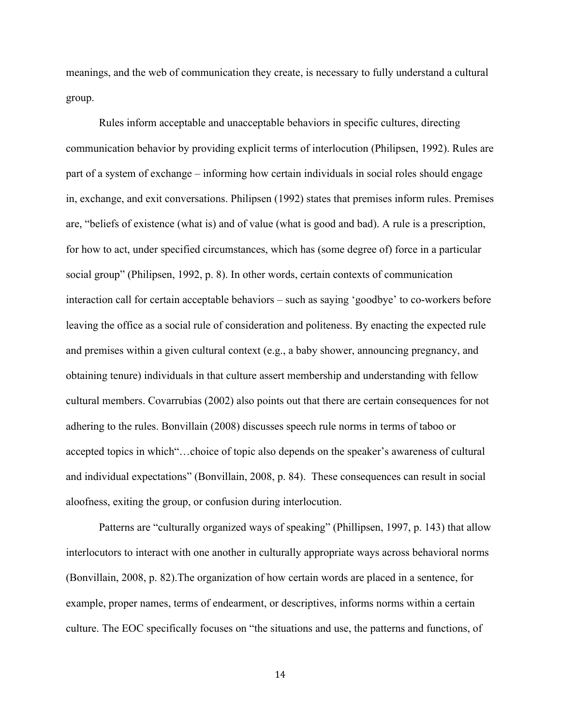meanings, and the web of communication they create, is necessary to fully understand a cultural group.

Rules inform acceptable and unacceptable behaviors in specific cultures, directing communication behavior by providing explicit terms of interlocution (Philipsen, 1992). Rules are part of a system of exchange – informing how certain individuals in social roles should engage in, exchange, and exit conversations. Philipsen (1992) states that premises inform rules. Premises are, "beliefs of existence (what is) and of value (what is good and bad). A rule is a prescription, for how to act, under specified circumstances, which has (some degree of) force in a particular social group" (Philipsen, 1992, p. 8). In other words, certain contexts of communication interaction call for certain acceptable behaviors – such as saying 'goodbye' to co-workers before leaving the office as a social rule of consideration and politeness. By enacting the expected rule and premises within a given cultural context (e.g., a baby shower, announcing pregnancy, and obtaining tenure) individuals in that culture assert membership and understanding with fellow cultural members. Covarrubias (2002) also points out that there are certain consequences for not adhering to the rules. Bonvillain (2008) discusses speech rule norms in terms of taboo or accepted topics in which"…choice of topic also depends on the speaker's awareness of cultural and individual expectations" (Bonvillain, 2008, p. 84). These consequences can result in social aloofness, exiting the group, or confusion during interlocution.

Patterns are "culturally organized ways of speaking" (Phillipsen, 1997, p. 143) that allow interlocutors to interact with one another in culturally appropriate ways across behavioral norms (Bonvillain, 2008, p. 82).The organization of how certain words are placed in a sentence, for example, proper names, terms of endearment, or descriptives, informs norms within a certain culture. The EOC specifically focuses on "the situations and use, the patterns and functions, of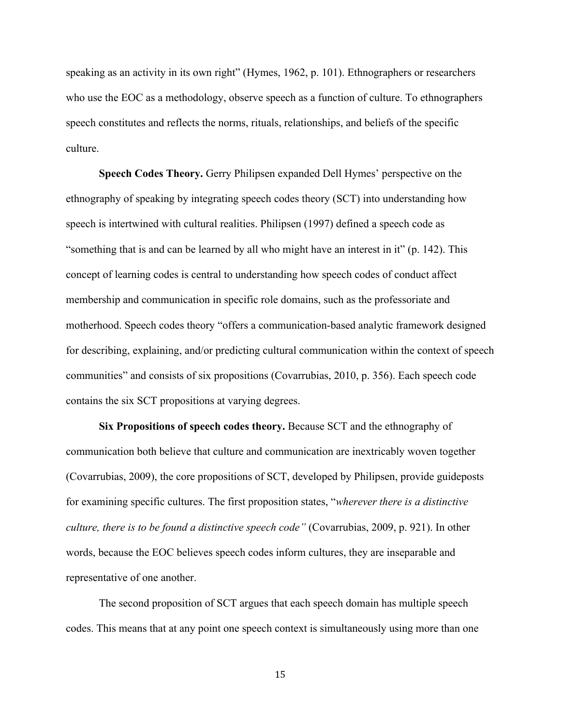speaking as an activity in its own right" (Hymes, 1962, p. 101). Ethnographers or researchers who use the EOC as a methodology, observe speech as a function of culture. To ethnographers speech constitutes and reflects the norms, rituals, relationships, and beliefs of the specific culture.

**Speech Codes Theory.** Gerry Philipsen expanded Dell Hymes' perspective on the ethnography of speaking by integrating speech codes theory (SCT) into understanding how speech is intertwined with cultural realities. Philipsen (1997) defined a speech code as "something that is and can be learned by all who might have an interest in it" (p. 142). This concept of learning codes is central to understanding how speech codes of conduct affect membership and communication in specific role domains, such as the professoriate and motherhood. Speech codes theory "offers a communication-based analytic framework designed for describing, explaining, and/or predicting cultural communication within the context of speech communities" and consists of six propositions (Covarrubias, 2010, p. 356). Each speech code contains the six SCT propositions at varying degrees.

**Six Propositions of speech codes theory.** Because SCT and the ethnography of communication both believe that culture and communication are inextricably woven together (Covarrubias, 2009), the core propositions of SCT, developed by Philipsen, provide guideposts for examining specific cultures. The first proposition states, "*wherever there is a distinctive culture, there is to be found a distinctive speech code"* (Covarrubias, 2009, p. 921). In other words, because the EOC believes speech codes inform cultures, they are inseparable and representative of one another.

The second proposition of SCT argues that each speech domain has multiple speech codes. This means that at any point one speech context is simultaneously using more than one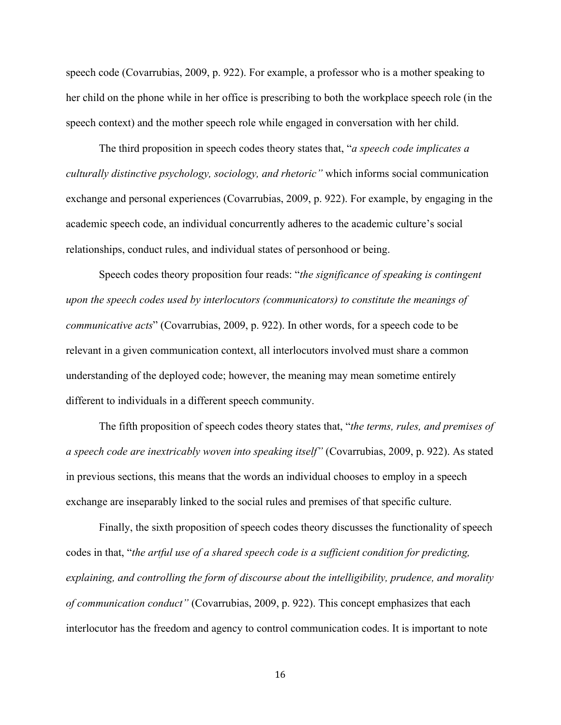speech code (Covarrubias, 2009, p. 922). For example, a professor who is a mother speaking to her child on the phone while in her office is prescribing to both the workplace speech role (in the speech context) and the mother speech role while engaged in conversation with her child.

The third proposition in speech codes theory states that, "*a speech code implicates a culturally distinctive psychology, sociology, and rhetoric"* which informs social communication exchange and personal experiences (Covarrubias, 2009, p. 922). For example, by engaging in the academic speech code, an individual concurrently adheres to the academic culture's social relationships, conduct rules, and individual states of personhood or being.

Speech codes theory proposition four reads: "*the significance of speaking is contingent upon the speech codes used by interlocutors (communicators) to constitute the meanings of communicative acts*" (Covarrubias, 2009, p. 922). In other words, for a speech code to be relevant in a given communication context, all interlocutors involved must share a common understanding of the deployed code; however, the meaning may mean sometime entirely different to individuals in a different speech community.

The fifth proposition of speech codes theory states that, "*the terms, rules, and premises of a speech code are inextricably woven into speaking itself"* (Covarrubias, 2009, p. 922). As stated in previous sections, this means that the words an individual chooses to employ in a speech exchange are inseparably linked to the social rules and premises of that specific culture.

Finally, the sixth proposition of speech codes theory discusses the functionality of speech codes in that, "*the artful use of a shared speech code is a sufficient condition for predicting, explaining, and controlling the form of discourse about the intelligibility, prudence, and morality of communication conduct"* (Covarrubias, 2009, p. 922). This concept emphasizes that each interlocutor has the freedom and agency to control communication codes. It is important to note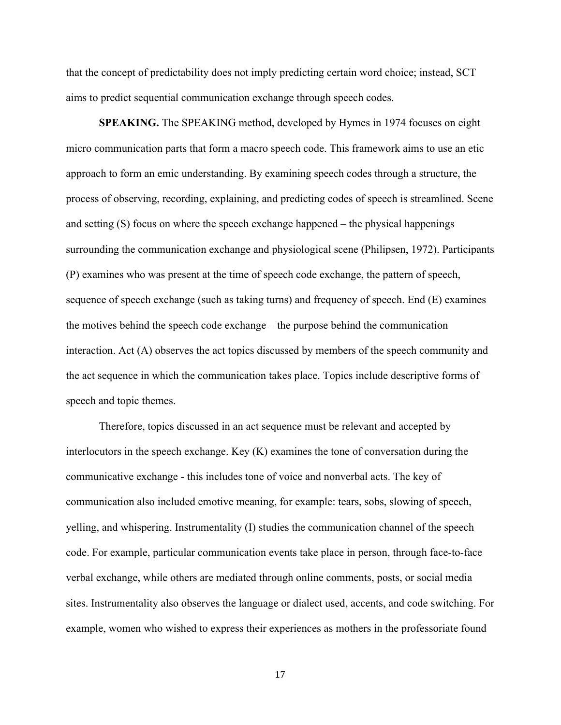that the concept of predictability does not imply predicting certain word choice; instead, SCT aims to predict sequential communication exchange through speech codes.

**SPEAKING.** The SPEAKING method, developed by Hymes in 1974 focuses on eight micro communication parts that form a macro speech code. This framework aims to use an etic approach to form an emic understanding. By examining speech codes through a structure, the process of observing, recording, explaining, and predicting codes of speech is streamlined. Scene and setting (S) focus on where the speech exchange happened – the physical happenings surrounding the communication exchange and physiological scene (Philipsen, 1972). Participants (P) examines who was present at the time of speech code exchange, the pattern of speech, sequence of speech exchange (such as taking turns) and frequency of speech. End (E) examines the motives behind the speech code exchange – the purpose behind the communication interaction. Act (A) observes the act topics discussed by members of the speech community and the act sequence in which the communication takes place. Topics include descriptive forms of speech and topic themes.

Therefore, topics discussed in an act sequence must be relevant and accepted by interlocutors in the speech exchange. Key (K) examines the tone of conversation during the communicative exchange - this includes tone of voice and nonverbal acts. The key of communication also included emotive meaning, for example: tears, sobs, slowing of speech, yelling, and whispering. Instrumentality (I) studies the communication channel of the speech code. For example, particular communication events take place in person, through face-to-face verbal exchange, while others are mediated through online comments, posts, or social media sites. Instrumentality also observes the language or dialect used, accents, and code switching. For example, women who wished to express their experiences as mothers in the professoriate found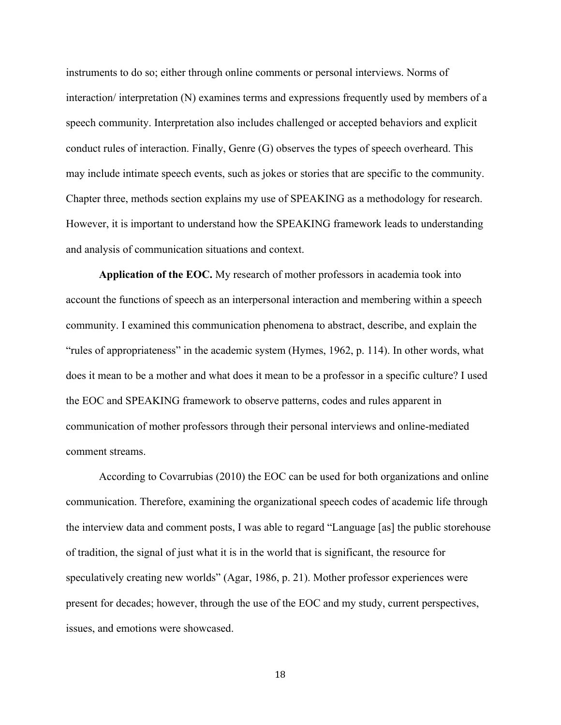instruments to do so; either through online comments or personal interviews. Norms of interaction/ interpretation (N) examines terms and expressions frequently used by members of a speech community. Interpretation also includes challenged or accepted behaviors and explicit conduct rules of interaction. Finally, Genre (G) observes the types of speech overheard. This may include intimate speech events, such as jokes or stories that are specific to the community. Chapter three, methods section explains my use of SPEAKING as a methodology for research. However, it is important to understand how the SPEAKING framework leads to understanding and analysis of communication situations and context.

**Application of the EOC.** My research of mother professors in academia took into account the functions of speech as an interpersonal interaction and membering within a speech community. I examined this communication phenomena to abstract, describe, and explain the "rules of appropriateness" in the academic system (Hymes, 1962, p. 114). In other words, what does it mean to be a mother and what does it mean to be a professor in a specific culture? I used the EOC and SPEAKING framework to observe patterns, codes and rules apparent in communication of mother professors through their personal interviews and online-mediated comment streams.

According to Covarrubias (2010) the EOC can be used for both organizations and online communication. Therefore, examining the organizational speech codes of academic life through the interview data and comment posts, I was able to regard "Language [as] the public storehouse of tradition, the signal of just what it is in the world that is significant, the resource for speculatively creating new worlds" (Agar, 1986, p. 21). Mother professor experiences were present for decades; however, through the use of the EOC and my study, current perspectives, issues, and emotions were showcased.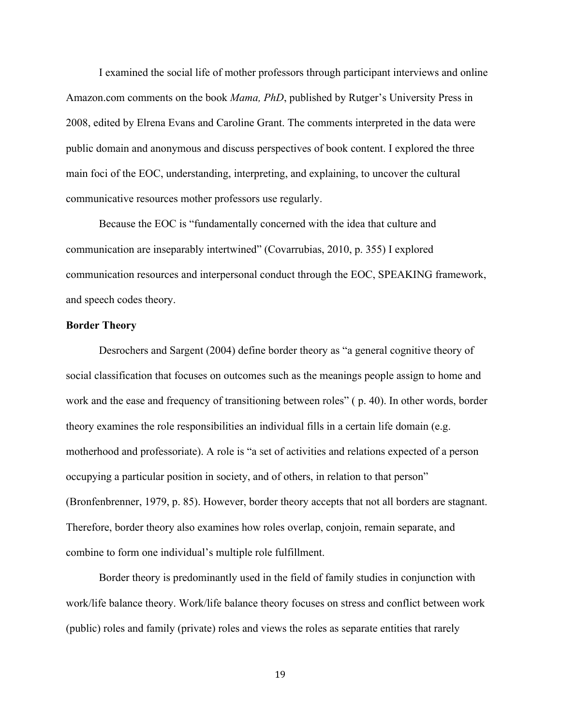I examined the social life of mother professors through participant interviews and online Amazon.com comments on the book *Mama, PhD*, published by Rutger's University Press in 2008, edited by Elrena Evans and Caroline Grant. The comments interpreted in the data were public domain and anonymous and discuss perspectives of book content. I explored the three main foci of the EOC, understanding, interpreting, and explaining, to uncover the cultural communicative resources mother professors use regularly.

Because the EOC is "fundamentally concerned with the idea that culture and communication are inseparably intertwined" (Covarrubias, 2010, p. 355) I explored communication resources and interpersonal conduct through the EOC, SPEAKING framework, and speech codes theory.

#### **Border Theory**

Desrochers and Sargent (2004) define border theory as "a general cognitive theory of social classification that focuses on outcomes such as the meanings people assign to home and work and the ease and frequency of transitioning between roles" ( p. 40). In other words, border theory examines the role responsibilities an individual fills in a certain life domain (e.g. motherhood and professoriate). A role is "a set of activities and relations expected of a person occupying a particular position in society, and of others, in relation to that person" (Bronfenbrenner, 1979, p. 85). However, border theory accepts that not all borders are stagnant. Therefore, border theory also examines how roles overlap, conjoin, remain separate, and combine to form one individual's multiple role fulfillment.

Border theory is predominantly used in the field of family studies in conjunction with work/life balance theory. Work/life balance theory focuses on stress and conflict between work (public) roles and family (private) roles and views the roles as separate entities that rarely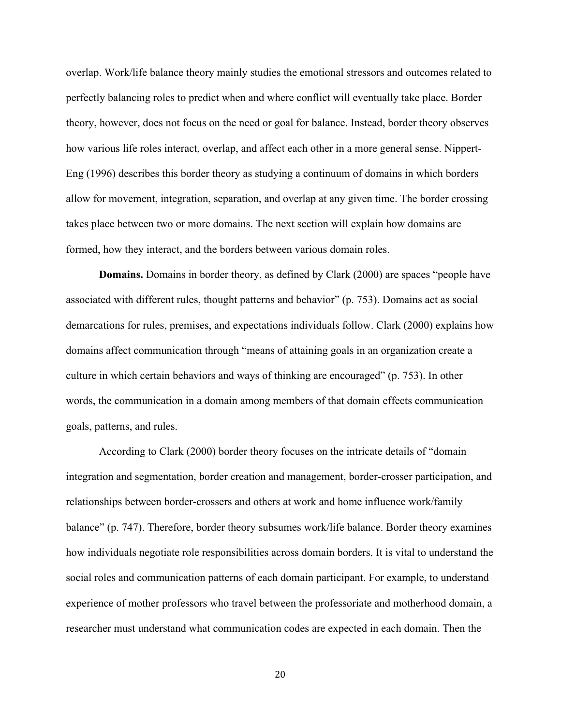overlap. Work/life balance theory mainly studies the emotional stressors and outcomes related to perfectly balancing roles to predict when and where conflict will eventually take place. Border theory, however, does not focus on the need or goal for balance. Instead, border theory observes how various life roles interact, overlap, and affect each other in a more general sense. Nippert-Eng (1996) describes this border theory as studying a continuum of domains in which borders allow for movement, integration, separation, and overlap at any given time. The border crossing takes place between two or more domains. The next section will explain how domains are formed, how they interact, and the borders between various domain roles.

**Domains.** Domains in border theory, as defined by Clark (2000) are spaces "people have associated with different rules, thought patterns and behavior" (p. 753). Domains act as social demarcations for rules, premises, and expectations individuals follow. Clark (2000) explains how domains affect communication through "means of attaining goals in an organization create a culture in which certain behaviors and ways of thinking are encouraged" (p. 753). In other words, the communication in a domain among members of that domain effects communication goals, patterns, and rules.

According to Clark (2000) border theory focuses on the intricate details of "domain integration and segmentation, border creation and management, border-crosser participation, and relationships between border-crossers and others at work and home influence work/family balance" (p. 747). Therefore, border theory subsumes work/life balance. Border theory examines how individuals negotiate role responsibilities across domain borders. It is vital to understand the social roles and communication patterns of each domain participant. For example, to understand experience of mother professors who travel between the professoriate and motherhood domain, a researcher must understand what communication codes are expected in each domain. Then the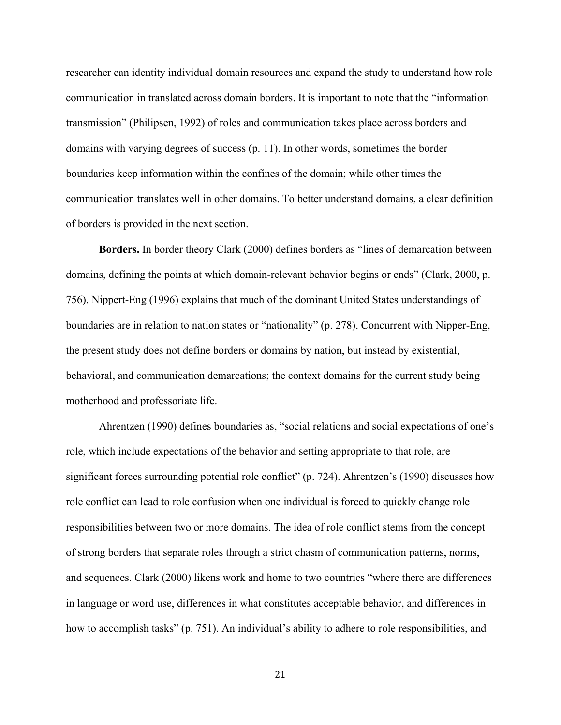researcher can identity individual domain resources and expand the study to understand how role communication in translated across domain borders. It is important to note that the "information transmission" (Philipsen, 1992) of roles and communication takes place across borders and domains with varying degrees of success (p. 11). In other words, sometimes the border boundaries keep information within the confines of the domain; while other times the communication translates well in other domains. To better understand domains, a clear definition of borders is provided in the next section.

**Borders.** In border theory Clark (2000) defines borders as "lines of demarcation between domains, defining the points at which domain-relevant behavior begins or ends" (Clark, 2000, p. 756). Nippert-Eng (1996) explains that much of the dominant United States understandings of boundaries are in relation to nation states or "nationality" (p. 278). Concurrent with Nipper-Eng, the present study does not define borders or domains by nation, but instead by existential, behavioral, and communication demarcations; the context domains for the current study being motherhood and professoriate life.

Ahrentzen (1990) defines boundaries as, "social relations and social expectations of one's role, which include expectations of the behavior and setting appropriate to that role, are significant forces surrounding potential role conflict" (p. 724). Ahrentzen's (1990) discusses how role conflict can lead to role confusion when one individual is forced to quickly change role responsibilities between two or more domains. The idea of role conflict stems from the concept of strong borders that separate roles through a strict chasm of communication patterns, norms, and sequences. Clark (2000) likens work and home to two countries "where there are differences in language or word use, differences in what constitutes acceptable behavior, and differences in how to accomplish tasks" (p. 751). An individual's ability to adhere to role responsibilities, and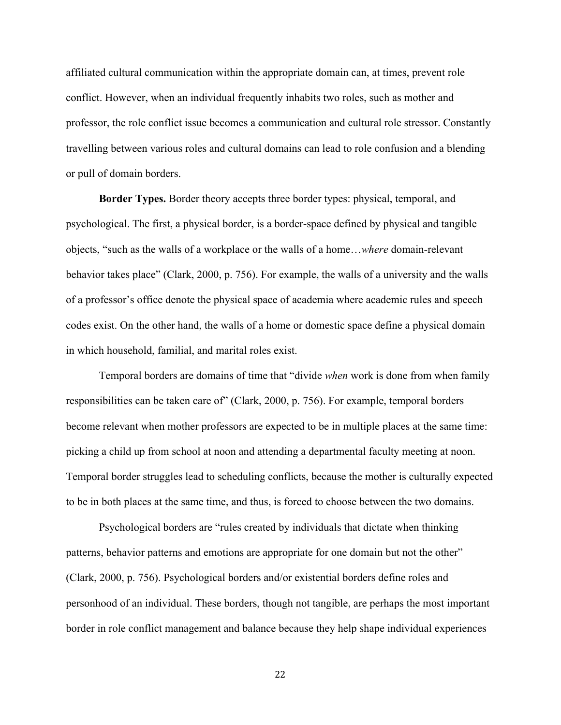affiliated cultural communication within the appropriate domain can, at times, prevent role conflict. However, when an individual frequently inhabits two roles, such as mother and professor, the role conflict issue becomes a communication and cultural role stressor. Constantly travelling between various roles and cultural domains can lead to role confusion and a blending or pull of domain borders.

**Border Types.** Border theory accepts three border types: physical, temporal, and psychological. The first, a physical border, is a border-space defined by physical and tangible objects, "such as the walls of a workplace or the walls of a home…*where* domain-relevant behavior takes place" (Clark, 2000, p. 756). For example, the walls of a university and the walls of a professor's office denote the physical space of academia where academic rules and speech codes exist. On the other hand, the walls of a home or domestic space define a physical domain in which household, familial, and marital roles exist.

Temporal borders are domains of time that "divide *when* work is done from when family responsibilities can be taken care of" (Clark, 2000, p. 756). For example, temporal borders become relevant when mother professors are expected to be in multiple places at the same time: picking a child up from school at noon and attending a departmental faculty meeting at noon. Temporal border struggles lead to scheduling conflicts, because the mother is culturally expected to be in both places at the same time, and thus, is forced to choose between the two domains.

Psychological borders are "rules created by individuals that dictate when thinking patterns, behavior patterns and emotions are appropriate for one domain but not the other" (Clark, 2000, p. 756). Psychological borders and/or existential borders define roles and personhood of an individual. These borders, though not tangible, are perhaps the most important border in role conflict management and balance because they help shape individual experiences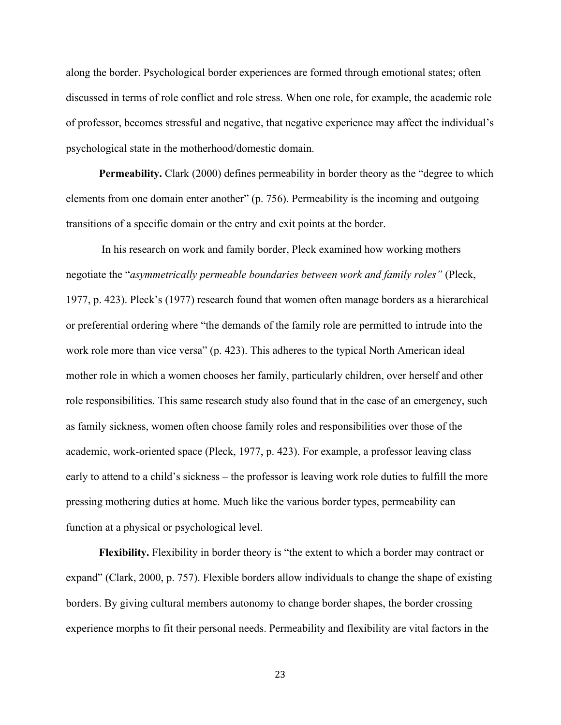along the border. Psychological border experiences are formed through emotional states; often discussed in terms of role conflict and role stress. When one role, for example, the academic role of professor, becomes stressful and negative, that negative experience may affect the individual's psychological state in the motherhood/domestic domain.

Permeability. Clark (2000) defines permeability in border theory as the "degree to which elements from one domain enter another" (p. 756). Permeability is the incoming and outgoing transitions of a specific domain or the entry and exit points at the border.

In his research on work and family border, Pleck examined how working mothers negotiate the "*asymmetrically permeable boundaries between work and family roles"* (Pleck, 1977, p. 423). Pleck's (1977) research found that women often manage borders as a hierarchical or preferential ordering where "the demands of the family role are permitted to intrude into the work role more than vice versa" (p. 423). This adheres to the typical North American ideal mother role in which a women chooses her family, particularly children, over herself and other role responsibilities. This same research study also found that in the case of an emergency, such as family sickness, women often choose family roles and responsibilities over those of the academic, work-oriented space (Pleck, 1977, p. 423). For example, a professor leaving class early to attend to a child's sickness – the professor is leaving work role duties to fulfill the more pressing mothering duties at home. Much like the various border types, permeability can function at a physical or psychological level.

**Flexibility.** Flexibility in border theory is "the extent to which a border may contract or expand" (Clark, 2000, p. 757). Flexible borders allow individuals to change the shape of existing borders. By giving cultural members autonomy to change border shapes, the border crossing experience morphs to fit their personal needs. Permeability and flexibility are vital factors in the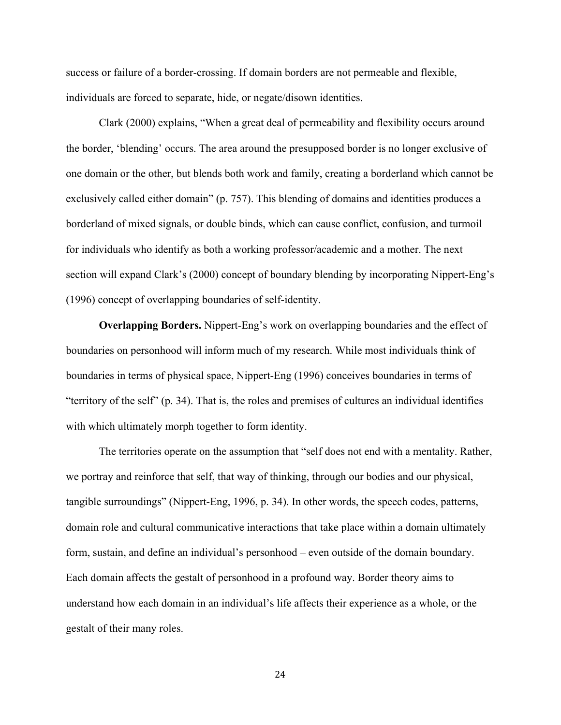success or failure of a border-crossing. If domain borders are not permeable and flexible, individuals are forced to separate, hide, or negate/disown identities.

Clark (2000) explains, "When a great deal of permeability and flexibility occurs around the border, 'blending' occurs. The area around the presupposed border is no longer exclusive of one domain or the other, but blends both work and family, creating a borderland which cannot be exclusively called either domain" (p. 757). This blending of domains and identities produces a borderland of mixed signals, or double binds, which can cause conflict, confusion, and turmoil for individuals who identify as both a working professor/academic and a mother. The next section will expand Clark's (2000) concept of boundary blending by incorporating Nippert-Eng's (1996) concept of overlapping boundaries of self-identity.

**Overlapping Borders.** Nippert-Eng's work on overlapping boundaries and the effect of boundaries on personhood will inform much of my research. While most individuals think of boundaries in terms of physical space, Nippert-Eng (1996) conceives boundaries in terms of "territory of the self" (p. 34). That is, the roles and premises of cultures an individual identifies with which ultimately morph together to form identity.

The territories operate on the assumption that "self does not end with a mentality. Rather, we portray and reinforce that self, that way of thinking, through our bodies and our physical, tangible surroundings" (Nippert-Eng, 1996, p. 34). In other words, the speech codes, patterns, domain role and cultural communicative interactions that take place within a domain ultimately form, sustain, and define an individual's personhood – even outside of the domain boundary. Each domain affects the gestalt of personhood in a profound way. Border theory aims to understand how each domain in an individual's life affects their experience as a whole, or the gestalt of their many roles.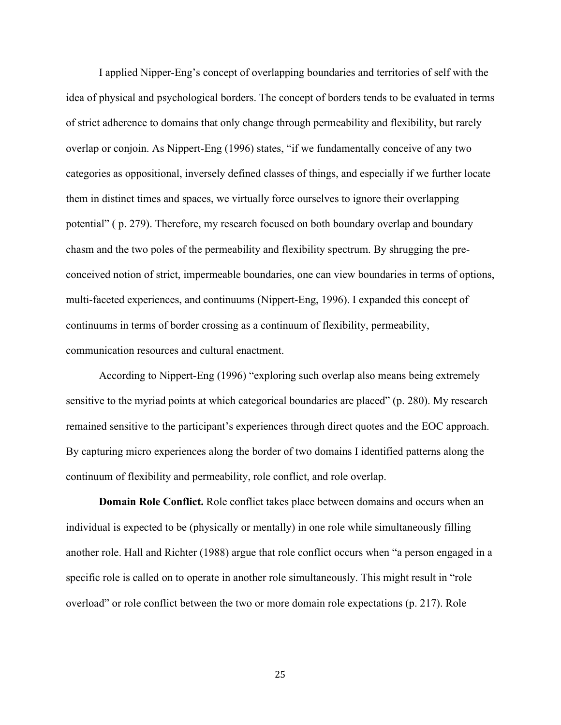I applied Nipper-Eng's concept of overlapping boundaries and territories of self with the idea of physical and psychological borders. The concept of borders tends to be evaluated in terms of strict adherence to domains that only change through permeability and flexibility, but rarely overlap or conjoin. As Nippert-Eng (1996) states, "if we fundamentally conceive of any two categories as oppositional, inversely defined classes of things, and especially if we further locate them in distinct times and spaces, we virtually force ourselves to ignore their overlapping potential" ( p. 279). Therefore, my research focused on both boundary overlap and boundary chasm and the two poles of the permeability and flexibility spectrum. By shrugging the preconceived notion of strict, impermeable boundaries, one can view boundaries in terms of options, multi-faceted experiences, and continuums (Nippert-Eng, 1996). I expanded this concept of continuums in terms of border crossing as a continuum of flexibility, permeability, communication resources and cultural enactment.

According to Nippert-Eng (1996) "exploring such overlap also means being extremely sensitive to the myriad points at which categorical boundaries are placed" (p. 280). My research remained sensitive to the participant's experiences through direct quotes and the EOC approach. By capturing micro experiences along the border of two domains I identified patterns along the continuum of flexibility and permeability, role conflict, and role overlap.

**Domain Role Conflict.** Role conflict takes place between domains and occurs when an individual is expected to be (physically or mentally) in one role while simultaneously filling another role. Hall and Richter (1988) argue that role conflict occurs when "a person engaged in a specific role is called on to operate in another role simultaneously. This might result in "role overload" or role conflict between the two or more domain role expectations (p. 217). Role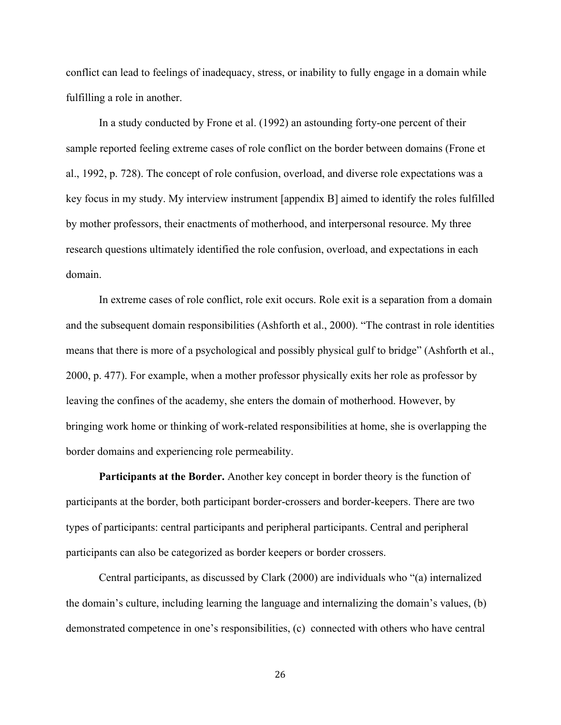conflict can lead to feelings of inadequacy, stress, or inability to fully engage in a domain while fulfilling a role in another.

In a study conducted by Frone et al. (1992) an astounding forty-one percent of their sample reported feeling extreme cases of role conflict on the border between domains (Frone et al., 1992, p. 728). The concept of role confusion, overload, and diverse role expectations was a key focus in my study. My interview instrument [appendix B] aimed to identify the roles fulfilled by mother professors, their enactments of motherhood, and interpersonal resource. My three research questions ultimately identified the role confusion, overload, and expectations in each domain.

In extreme cases of role conflict, role exit occurs. Role exit is a separation from a domain and the subsequent domain responsibilities (Ashforth et al., 2000). "The contrast in role identities means that there is more of a psychological and possibly physical gulf to bridge" (Ashforth et al., 2000, p. 477). For example, when a mother professor physically exits her role as professor by leaving the confines of the academy, she enters the domain of motherhood. However, by bringing work home or thinking of work-related responsibilities at home, she is overlapping the border domains and experiencing role permeability.

**Participants at the Border.** Another key concept in border theory is the function of participants at the border, both participant border-crossers and border-keepers. There are two types of participants: central participants and peripheral participants. Central and peripheral participants can also be categorized as border keepers or border crossers.

Central participants, as discussed by Clark (2000) are individuals who "(a) internalized the domain's culture, including learning the language and internalizing the domain's values, (b) demonstrated competence in one's responsibilities, (c) connected with others who have central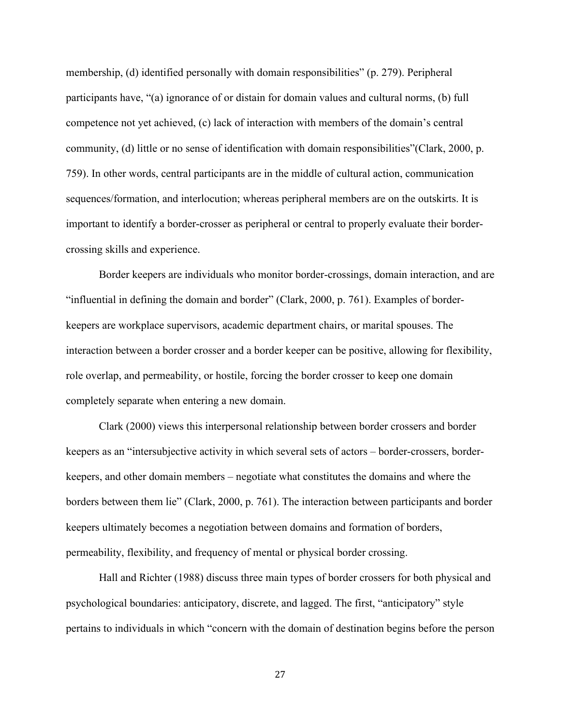membership, (d) identified personally with domain responsibilities" (p. 279). Peripheral participants have, "(a) ignorance of or distain for domain values and cultural norms, (b) full competence not yet achieved, (c) lack of interaction with members of the domain's central community, (d) little or no sense of identification with domain responsibilities"(Clark, 2000, p. 759). In other words, central participants are in the middle of cultural action, communication sequences/formation, and interlocution; whereas peripheral members are on the outskirts. It is important to identify a border-crosser as peripheral or central to properly evaluate their bordercrossing skills and experience.

Border keepers are individuals who monitor border-crossings, domain interaction, and are "influential in defining the domain and border" (Clark, 2000, p. 761). Examples of borderkeepers are workplace supervisors, academic department chairs, or marital spouses. The interaction between a border crosser and a border keeper can be positive, allowing for flexibility, role overlap, and permeability, or hostile, forcing the border crosser to keep one domain completely separate when entering a new domain.

Clark (2000) views this interpersonal relationship between border crossers and border keepers as an "intersubjective activity in which several sets of actors – border-crossers, borderkeepers, and other domain members – negotiate what constitutes the domains and where the borders between them lie" (Clark, 2000, p. 761). The interaction between participants and border keepers ultimately becomes a negotiation between domains and formation of borders, permeability, flexibility, and frequency of mental or physical border crossing.

Hall and Richter (1988) discuss three main types of border crossers for both physical and psychological boundaries: anticipatory, discrete, and lagged. The first, "anticipatory" style pertains to individuals in which "concern with the domain of destination begins before the person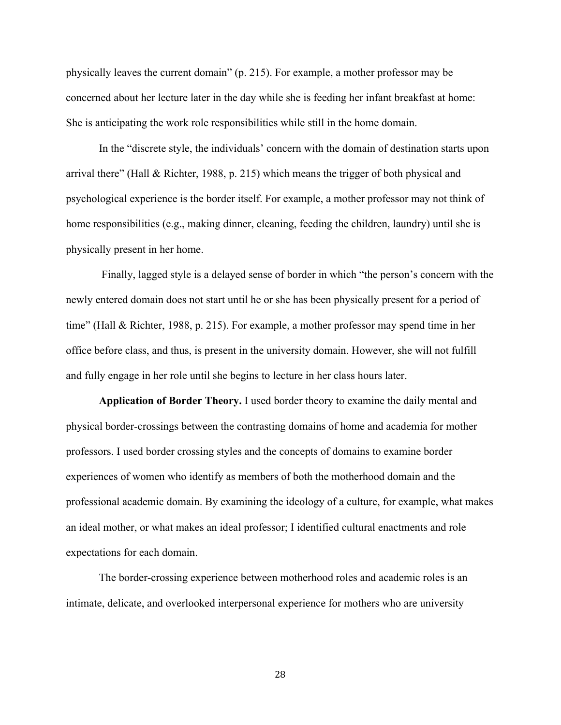physically leaves the current domain" (p. 215). For example, a mother professor may be concerned about her lecture later in the day while she is feeding her infant breakfast at home: She is anticipating the work role responsibilities while still in the home domain.

In the "discrete style, the individuals' concern with the domain of destination starts upon arrival there" (Hall & Richter, 1988, p. 215) which means the trigger of both physical and psychological experience is the border itself. For example, a mother professor may not think of home responsibilities (e.g., making dinner, cleaning, feeding the children, laundry) until she is physically present in her home.

Finally, lagged style is a delayed sense of border in which "the person's concern with the newly entered domain does not start until he or she has been physically present for a period of time" (Hall & Richter, 1988, p. 215). For example, a mother professor may spend time in her office before class, and thus, is present in the university domain. However, she will not fulfill and fully engage in her role until she begins to lecture in her class hours later.

**Application of Border Theory.** I used border theory to examine the daily mental and physical border-crossings between the contrasting domains of home and academia for mother professors. I used border crossing styles and the concepts of domains to examine border experiences of women who identify as members of both the motherhood domain and the professional academic domain. By examining the ideology of a culture, for example, what makes an ideal mother, or what makes an ideal professor; I identified cultural enactments and role expectations for each domain.

The border-crossing experience between motherhood roles and academic roles is an intimate, delicate, and overlooked interpersonal experience for mothers who are university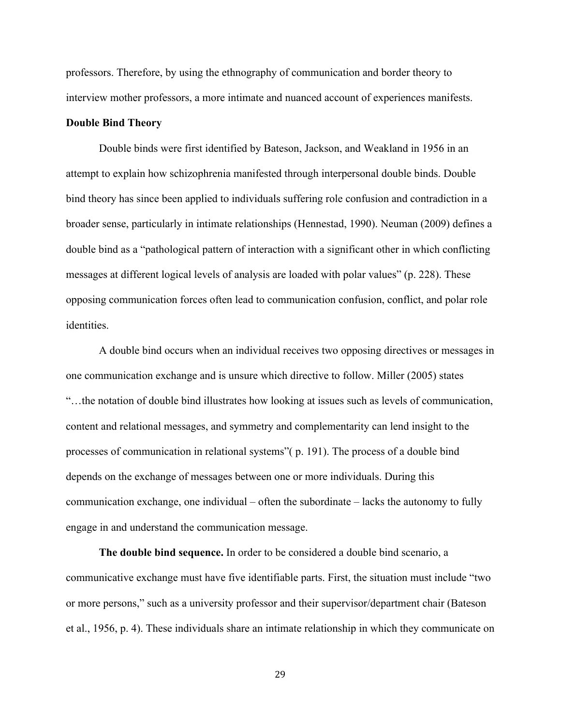professors. Therefore, by using the ethnography of communication and border theory to interview mother professors, a more intimate and nuanced account of experiences manifests.

## **Double Bind Theory**

Double binds were first identified by Bateson, Jackson, and Weakland in 1956 in an attempt to explain how schizophrenia manifested through interpersonal double binds. Double bind theory has since been applied to individuals suffering role confusion and contradiction in a broader sense, particularly in intimate relationships (Hennestad, 1990). Neuman (2009) defines a double bind as a "pathological pattern of interaction with a significant other in which conflicting messages at different logical levels of analysis are loaded with polar values" (p. 228). These opposing communication forces often lead to communication confusion, conflict, and polar role identities.

A double bind occurs when an individual receives two opposing directives or messages in one communication exchange and is unsure which directive to follow. Miller (2005) states "…the notation of double bind illustrates how looking at issues such as levels of communication, content and relational messages, and symmetry and complementarity can lend insight to the processes of communication in relational systems"( p. 191). The process of a double bind depends on the exchange of messages between one or more individuals. During this communication exchange, one individual – often the subordinate – lacks the autonomy to fully engage in and understand the communication message.

**The double bind sequence.** In order to be considered a double bind scenario, a communicative exchange must have five identifiable parts. First, the situation must include "two or more persons," such as a university professor and their supervisor/department chair (Bateson et al., 1956, p. 4). These individuals share an intimate relationship in which they communicate on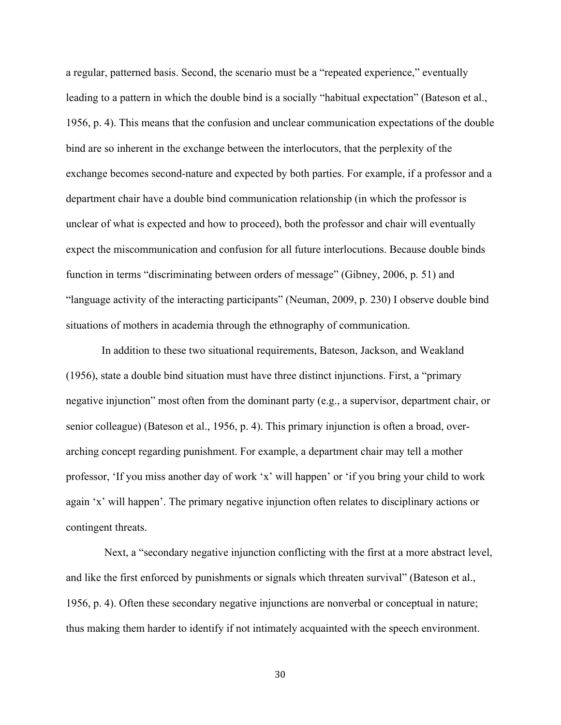a regular, patterned basis. Second, the scenario must be a "repeated experience," eventually leading to a pattern in which the double bind is a socially "habitual expectation" (Bateson et al., 1956, p. 4). This means that the confusion and unclear communication expectations of the double bind are so inherent in the exchange between the interlocutors, that the perplexity of the exchange becomes second-nature and expected by both parties. For example, if a professor and a department chair have a double bind communication relationship (in which the professor is unclear of what is expected and how to proceed), both the professor and chair will eventually expect the miscommunication and confusion for all future interlocutions. Because double binds function in terms "discriminating between orders of message" (Gibney, 2006, p. 51) and "language activity of the interacting participants" (Neuman, 2009, p. 230) I observe double bind situations of mothers in academia through the ethnography of communication.

In addition to these two situational requirements, Bateson, Jackson, and Weakland (1956), state a double bind situation must have three distinct injunctions. First, a "primary negative injunction" most often from the dominant party (e.g., a supervisor, department chair, or senior colleague) (Bateson et al., 1956, p. 4). This primary injunction is often a broad, overarching concept regarding punishment. For example, a department chair may tell a mother professor, 'If you miss another day of work 'x' will happen' or 'if you bring your child to work again 'x' will happen'. The primary negative injunction often relates to disciplinary actions or contingent threats.

 Next, a "secondary negative injunction conflicting with the first at a more abstract level, and like the first enforced by punishments or signals which threaten survival" (Bateson et al., 1956, p. 4). Often these secondary negative injunctions are nonverbal or conceptual in nature; thus making them harder to identify if not intimately acquainted with the speech environment.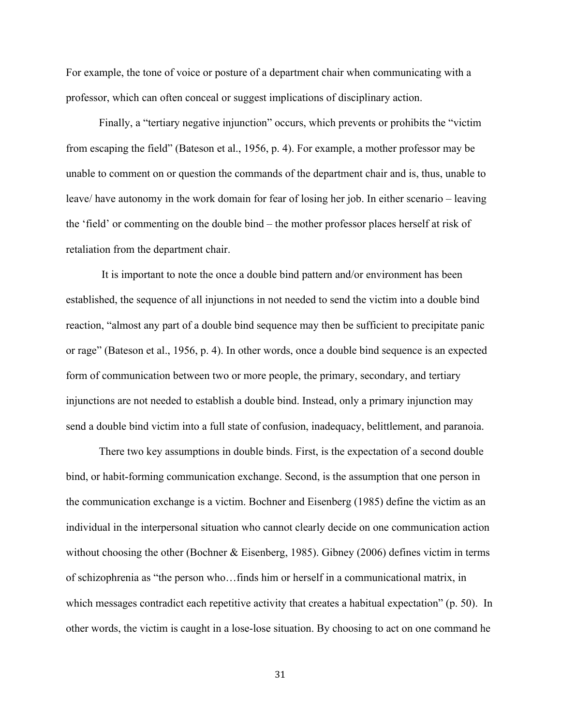For example, the tone of voice or posture of a department chair when communicating with a professor, which can often conceal or suggest implications of disciplinary action.

Finally, a "tertiary negative injunction" occurs, which prevents or prohibits the "victim from escaping the field" (Bateson et al., 1956, p. 4). For example, a mother professor may be unable to comment on or question the commands of the department chair and is, thus, unable to leave/ have autonomy in the work domain for fear of losing her job. In either scenario – leaving the 'field' or commenting on the double bind – the mother professor places herself at risk of retaliation from the department chair.

It is important to note the once a double bind pattern and/or environment has been established, the sequence of all injunctions in not needed to send the victim into a double bind reaction, "almost any part of a double bind sequence may then be sufficient to precipitate panic or rage" (Bateson et al., 1956, p. 4). In other words, once a double bind sequence is an expected form of communication between two or more people, the primary, secondary, and tertiary injunctions are not needed to establish a double bind. Instead, only a primary injunction may send a double bind victim into a full state of confusion, inadequacy, belittlement, and paranoia.

There two key assumptions in double binds. First, is the expectation of a second double bind, or habit-forming communication exchange. Second, is the assumption that one person in the communication exchange is a victim. Bochner and Eisenberg (1985) define the victim as an individual in the interpersonal situation who cannot clearly decide on one communication action without choosing the other (Bochner & Eisenberg, 1985). Gibney (2006) defines victim in terms of schizophrenia as "the person who…finds him or herself in a communicational matrix, in which messages contradict each repetitive activity that creates a habitual expectation" (p. 50). In other words, the victim is caught in a lose-lose situation. By choosing to act on one command he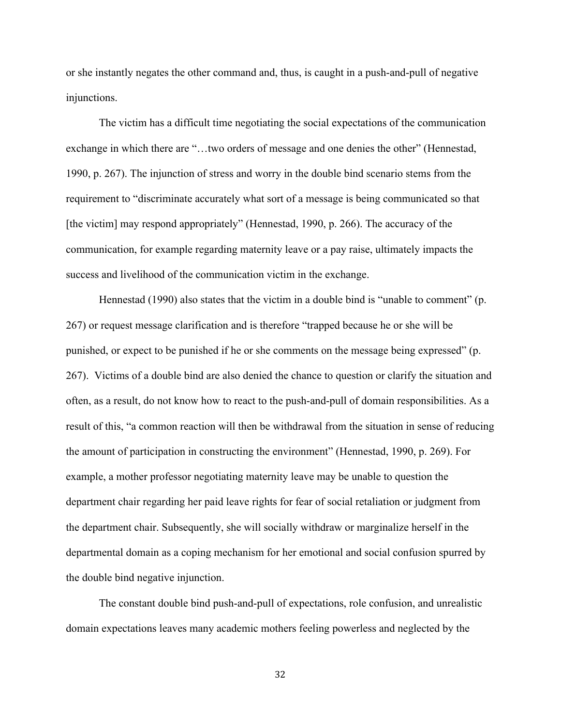or she instantly negates the other command and, thus, is caught in a push-and-pull of negative injunctions.

The victim has a difficult time negotiating the social expectations of the communication exchange in which there are "…two orders of message and one denies the other" (Hennestad, 1990, p. 267). The injunction of stress and worry in the double bind scenario stems from the requirement to "discriminate accurately what sort of a message is being communicated so that [the victim] may respond appropriately" (Hennestad, 1990, p. 266). The accuracy of the communication, for example regarding maternity leave or a pay raise, ultimately impacts the success and livelihood of the communication victim in the exchange.

Hennestad (1990) also states that the victim in a double bind is "unable to comment" (p. 267) or request message clarification and is therefore "trapped because he or she will be punished, or expect to be punished if he or she comments on the message being expressed" (p. 267). Victims of a double bind are also denied the chance to question or clarify the situation and often, as a result, do not know how to react to the push-and-pull of domain responsibilities. As a result of this, "a common reaction will then be withdrawal from the situation in sense of reducing the amount of participation in constructing the environment" (Hennestad, 1990, p. 269). For example, a mother professor negotiating maternity leave may be unable to question the department chair regarding her paid leave rights for fear of social retaliation or judgment from the department chair. Subsequently, she will socially withdraw or marginalize herself in the departmental domain as a coping mechanism for her emotional and social confusion spurred by the double bind negative injunction.

The constant double bind push-and-pull of expectations, role confusion, and unrealistic domain expectations leaves many academic mothers feeling powerless and neglected by the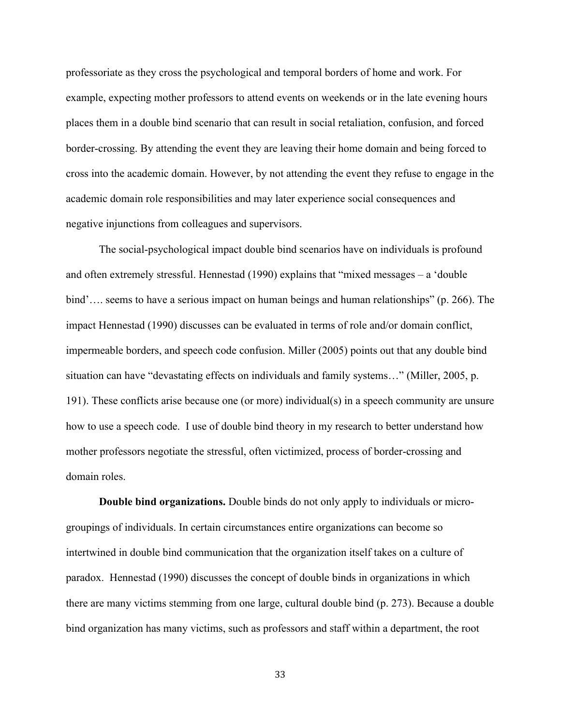professoriate as they cross the psychological and temporal borders of home and work. For example, expecting mother professors to attend events on weekends or in the late evening hours places them in a double bind scenario that can result in social retaliation, confusion, and forced border-crossing. By attending the event they are leaving their home domain and being forced to cross into the academic domain. However, by not attending the event they refuse to engage in the academic domain role responsibilities and may later experience social consequences and negative injunctions from colleagues and supervisors.

The social-psychological impact double bind scenarios have on individuals is profound and often extremely stressful. Hennestad (1990) explains that "mixed messages – a 'double bind'…. seems to have a serious impact on human beings and human relationships" (p. 266). The impact Hennestad (1990) discusses can be evaluated in terms of role and/or domain conflict, impermeable borders, and speech code confusion. Miller (2005) points out that any double bind situation can have "devastating effects on individuals and family systems…" (Miller, 2005, p. 191). These conflicts arise because one (or more) individual(s) in a speech community are unsure how to use a speech code. I use of double bind theory in my research to better understand how mother professors negotiate the stressful, often victimized, process of border-crossing and domain roles.

**Double bind organizations.** Double binds do not only apply to individuals or microgroupings of individuals. In certain circumstances entire organizations can become so intertwined in double bind communication that the organization itself takes on a culture of paradox. Hennestad (1990) discusses the concept of double binds in organizations in which there are many victims stemming from one large, cultural double bind (p. 273). Because a double bind organization has many victims, such as professors and staff within a department, the root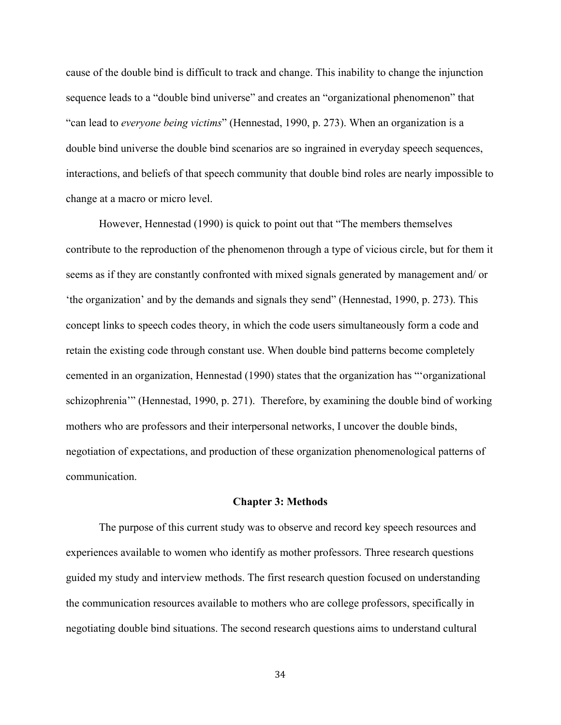cause of the double bind is difficult to track and change. This inability to change the injunction sequence leads to a "double bind universe" and creates an "organizational phenomenon" that "can lead to *everyone being victims*" (Hennestad, 1990, p. 273). When an organization is a double bind universe the double bind scenarios are so ingrained in everyday speech sequences, interactions, and beliefs of that speech community that double bind roles are nearly impossible to change at a macro or micro level.

However, Hennestad (1990) is quick to point out that "The members themselves contribute to the reproduction of the phenomenon through a type of vicious circle, but for them it seems as if they are constantly confronted with mixed signals generated by management and/ or 'the organization' and by the demands and signals they send" (Hennestad, 1990, p. 273). This concept links to speech codes theory, in which the code users simultaneously form a code and retain the existing code through constant use. When double bind patterns become completely cemented in an organization, Hennestad (1990) states that the organization has "'organizational schizophrenia'" (Hennestad, 1990, p. 271). Therefore, by examining the double bind of working mothers who are professors and their interpersonal networks, I uncover the double binds, negotiation of expectations, and production of these organization phenomenological patterns of communication.

#### **Chapter 3: Methods**

The purpose of this current study was to observe and record key speech resources and experiences available to women who identify as mother professors. Three research questions guided my study and interview methods. The first research question focused on understanding the communication resources available to mothers who are college professors, specifically in negotiating double bind situations. The second research questions aims to understand cultural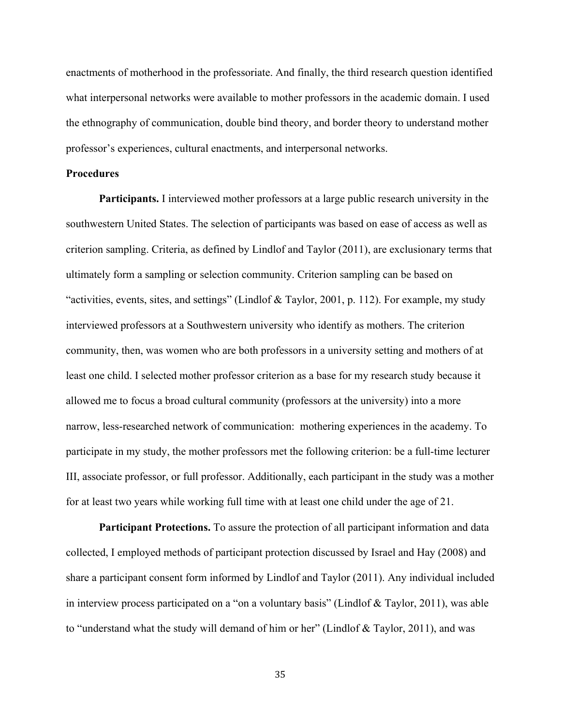enactments of motherhood in the professoriate. And finally, the third research question identified what interpersonal networks were available to mother professors in the academic domain. I used the ethnography of communication, double bind theory, and border theory to understand mother professor's experiences, cultural enactments, and interpersonal networks.

## **Procedures**

**Participants.** I interviewed mother professors at a large public research university in the southwestern United States. The selection of participants was based on ease of access as well as criterion sampling. Criteria, as defined by Lindlof and Taylor (2011), are exclusionary terms that ultimately form a sampling or selection community. Criterion sampling can be based on "activities, events, sites, and settings" (Lindlof & Taylor, 2001, p. 112). For example, my study interviewed professors at a Southwestern university who identify as mothers. The criterion community, then, was women who are both professors in a university setting and mothers of at least one child. I selected mother professor criterion as a base for my research study because it allowed me to focus a broad cultural community (professors at the university) into a more narrow, less-researched network of communication: mothering experiences in the academy. To participate in my study, the mother professors met the following criterion: be a full-time lecturer III, associate professor, or full professor. Additionally, each participant in the study was a mother for at least two years while working full time with at least one child under the age of 21.

**Participant Protections.** To assure the protection of all participant information and data collected, I employed methods of participant protection discussed by Israel and Hay (2008) and share a participant consent form informed by Lindlof and Taylor (2011). Any individual included in interview process participated on a "on a voluntary basis" (Lindlof & Taylor, 2011), was able to "understand what the study will demand of him or her" (Lindlof & Taylor, 2011), and was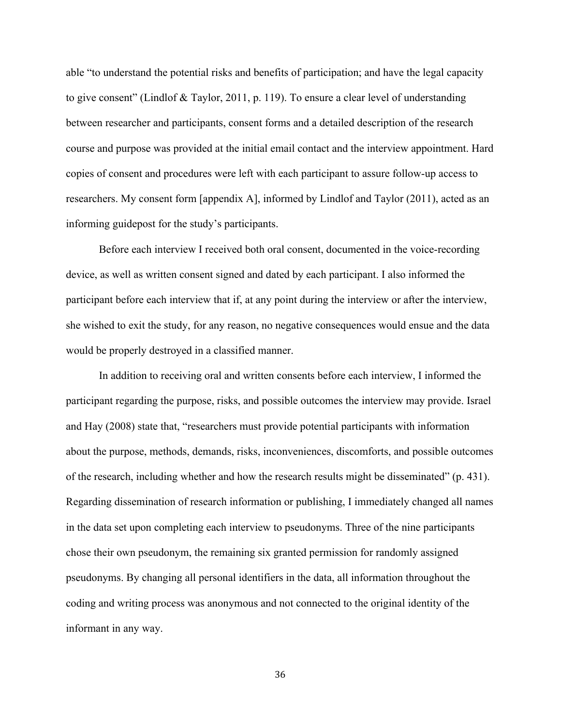able "to understand the potential risks and benefits of participation; and have the legal capacity to give consent" (Lindlof & Taylor, 2011, p. 119). To ensure a clear level of understanding between researcher and participants, consent forms and a detailed description of the research course and purpose was provided at the initial email contact and the interview appointment. Hard copies of consent and procedures were left with each participant to assure follow-up access to researchers. My consent form [appendix A], informed by Lindlof and Taylor (2011), acted as an informing guidepost for the study's participants.

Before each interview I received both oral consent, documented in the voice-recording device, as well as written consent signed and dated by each participant. I also informed the participant before each interview that if, at any point during the interview or after the interview, she wished to exit the study, for any reason, no negative consequences would ensue and the data would be properly destroyed in a classified manner.

In addition to receiving oral and written consents before each interview, I informed the participant regarding the purpose, risks, and possible outcomes the interview may provide. Israel and Hay (2008) state that, "researchers must provide potential participants with information about the purpose, methods, demands, risks, inconveniences, discomforts, and possible outcomes of the research, including whether and how the research results might be disseminated" (p. 431). Regarding dissemination of research information or publishing, I immediately changed all names in the data set upon completing each interview to pseudonyms. Three of the nine participants chose their own pseudonym, the remaining six granted permission for randomly assigned pseudonyms. By changing all personal identifiers in the data, all information throughout the coding and writing process was anonymous and not connected to the original identity of the informant in any way.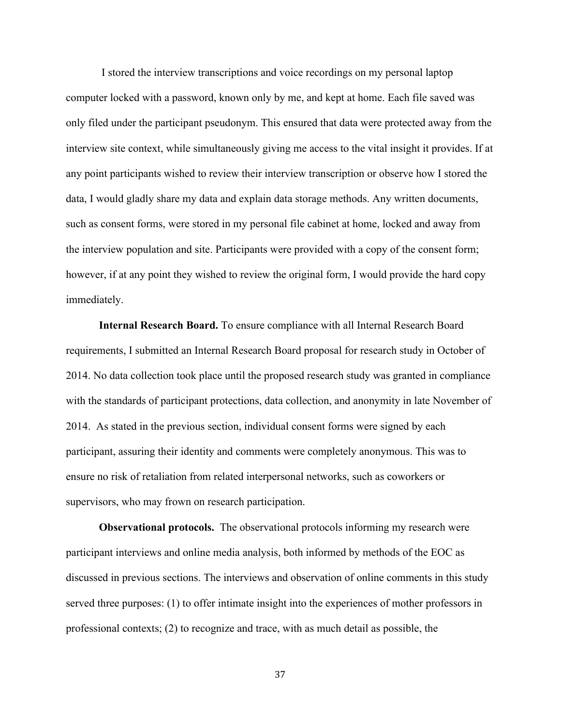I stored the interview transcriptions and voice recordings on my personal laptop computer locked with a password, known only by me, and kept at home. Each file saved was only filed under the participant pseudonym. This ensured that data were protected away from the interview site context, while simultaneously giving me access to the vital insight it provides. If at any point participants wished to review their interview transcription or observe how I stored the data, I would gladly share my data and explain data storage methods. Any written documents, such as consent forms, were stored in my personal file cabinet at home, locked and away from the interview population and site. Participants were provided with a copy of the consent form; however, if at any point they wished to review the original form, I would provide the hard copy immediately.

**Internal Research Board.** To ensure compliance with all Internal Research Board requirements, I submitted an Internal Research Board proposal for research study in October of 2014. No data collection took place until the proposed research study was granted in compliance with the standards of participant protections, data collection, and anonymity in late November of 2014. As stated in the previous section, individual consent forms were signed by each participant, assuring their identity and comments were completely anonymous. This was to ensure no risk of retaliation from related interpersonal networks, such as coworkers or supervisors, who may frown on research participation.

**Observational protocols.** The observational protocols informing my research were participant interviews and online media analysis, both informed by methods of the EOC as discussed in previous sections. The interviews and observation of online comments in this study served three purposes: (1) to offer intimate insight into the experiences of mother professors in professional contexts; (2) to recognize and trace, with as much detail as possible, the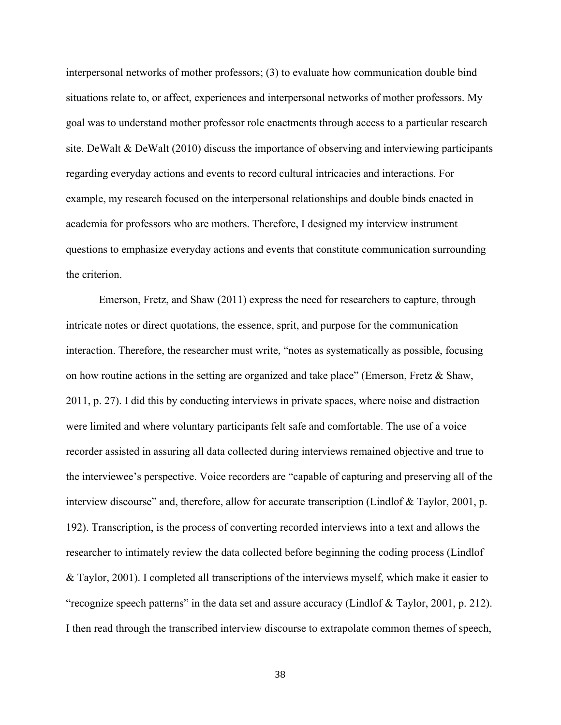interpersonal networks of mother professors; (3) to evaluate how communication double bind situations relate to, or affect, experiences and interpersonal networks of mother professors. My goal was to understand mother professor role enactments through access to a particular research site. DeWalt & DeWalt (2010) discuss the importance of observing and interviewing participants regarding everyday actions and events to record cultural intricacies and interactions. For example, my research focused on the interpersonal relationships and double binds enacted in academia for professors who are mothers. Therefore, I designed my interview instrument questions to emphasize everyday actions and events that constitute communication surrounding the criterion.

Emerson, Fretz, and Shaw (2011) express the need for researchers to capture, through intricate notes or direct quotations, the essence, sprit, and purpose for the communication interaction. Therefore, the researcher must write, "notes as systematically as possible, focusing on how routine actions in the setting are organized and take place" (Emerson, Fretz & Shaw, 2011, p. 27). I did this by conducting interviews in private spaces, where noise and distraction were limited and where voluntary participants felt safe and comfortable. The use of a voice recorder assisted in assuring all data collected during interviews remained objective and true to the interviewee's perspective. Voice recorders are "capable of capturing and preserving all of the interview discourse" and, therefore, allow for accurate transcription (Lindlof & Taylor, 2001, p. 192). Transcription, is the process of converting recorded interviews into a text and allows the researcher to intimately review the data collected before beginning the coding process (Lindlof & Taylor, 2001). I completed all transcriptions of the interviews myself, which make it easier to "recognize speech patterns" in the data set and assure accuracy (Lindlof & Taylor, 2001, p. 212). I then read through the transcribed interview discourse to extrapolate common themes of speech,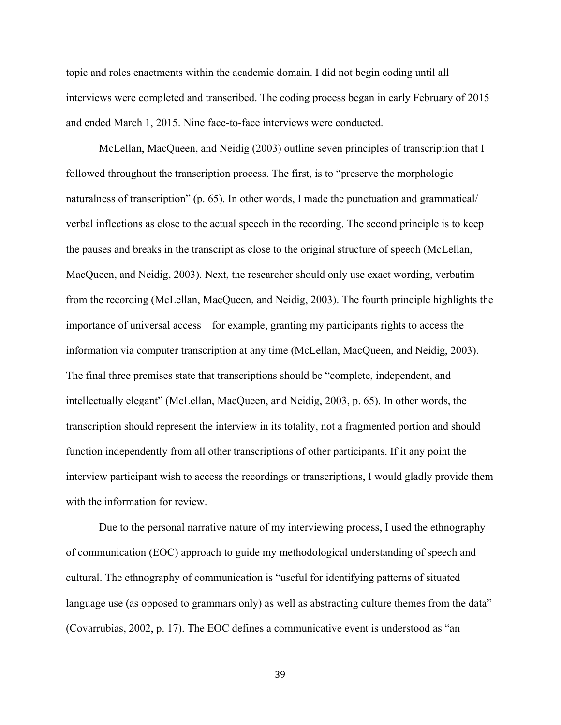topic and roles enactments within the academic domain. I did not begin coding until all interviews were completed and transcribed. The coding process began in early February of 2015 and ended March 1, 2015. Nine face-to-face interviews were conducted.

McLellan, MacQueen, and Neidig (2003) outline seven principles of transcription that I followed throughout the transcription process. The first, is to "preserve the morphologic naturalness of transcription" (p. 65). In other words, I made the punctuation and grammatical/ verbal inflections as close to the actual speech in the recording. The second principle is to keep the pauses and breaks in the transcript as close to the original structure of speech (McLellan, MacQueen, and Neidig, 2003). Next, the researcher should only use exact wording, verbatim from the recording (McLellan, MacQueen, and Neidig, 2003). The fourth principle highlights the importance of universal access – for example, granting my participants rights to access the information via computer transcription at any time (McLellan, MacQueen, and Neidig, 2003). The final three premises state that transcriptions should be "complete, independent, and intellectually elegant" (McLellan, MacQueen, and Neidig, 2003, p. 65). In other words, the transcription should represent the interview in its totality, not a fragmented portion and should function independently from all other transcriptions of other participants. If it any point the interview participant wish to access the recordings or transcriptions, I would gladly provide them with the information for review.

Due to the personal narrative nature of my interviewing process, I used the ethnography of communication (EOC) approach to guide my methodological understanding of speech and cultural. The ethnography of communication is "useful for identifying patterns of situated language use (as opposed to grammars only) as well as abstracting culture themes from the data" (Covarrubias, 2002, p. 17). The EOC defines a communicative event is understood as "an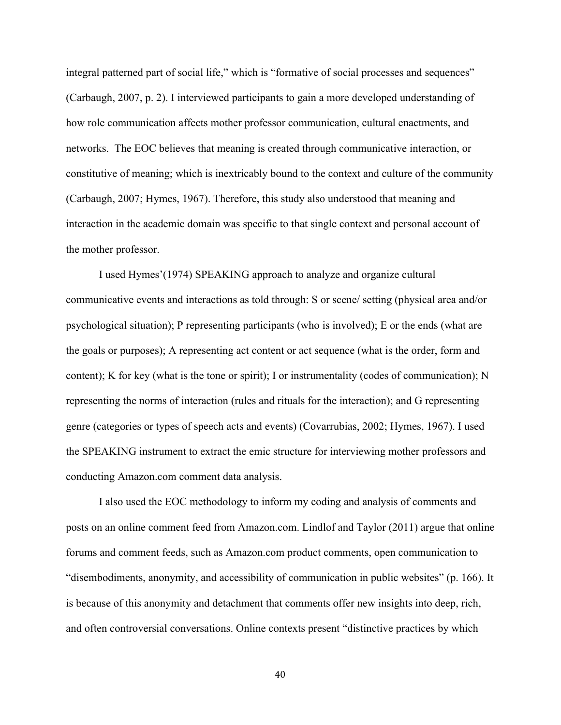integral patterned part of social life," which is "formative of social processes and sequences" (Carbaugh, 2007, p. 2). I interviewed participants to gain a more developed understanding of how role communication affects mother professor communication, cultural enactments, and networks. The EOC believes that meaning is created through communicative interaction, or constitutive of meaning; which is inextricably bound to the context and culture of the community (Carbaugh, 2007; Hymes, 1967). Therefore, this study also understood that meaning and interaction in the academic domain was specific to that single context and personal account of the mother professor.

I used Hymes'(1974) SPEAKING approach to analyze and organize cultural communicative events and interactions as told through: S or scene/ setting (physical area and/or psychological situation); P representing participants (who is involved); E or the ends (what are the goals or purposes); A representing act content or act sequence (what is the order, form and content); K for key (what is the tone or spirit); I or instrumentality (codes of communication); N representing the norms of interaction (rules and rituals for the interaction); and G representing genre (categories or types of speech acts and events) (Covarrubias, 2002; Hymes, 1967). I used the SPEAKING instrument to extract the emic structure for interviewing mother professors and conducting Amazon.com comment data analysis.

I also used the EOC methodology to inform my coding and analysis of comments and posts on an online comment feed from Amazon.com. Lindlof and Taylor (2011) argue that online forums and comment feeds, such as Amazon.com product comments, open communication to "disembodiments, anonymity, and accessibility of communication in public websites" (p. 166). It is because of this anonymity and detachment that comments offer new insights into deep, rich, and often controversial conversations. Online contexts present "distinctive practices by which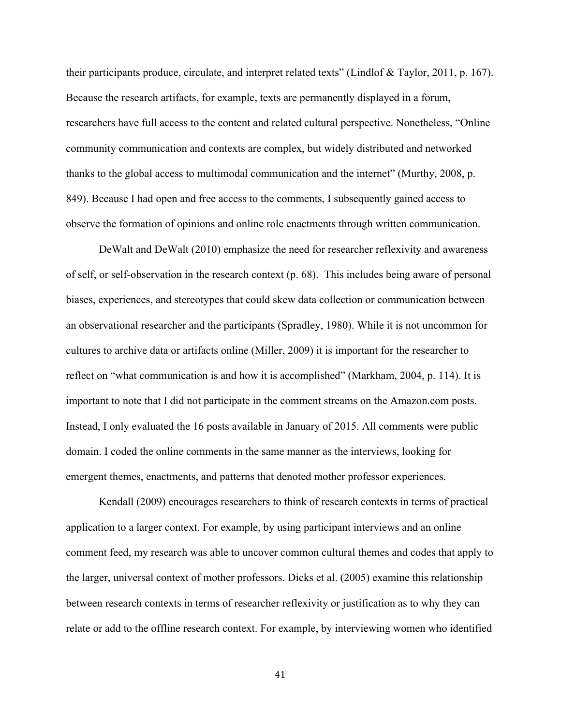their participants produce, circulate, and interpret related texts" (Lindlof & Taylor, 2011, p. 167). Because the research artifacts, for example, texts are permanently displayed in a forum, researchers have full access to the content and related cultural perspective. Nonetheless, "Online community communication and contexts are complex, but widely distributed and networked thanks to the global access to multimodal communication and the internet" (Murthy, 2008, p. 849). Because I had open and free access to the comments, I subsequently gained access to observe the formation of opinions and online role enactments through written communication.

DeWalt and DeWalt (2010) emphasize the need for researcher reflexivity and awareness of self, or self-observation in the research context (p. 68). This includes being aware of personal biases, experiences, and stereotypes that could skew data collection or communication between an observational researcher and the participants (Spradley, 1980). While it is not uncommon for cultures to archive data or artifacts online (Miller, 2009) it is important for the researcher to reflect on "what communication is and how it is accomplished" (Markham, 2004, p. 114). It is important to note that I did not participate in the comment streams on the Amazon.com posts. Instead, I only evaluated the 16 posts available in January of 2015. All comments were public domain. I coded the online comments in the same manner as the interviews, looking for emergent themes, enactments, and patterns that denoted mother professor experiences.

Kendall (2009) encourages researchers to think of research contexts in terms of practical application to a larger context. For example, by using participant interviews and an online comment feed, my research was able to uncover common cultural themes and codes that apply to the larger, universal context of mother professors. Dicks et al. (2005) examine this relationship between research contexts in terms of researcher reflexivity or justification as to why they can relate or add to the offline research context. For example, by interviewing women who identified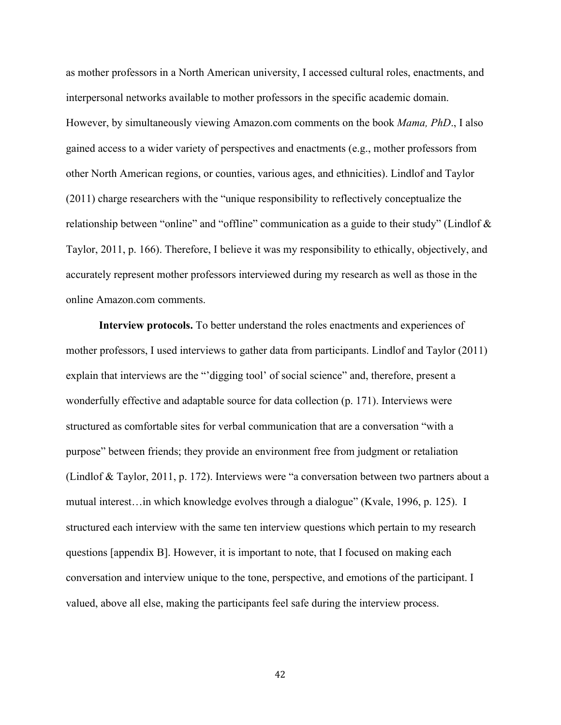as mother professors in a North American university, I accessed cultural roles, enactments, and interpersonal networks available to mother professors in the specific academic domain. However, by simultaneously viewing Amazon.com comments on the book *Mama, PhD*., I also gained access to a wider variety of perspectives and enactments (e.g., mother professors from other North American regions, or counties, various ages, and ethnicities). Lindlof and Taylor (2011) charge researchers with the "unique responsibility to reflectively conceptualize the relationship between "online" and "offline" communication as a guide to their study" (Lindlof & Taylor, 2011, p. 166). Therefore, I believe it was my responsibility to ethically, objectively, and accurately represent mother professors interviewed during my research as well as those in the online Amazon.com comments.

**Interview protocols.** To better understand the roles enactments and experiences of mother professors, I used interviews to gather data from participants. Lindlof and Taylor (2011) explain that interviews are the "'digging tool' of social science" and, therefore, present a wonderfully effective and adaptable source for data collection (p. 171). Interviews were structured as comfortable sites for verbal communication that are a conversation "with a purpose" between friends; they provide an environment free from judgment or retaliation (Lindlof & Taylor, 2011, p. 172). Interviews were "a conversation between two partners about a mutual interest…in which knowledge evolves through a dialogue" (Kvale, 1996, p. 125). I structured each interview with the same ten interview questions which pertain to my research questions [appendix B]. However, it is important to note, that I focused on making each conversation and interview unique to the tone, perspective, and emotions of the participant. I valued, above all else, making the participants feel safe during the interview process.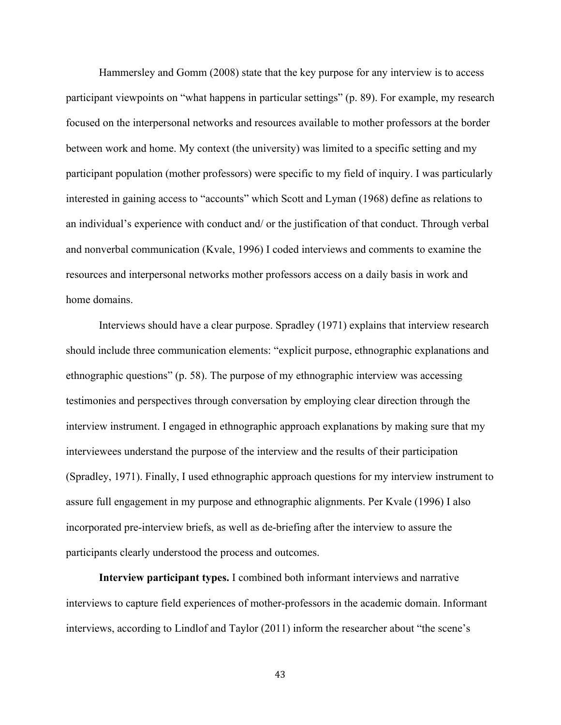Hammersley and Gomm (2008) state that the key purpose for any interview is to access participant viewpoints on "what happens in particular settings" (p. 89). For example, my research focused on the interpersonal networks and resources available to mother professors at the border between work and home. My context (the university) was limited to a specific setting and my participant population (mother professors) were specific to my field of inquiry. I was particularly interested in gaining access to "accounts" which Scott and Lyman (1968) define as relations to an individual's experience with conduct and/ or the justification of that conduct. Through verbal and nonverbal communication (Kvale, 1996) I coded interviews and comments to examine the resources and interpersonal networks mother professors access on a daily basis in work and home domains.

Interviews should have a clear purpose. Spradley (1971) explains that interview research should include three communication elements: "explicit purpose, ethnographic explanations and ethnographic questions" (p. 58). The purpose of my ethnographic interview was accessing testimonies and perspectives through conversation by employing clear direction through the interview instrument. I engaged in ethnographic approach explanations by making sure that my interviewees understand the purpose of the interview and the results of their participation (Spradley, 1971). Finally, I used ethnographic approach questions for my interview instrument to assure full engagement in my purpose and ethnographic alignments. Per Kvale (1996) I also incorporated pre-interview briefs, as well as de-briefing after the interview to assure the participants clearly understood the process and outcomes.

**Interview participant types.** I combined both informant interviews and narrative interviews to capture field experiences of mother-professors in the academic domain. Informant interviews, according to Lindlof and Taylor (2011) inform the researcher about "the scene's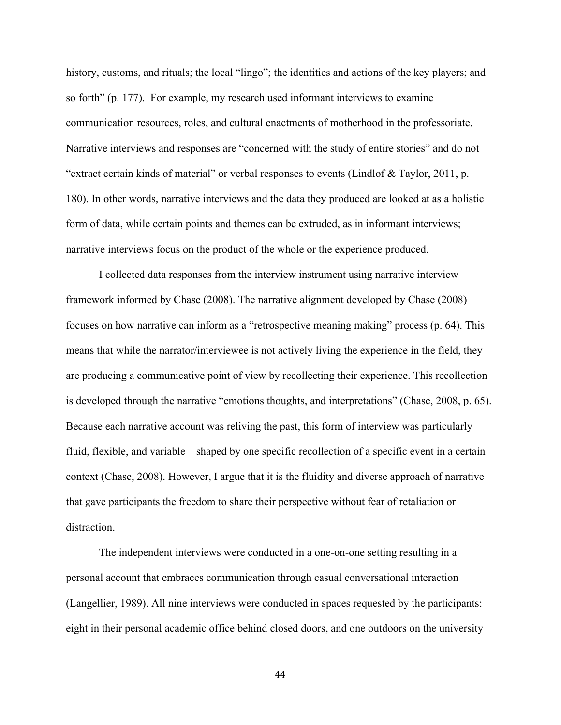history, customs, and rituals; the local "lingo"; the identities and actions of the key players; and so forth" (p. 177). For example, my research used informant interviews to examine communication resources, roles, and cultural enactments of motherhood in the professoriate. Narrative interviews and responses are "concerned with the study of entire stories" and do not "extract certain kinds of material" or verbal responses to events (Lindlof & Taylor, 2011, p. 180). In other words, narrative interviews and the data they produced are looked at as a holistic form of data, while certain points and themes can be extruded, as in informant interviews; narrative interviews focus on the product of the whole or the experience produced.

I collected data responses from the interview instrument using narrative interview framework informed by Chase (2008). The narrative alignment developed by Chase (2008) focuses on how narrative can inform as a "retrospective meaning making" process (p. 64). This means that while the narrator/interviewee is not actively living the experience in the field, they are producing a communicative point of view by recollecting their experience. This recollection is developed through the narrative "emotions thoughts, and interpretations" (Chase, 2008, p. 65). Because each narrative account was reliving the past, this form of interview was particularly fluid, flexible, and variable – shaped by one specific recollection of a specific event in a certain context (Chase, 2008). However, I argue that it is the fluidity and diverse approach of narrative that gave participants the freedom to share their perspective without fear of retaliation or distraction.

The independent interviews were conducted in a one-on-one setting resulting in a personal account that embraces communication through casual conversational interaction (Langellier, 1989). All nine interviews were conducted in spaces requested by the participants: eight in their personal academic office behind closed doors, and one outdoors on the university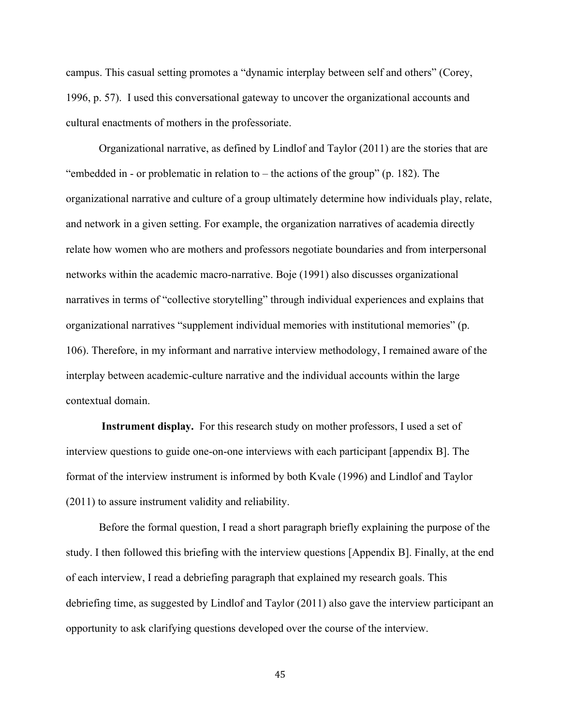campus. This casual setting promotes a "dynamic interplay between self and others" (Corey, 1996, p. 57). I used this conversational gateway to uncover the organizational accounts and cultural enactments of mothers in the professoriate.

Organizational narrative, as defined by Lindlof and Taylor (2011) are the stories that are "embedded in - or problematic in relation to  $-$  the actions of the group" (p. 182). The organizational narrative and culture of a group ultimately determine how individuals play, relate, and network in a given setting. For example, the organization narratives of academia directly relate how women who are mothers and professors negotiate boundaries and from interpersonal networks within the academic macro-narrative. Boje (1991) also discusses organizational narratives in terms of "collective storytelling" through individual experiences and explains that organizational narratives "supplement individual memories with institutional memories" (p. 106). Therefore, in my informant and narrative interview methodology, I remained aware of the interplay between academic-culture narrative and the individual accounts within the large contextual domain.

**Instrument display.** For this research study on mother professors, I used a set of interview questions to guide one-on-one interviews with each participant [appendix B]. The format of the interview instrument is informed by both Kvale (1996) and Lindlof and Taylor (2011) to assure instrument validity and reliability.

Before the formal question, I read a short paragraph briefly explaining the purpose of the study. I then followed this briefing with the interview questions [Appendix B]. Finally, at the end of each interview, I read a debriefing paragraph that explained my research goals. This debriefing time, as suggested by Lindlof and Taylor (2011) also gave the interview participant an opportunity to ask clarifying questions developed over the course of the interview.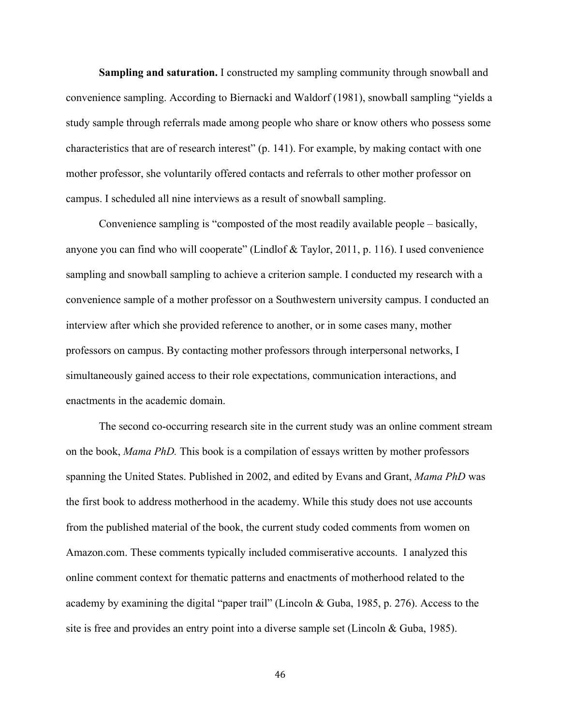**Sampling and saturation.** I constructed my sampling community through snowball and convenience sampling. According to Biernacki and Waldorf (1981), snowball sampling "yields a study sample through referrals made among people who share or know others who possess some characteristics that are of research interest" (p. 141). For example, by making contact with one mother professor, she voluntarily offered contacts and referrals to other mother professor on campus. I scheduled all nine interviews as a result of snowball sampling.

Convenience sampling is "composted of the most readily available people – basically, anyone you can find who will cooperate" (Lindlof & Taylor, 2011, p. 116). I used convenience sampling and snowball sampling to achieve a criterion sample. I conducted my research with a convenience sample of a mother professor on a Southwestern university campus. I conducted an interview after which she provided reference to another, or in some cases many, mother professors on campus. By contacting mother professors through interpersonal networks, I simultaneously gained access to their role expectations, communication interactions, and enactments in the academic domain.

The second co-occurring research site in the current study was an online comment stream on the book, *Mama PhD.* This book is a compilation of essays written by mother professors spanning the United States. Published in 2002, and edited by Evans and Grant, *Mama PhD* was the first book to address motherhood in the academy. While this study does not use accounts from the published material of the book, the current study coded comments from women on Amazon.com. These comments typically included commiserative accounts. I analyzed this online comment context for thematic patterns and enactments of motherhood related to the academy by examining the digital "paper trail" (Lincoln & Guba, 1985, p. 276). Access to the site is free and provides an entry point into a diverse sample set (Lincoln & Guba, 1985).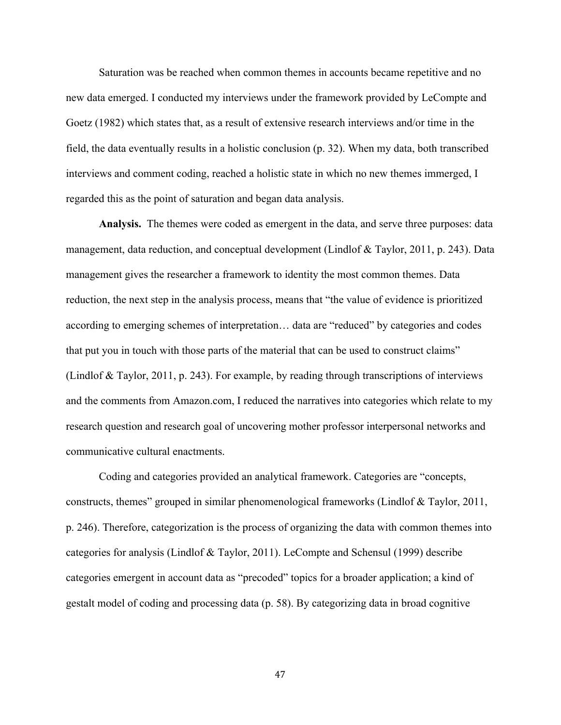Saturation was be reached when common themes in accounts became repetitive and no new data emerged. I conducted my interviews under the framework provided by LeCompte and Goetz (1982) which states that, as a result of extensive research interviews and/or time in the field, the data eventually results in a holistic conclusion (p. 32). When my data, both transcribed interviews and comment coding, reached a holistic state in which no new themes immerged, I regarded this as the point of saturation and began data analysis.

**Analysis.** The themes were coded as emergent in the data, and serve three purposes: data management, data reduction, and conceptual development (Lindlof & Taylor, 2011, p. 243). Data management gives the researcher a framework to identity the most common themes. Data reduction, the next step in the analysis process, means that "the value of evidence is prioritized according to emerging schemes of interpretation… data are "reduced" by categories and codes that put you in touch with those parts of the material that can be used to construct claims" (Lindlof & Taylor, 2011, p. 243). For example, by reading through transcriptions of interviews and the comments from Amazon.com, I reduced the narratives into categories which relate to my research question and research goal of uncovering mother professor interpersonal networks and communicative cultural enactments.

Coding and categories provided an analytical framework. Categories are "concepts, constructs, themes" grouped in similar phenomenological frameworks (Lindlof & Taylor, 2011, p. 246). Therefore, categorization is the process of organizing the data with common themes into categories for analysis (Lindlof & Taylor, 2011). LeCompte and Schensul (1999) describe categories emergent in account data as "precoded" topics for a broader application; a kind of gestalt model of coding and processing data (p. 58). By categorizing data in broad cognitive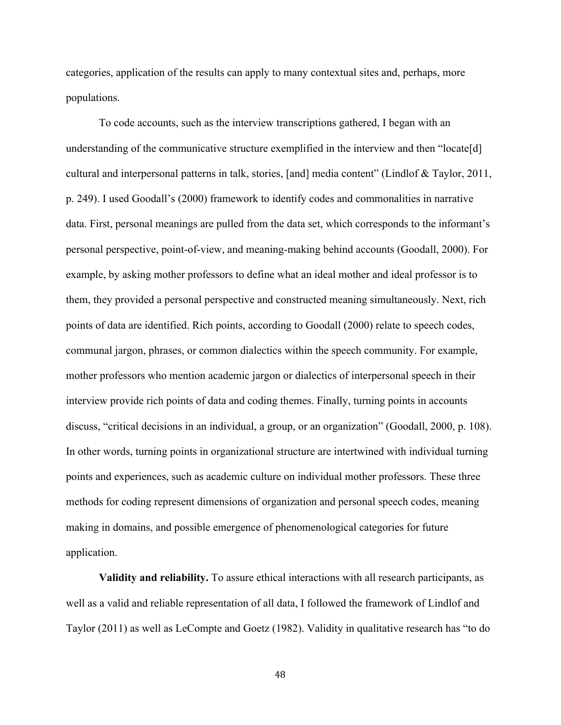categories, application of the results can apply to many contextual sites and, perhaps, more populations.

To code accounts, such as the interview transcriptions gathered, I began with an understanding of the communicative structure exemplified in the interview and then "locate[d] cultural and interpersonal patterns in talk, stories, [and] media content" (Lindlof & Taylor, 2011, p. 249). I used Goodall's (2000) framework to identify codes and commonalities in narrative data. First, personal meanings are pulled from the data set, which corresponds to the informant's personal perspective, point-of-view, and meaning-making behind accounts (Goodall, 2000). For example, by asking mother professors to define what an ideal mother and ideal professor is to them, they provided a personal perspective and constructed meaning simultaneously. Next, rich points of data are identified. Rich points, according to Goodall (2000) relate to speech codes, communal jargon, phrases, or common dialectics within the speech community. For example, mother professors who mention academic jargon or dialectics of interpersonal speech in their interview provide rich points of data and coding themes. Finally, turning points in accounts discuss, "critical decisions in an individual, a group, or an organization" (Goodall, 2000, p. 108). In other words, turning points in organizational structure are intertwined with individual turning points and experiences, such as academic culture on individual mother professors. These three methods for coding represent dimensions of organization and personal speech codes, meaning making in domains, and possible emergence of phenomenological categories for future application.

**Validity and reliability.** To assure ethical interactions with all research participants, as well as a valid and reliable representation of all data, I followed the framework of Lindlof and Taylor (2011) as well as LeCompte and Goetz (1982). Validity in qualitative research has "to do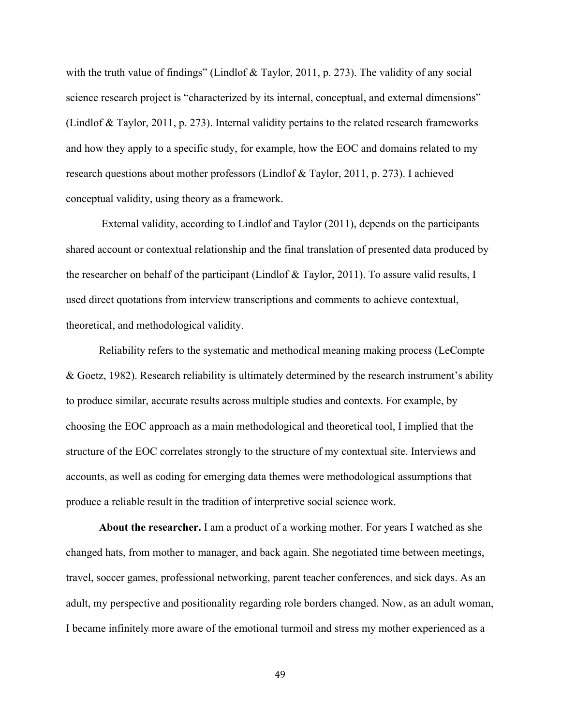with the truth value of findings" (Lindlof & Taylor, 2011, p. 273). The validity of any social science research project is "characterized by its internal, conceptual, and external dimensions" (Lindlof & Taylor, 2011, p. 273). Internal validity pertains to the related research frameworks and how they apply to a specific study, for example, how the EOC and domains related to my research questions about mother professors (Lindlof & Taylor, 2011, p. 273). I achieved conceptual validity, using theory as a framework.

External validity, according to Lindlof and Taylor (2011), depends on the participants shared account or contextual relationship and the final translation of presented data produced by the researcher on behalf of the participant (Lindlof & Taylor, 2011). To assure valid results, I used direct quotations from interview transcriptions and comments to achieve contextual, theoretical, and methodological validity.

Reliability refers to the systematic and methodical meaning making process (LeCompte & Goetz, 1982). Research reliability is ultimately determined by the research instrument's ability to produce similar, accurate results across multiple studies and contexts. For example, by choosing the EOC approach as a main methodological and theoretical tool, I implied that the structure of the EOC correlates strongly to the structure of my contextual site. Interviews and accounts, as well as coding for emerging data themes were methodological assumptions that produce a reliable result in the tradition of interpretive social science work.

**About the researcher.** I am a product of a working mother. For years I watched as she changed hats, from mother to manager, and back again. She negotiated time between meetings, travel, soccer games, professional networking, parent teacher conferences, and sick days. As an adult, my perspective and positionality regarding role borders changed. Now, as an adult woman, I became infinitely more aware of the emotional turmoil and stress my mother experienced as a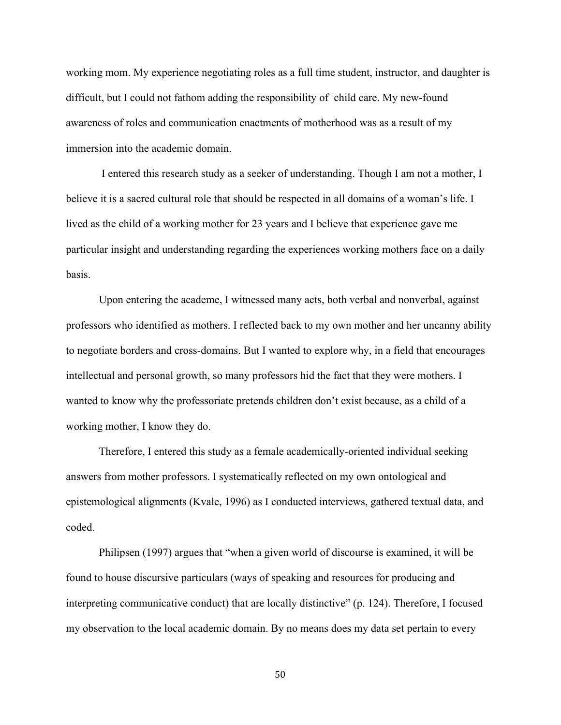working mom. My experience negotiating roles as a full time student, instructor, and daughter is difficult, but I could not fathom adding the responsibility of child care. My new-found awareness of roles and communication enactments of motherhood was as a result of my immersion into the academic domain.

I entered this research study as a seeker of understanding. Though I am not a mother, I believe it is a sacred cultural role that should be respected in all domains of a woman's life. I lived as the child of a working mother for 23 years and I believe that experience gave me particular insight and understanding regarding the experiences working mothers face on a daily basis.

Upon entering the academe, I witnessed many acts, both verbal and nonverbal, against professors who identified as mothers. I reflected back to my own mother and her uncanny ability to negotiate borders and cross-domains. But I wanted to explore why, in a field that encourages intellectual and personal growth, so many professors hid the fact that they were mothers. I wanted to know why the professoriate pretends children don't exist because, as a child of a working mother, I know they do.

Therefore, I entered this study as a female academically-oriented individual seeking answers from mother professors. I systematically reflected on my own ontological and epistemological alignments (Kvale, 1996) as I conducted interviews, gathered textual data, and coded.

Philipsen (1997) argues that "when a given world of discourse is examined, it will be found to house discursive particulars (ways of speaking and resources for producing and interpreting communicative conduct) that are locally distinctive" (p. 124). Therefore, I focused my observation to the local academic domain. By no means does my data set pertain to every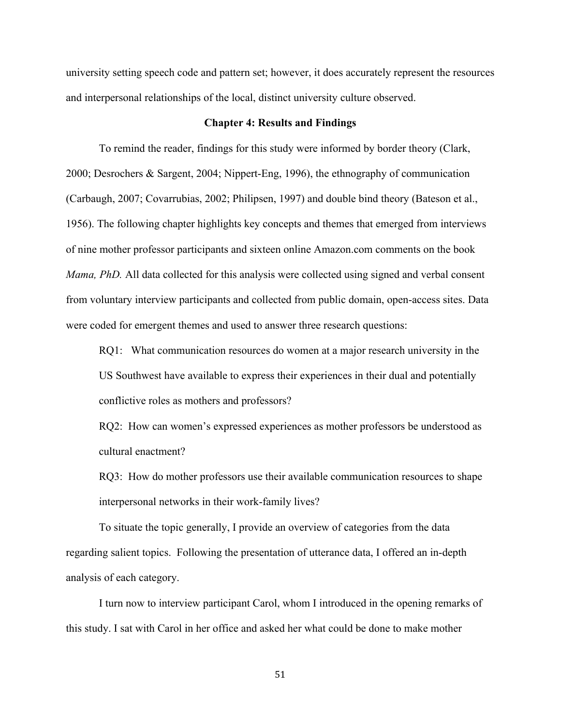university setting speech code and pattern set; however, it does accurately represent the resources and interpersonal relationships of the local, distinct university culture observed.

#### **Chapter 4: Results and Findings**

To remind the reader, findings for this study were informed by border theory (Clark, 2000; Desrochers & Sargent, 2004; Nippert-Eng, 1996), the ethnography of communication (Carbaugh, 2007; Covarrubias, 2002; Philipsen, 1997) and double bind theory (Bateson et al., 1956). The following chapter highlights key concepts and themes that emerged from interviews of nine mother professor participants and sixteen online Amazon.com comments on the book *Mama, PhD.* All data collected for this analysis were collected using signed and verbal consent from voluntary interview participants and collected from public domain, open-access sites. Data were coded for emergent themes and used to answer three research questions:

RQ1: What communication resources do women at a major research university in the US Southwest have available to express their experiences in their dual and potentially conflictive roles as mothers and professors?

RQ2: How can women's expressed experiences as mother professors be understood as cultural enactment?

RQ3: How do mother professors use their available communication resources to shape interpersonal networks in their work-family lives?

To situate the topic generally, I provide an overview of categories from the data regarding salient topics. Following the presentation of utterance data, I offered an in-depth analysis of each category.

I turn now to interview participant Carol, whom I introduced in the opening remarks of this study. I sat with Carol in her office and asked her what could be done to make mother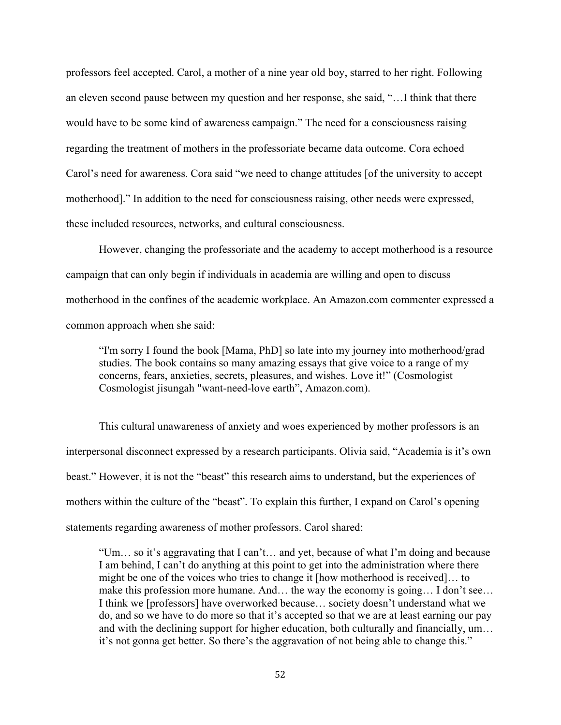professors feel accepted. Carol, a mother of a nine year old boy, starred to her right. Following an eleven second pause between my question and her response, she said, "…I think that there would have to be some kind of awareness campaign." The need for a consciousness raising regarding the treatment of mothers in the professoriate became data outcome. Cora echoed Carol's need for awareness. Cora said "we need to change attitudes [of the university to accept motherhood]." In addition to the need for consciousness raising, other needs were expressed, these included resources, networks, and cultural consciousness.

However, changing the professoriate and the academy to accept motherhood is a resource campaign that can only begin if individuals in academia are willing and open to discuss motherhood in the confines of the academic workplace. An Amazon.com commenter expressed a common approach when she said:

"I'm sorry I found the book [Mama, PhD] so late into my journey into motherhood/grad studies. The book contains so many amazing essays that give voice to a range of my concerns, fears, anxieties, secrets, pleasures, and wishes. Love it!" (Cosmologist Cosmologist jisungah "want-need-love earth", Amazon.com).

This cultural unawareness of anxiety and woes experienced by mother professors is an interpersonal disconnect expressed by a research participants. Olivia said, "Academia is it's own beast." However, it is not the "beast" this research aims to understand, but the experiences of mothers within the culture of the "beast". To explain this further, I expand on Carol's opening statements regarding awareness of mother professors. Carol shared:

"Um… so it's aggravating that I can't… and yet, because of what I'm doing and because I am behind, I can't do anything at this point to get into the administration where there might be one of the voices who tries to change it [how motherhood is received]… to make this profession more humane. And… the way the economy is going… I don't see… I think we [professors] have overworked because… society doesn't understand what we do, and so we have to do more so that it's accepted so that we are at least earning our pay and with the declining support for higher education, both culturally and financially, um… it's not gonna get better. So there's the aggravation of not being able to change this."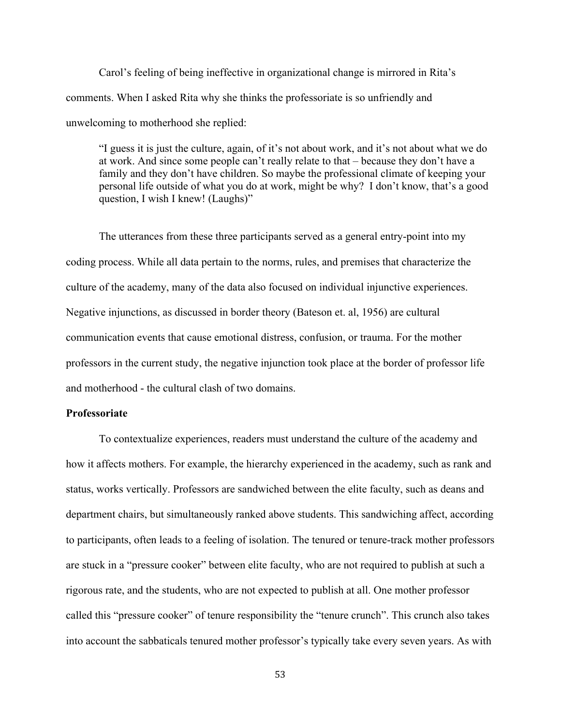Carol's feeling of being ineffective in organizational change is mirrored in Rita's comments. When I asked Rita why she thinks the professoriate is so unfriendly and unwelcoming to motherhood she replied:

"I guess it is just the culture, again, of it's not about work, and it's not about what we do at work. And since some people can't really relate to that – because they don't have a family and they don't have children. So maybe the professional climate of keeping your personal life outside of what you do at work, might be why? I don't know, that's a good question, I wish I knew! (Laughs)"

The utterances from these three participants served as a general entry-point into my coding process. While all data pertain to the norms, rules, and premises that characterize the culture of the academy, many of the data also focused on individual injunctive experiences. Negative injunctions, as discussed in border theory (Bateson et. al, 1956) are cultural communication events that cause emotional distress, confusion, or trauma. For the mother professors in the current study, the negative injunction took place at the border of professor life and motherhood - the cultural clash of two domains.

# **Professoriate**

To contextualize experiences, readers must understand the culture of the academy and how it affects mothers. For example, the hierarchy experienced in the academy, such as rank and status, works vertically. Professors are sandwiched between the elite faculty, such as deans and department chairs, but simultaneously ranked above students. This sandwiching affect, according to participants, often leads to a feeling of isolation. The tenured or tenure-track mother professors are stuck in a "pressure cooker" between elite faculty, who are not required to publish at such a rigorous rate, and the students, who are not expected to publish at all. One mother professor called this "pressure cooker" of tenure responsibility the "tenure crunch". This crunch also takes into account the sabbaticals tenured mother professor's typically take every seven years. As with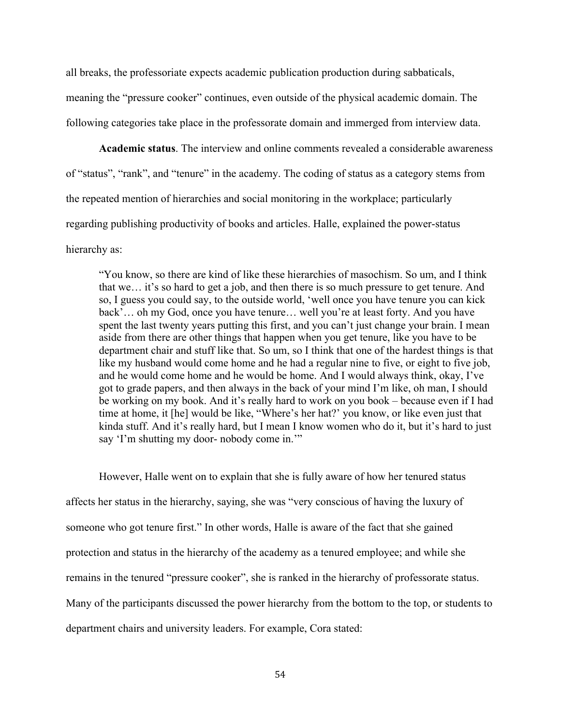all breaks, the professoriate expects academic publication production during sabbaticals, meaning the "pressure cooker" continues, even outside of the physical academic domain. The following categories take place in the professorate domain and immerged from interview data.

**Academic status**. The interview and online comments revealed a considerable awareness of "status", "rank", and "tenure" in the academy. The coding of status as a category stems from the repeated mention of hierarchies and social monitoring in the workplace; particularly regarding publishing productivity of books and articles. Halle, explained the power-status hierarchy as:

"You know, so there are kind of like these hierarchies of masochism. So um, and I think that we… it's so hard to get a job, and then there is so much pressure to get tenure. And so, I guess you could say, to the outside world, 'well once you have tenure you can kick back'... oh my God, once you have tenure... well you're at least forty. And you have spent the last twenty years putting this first, and you can't just change your brain. I mean aside from there are other things that happen when you get tenure, like you have to be department chair and stuff like that. So um, so I think that one of the hardest things is that like my husband would come home and he had a regular nine to five, or eight to five job, and he would come home and he would be home. And I would always think, okay, I've got to grade papers, and then always in the back of your mind I'm like, oh man, I should be working on my book. And it's really hard to work on you book – because even if I had time at home, it [he] would be like, "Where's her hat?' you know, or like even just that kinda stuff. And it's really hard, but I mean I know women who do it, but it's hard to just say 'I'm shutting my door- nobody come in."

However, Halle went on to explain that she is fully aware of how her tenured status affects her status in the hierarchy, saying, she was "very conscious of having the luxury of someone who got tenure first." In other words, Halle is aware of the fact that she gained protection and status in the hierarchy of the academy as a tenured employee; and while she remains in the tenured "pressure cooker", she is ranked in the hierarchy of professorate status. Many of the participants discussed the power hierarchy from the bottom to the top, or students to department chairs and university leaders. For example, Cora stated: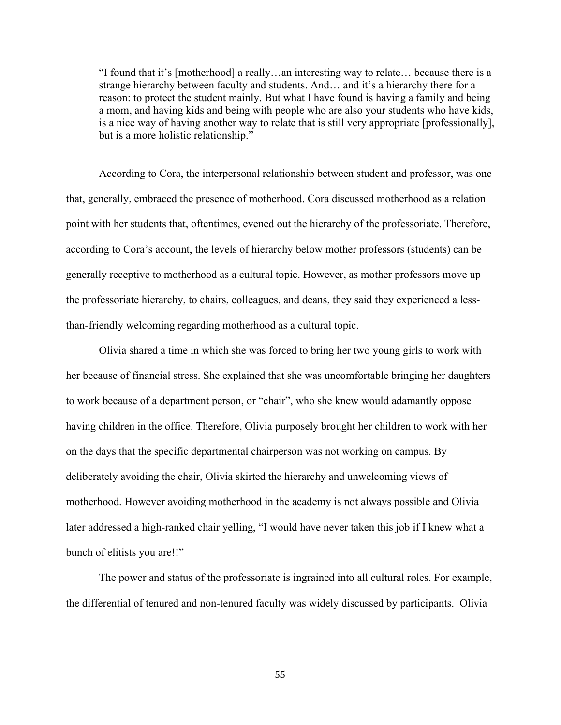"I found that it's [motherhood] a really…an interesting way to relate… because there is a strange hierarchy between faculty and students. And… and it's a hierarchy there for a reason: to protect the student mainly. But what I have found is having a family and being a mom, and having kids and being with people who are also your students who have kids, is a nice way of having another way to relate that is still very appropriate [professionally], but is a more holistic relationship."

According to Cora, the interpersonal relationship between student and professor, was one that, generally, embraced the presence of motherhood. Cora discussed motherhood as a relation point with her students that, oftentimes, evened out the hierarchy of the professoriate. Therefore, according to Cora's account, the levels of hierarchy below mother professors (students) can be generally receptive to motherhood as a cultural topic. However, as mother professors move up the professoriate hierarchy, to chairs, colleagues, and deans, they said they experienced a lessthan-friendly welcoming regarding motherhood as a cultural topic.

Olivia shared a time in which she was forced to bring her two young girls to work with her because of financial stress. She explained that she was uncomfortable bringing her daughters to work because of a department person, or "chair", who she knew would adamantly oppose having children in the office. Therefore, Olivia purposely brought her children to work with her on the days that the specific departmental chairperson was not working on campus. By deliberately avoiding the chair, Olivia skirted the hierarchy and unwelcoming views of motherhood. However avoiding motherhood in the academy is not always possible and Olivia later addressed a high-ranked chair yelling, "I would have never taken this job if I knew what a bunch of elitists you are!!"

The power and status of the professoriate is ingrained into all cultural roles. For example, the differential of tenured and non-tenured faculty was widely discussed by participants. Olivia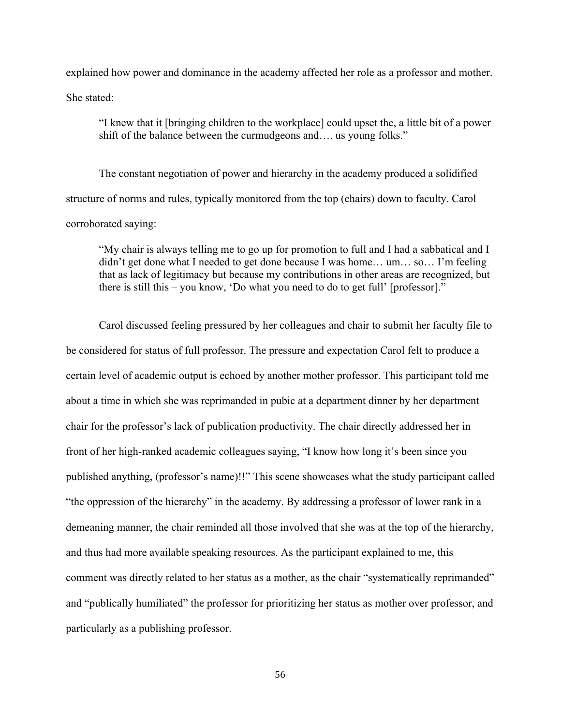explained how power and dominance in the academy affected her role as a professor and mother.

She stated:

"I knew that it [bringing children to the workplace] could upset the, a little bit of a power shift of the balance between the curmudgeons and…. us young folks."

The constant negotiation of power and hierarchy in the academy produced a solidified structure of norms and rules, typically monitored from the top (chairs) down to faculty. Carol corroborated saying:

"My chair is always telling me to go up for promotion to full and I had a sabbatical and I didn't get done what I needed to get done because I was home… um… so… I'm feeling that as lack of legitimacy but because my contributions in other areas are recognized, but there is still this – you know, 'Do what you need to do to get full' [professor]."

Carol discussed feeling pressured by her colleagues and chair to submit her faculty file to be considered for status of full professor. The pressure and expectation Carol felt to produce a certain level of academic output is echoed by another mother professor. This participant told me about a time in which she was reprimanded in pubic at a department dinner by her department chair for the professor's lack of publication productivity. The chair directly addressed her in front of her high-ranked academic colleagues saying, "I know how long it's been since you published anything, (professor's name)!!" This scene showcases what the study participant called "the oppression of the hierarchy" in the academy. By addressing a professor of lower rank in a demeaning manner, the chair reminded all those involved that she was at the top of the hierarchy, and thus had more available speaking resources. As the participant explained to me, this comment was directly related to her status as a mother, as the chair "systematically reprimanded" and "publically humiliated" the professor for prioritizing her status as mother over professor, and particularly as a publishing professor.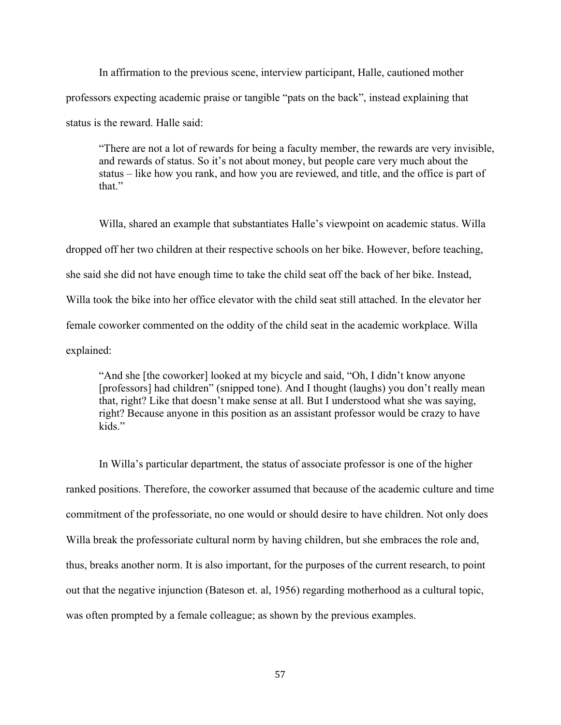In affirmation to the previous scene, interview participant, Halle, cautioned mother professors expecting academic praise or tangible "pats on the back", instead explaining that status is the reward. Halle said:

"There are not a lot of rewards for being a faculty member, the rewards are very invisible, and rewards of status. So it's not about money, but people care very much about the status – like how you rank, and how you are reviewed, and title, and the office is part of that."

Willa, shared an example that substantiates Halle's viewpoint on academic status. Willa dropped off her two children at their respective schools on her bike. However, before teaching, she said she did not have enough time to take the child seat off the back of her bike. Instead, Willa took the bike into her office elevator with the child seat still attached. In the elevator her female coworker commented on the oddity of the child seat in the academic workplace. Willa explained:

"And she [the coworker] looked at my bicycle and said, "Oh, I didn't know anyone [professors] had children" (snipped tone). And I thought (laughs) you don't really mean that, right? Like that doesn't make sense at all. But I understood what she was saying, right? Because anyone in this position as an assistant professor would be crazy to have kids."

In Willa's particular department, the status of associate professor is one of the higher ranked positions. Therefore, the coworker assumed that because of the academic culture and time commitment of the professoriate, no one would or should desire to have children. Not only does Willa break the professoriate cultural norm by having children, but she embraces the role and, thus, breaks another norm. It is also important, for the purposes of the current research, to point out that the negative injunction (Bateson et. al, 1956) regarding motherhood as a cultural topic, was often prompted by a female colleague; as shown by the previous examples.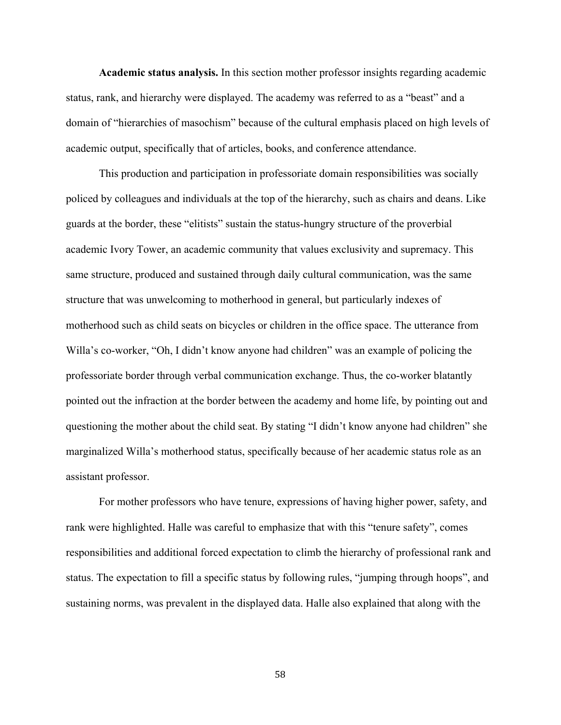**Academic status analysis.** In this section mother professor insights regarding academic status, rank, and hierarchy were displayed. The academy was referred to as a "beast" and a domain of "hierarchies of masochism" because of the cultural emphasis placed on high levels of academic output, specifically that of articles, books, and conference attendance.

This production and participation in professoriate domain responsibilities was socially policed by colleagues and individuals at the top of the hierarchy, such as chairs and deans. Like guards at the border, these "elitists" sustain the status-hungry structure of the proverbial academic Ivory Tower, an academic community that values exclusivity and supremacy. This same structure, produced and sustained through daily cultural communication, was the same structure that was unwelcoming to motherhood in general, but particularly indexes of motherhood such as child seats on bicycles or children in the office space. The utterance from Willa's co-worker, "Oh, I didn't know anyone had children" was an example of policing the professoriate border through verbal communication exchange. Thus, the co-worker blatantly pointed out the infraction at the border between the academy and home life, by pointing out and questioning the mother about the child seat. By stating "I didn't know anyone had children" she marginalized Willa's motherhood status, specifically because of her academic status role as an assistant professor.

For mother professors who have tenure, expressions of having higher power, safety, and rank were highlighted. Halle was careful to emphasize that with this "tenure safety", comes responsibilities and additional forced expectation to climb the hierarchy of professional rank and status. The expectation to fill a specific status by following rules, "jumping through hoops", and sustaining norms, was prevalent in the displayed data. Halle also explained that along with the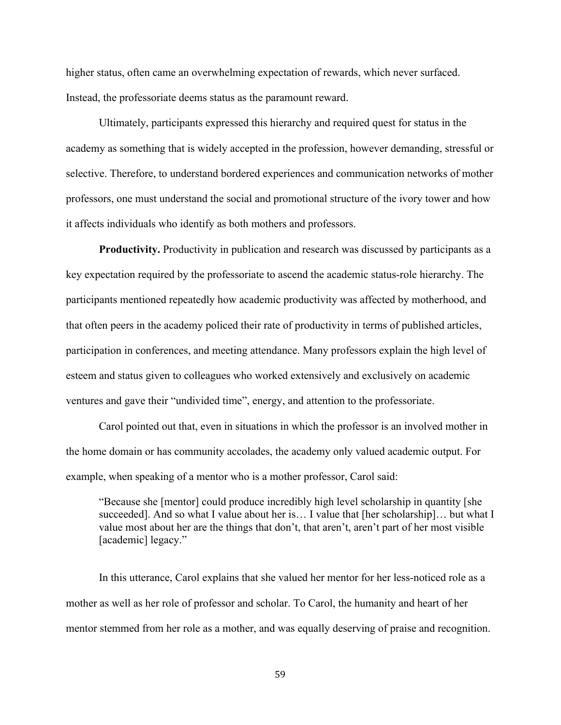higher status, often came an overwhelming expectation of rewards, which never surfaced. Instead, the professoriate deems status as the paramount reward.

Ultimately, participants expressed this hierarchy and required quest for status in the academy as something that is widely accepted in the profession, however demanding, stressful or selective. Therefore, to understand bordered experiences and communication networks of mother professors, one must understand the social and promotional structure of the ivory tower and how it affects individuals who identify as both mothers and professors.

**Productivity.** Productivity in publication and research was discussed by participants as a key expectation required by the professoriate to ascend the academic status-role hierarchy. The participants mentioned repeatedly how academic productivity was affected by motherhood, and that often peers in the academy policed their rate of productivity in terms of published articles, participation in conferences, and meeting attendance. Many professors explain the high level of esteem and status given to colleagues who worked extensively and exclusively on academic ventures and gave their "undivided time", energy, and attention to the professoriate.

Carol pointed out that, even in situations in which the professor is an involved mother in the home domain or has community accolades, the academy only valued academic output. For example, when speaking of a mentor who is a mother professor, Carol said:

"Because she [mentor] could produce incredibly high level scholarship in quantity [she succeeded]. And so what I value about her is… I value that [her scholarship]… but what I value most about her are the things that don't, that aren't, aren't part of her most visible [academic] legacy."

In this utterance, Carol explains that she valued her mentor for her less-noticed role as a mother as well as her role of professor and scholar. To Carol, the humanity and heart of her mentor stemmed from her role as a mother, and was equally deserving of praise and recognition.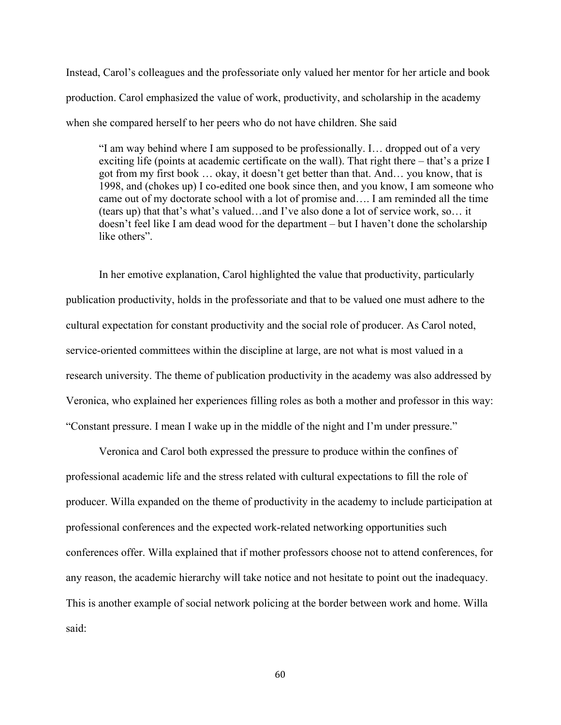Instead, Carol's colleagues and the professoriate only valued her mentor for her article and book production. Carol emphasized the value of work, productivity, and scholarship in the academy when she compared herself to her peers who do not have children. She said

"I am way behind where I am supposed to be professionally. I… dropped out of a very exciting life (points at academic certificate on the wall). That right there – that's a prize I got from my first book … okay, it doesn't get better than that. And… you know, that is 1998, and (chokes up) I co-edited one book since then, and you know, I am someone who came out of my doctorate school with a lot of promise and…. I am reminded all the time (tears up) that that's what's valued…and I've also done a lot of service work, so… it doesn't feel like I am dead wood for the department – but I haven't done the scholarship like others".

In her emotive explanation, Carol highlighted the value that productivity, particularly publication productivity, holds in the professoriate and that to be valued one must adhere to the cultural expectation for constant productivity and the social role of producer. As Carol noted, service-oriented committees within the discipline at large, are not what is most valued in a research university. The theme of publication productivity in the academy was also addressed by Veronica, who explained her experiences filling roles as both a mother and professor in this way: "Constant pressure. I mean I wake up in the middle of the night and I'm under pressure."

Veronica and Carol both expressed the pressure to produce within the confines of professional academic life and the stress related with cultural expectations to fill the role of producer. Willa expanded on the theme of productivity in the academy to include participation at professional conferences and the expected work-related networking opportunities such conferences offer. Willa explained that if mother professors choose not to attend conferences, for any reason, the academic hierarchy will take notice and not hesitate to point out the inadequacy. This is another example of social network policing at the border between work and home. Willa said: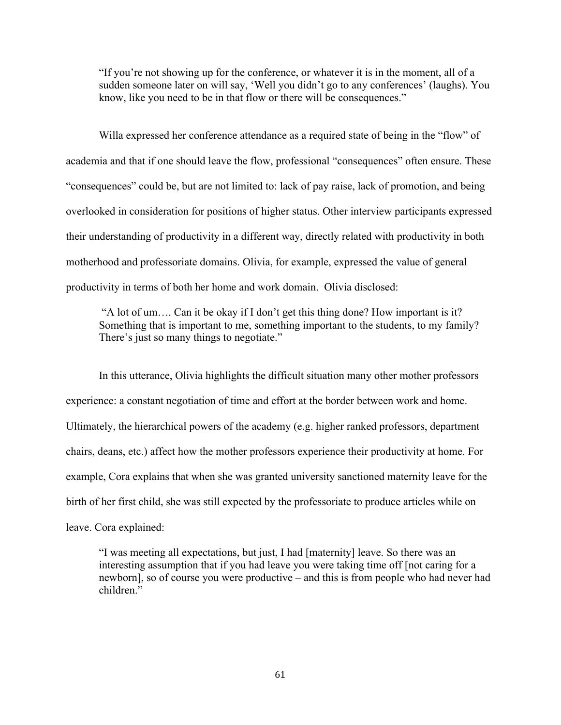"If you're not showing up for the conference, or whatever it is in the moment, all of a sudden someone later on will say, 'Well you didn't go to any conferences' (laughs). You know, like you need to be in that flow or there will be consequences."

Willa expressed her conference attendance as a required state of being in the "flow" of academia and that if one should leave the flow, professional "consequences" often ensure. These "consequences" could be, but are not limited to: lack of pay raise, lack of promotion, and being overlooked in consideration for positions of higher status. Other interview participants expressed their understanding of productivity in a different way, directly related with productivity in both motherhood and professoriate domains. Olivia, for example, expressed the value of general productivity in terms of both her home and work domain. Olivia disclosed:

"A lot of um…. Can it be okay if I don't get this thing done? How important is it? Something that is important to me, something important to the students, to my family? There's just so many things to negotiate."

In this utterance, Olivia highlights the difficult situation many other mother professors experience: a constant negotiation of time and effort at the border between work and home. Ultimately, the hierarchical powers of the academy (e.g. higher ranked professors, department chairs, deans, etc.) affect how the mother professors experience their productivity at home. For example, Cora explains that when she was granted university sanctioned maternity leave for the birth of her first child, she was still expected by the professoriate to produce articles while on leave. Cora explained:

"I was meeting all expectations, but just, I had [maternity] leave. So there was an interesting assumption that if you had leave you were taking time off [not caring for a newborn], so of course you were productive – and this is from people who had never had children<sup>"</sup>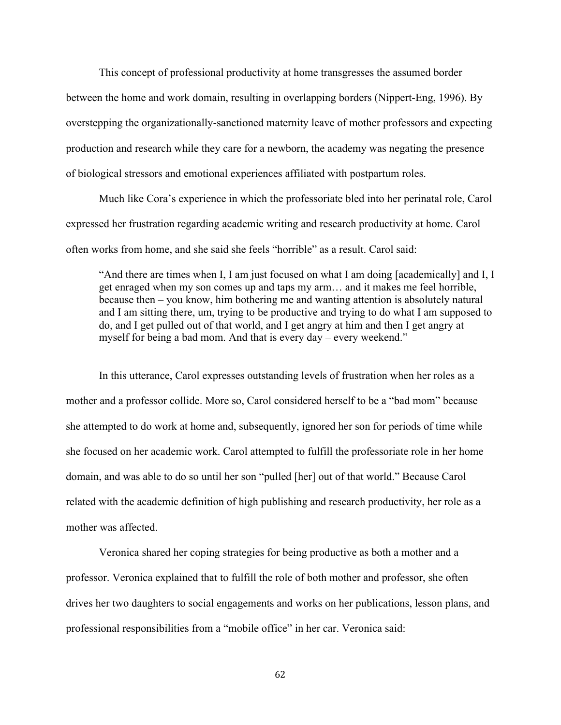This concept of professional productivity at home transgresses the assumed border between the home and work domain, resulting in overlapping borders (Nippert-Eng, 1996). By overstepping the organizationally-sanctioned maternity leave of mother professors and expecting production and research while they care for a newborn, the academy was negating the presence of biological stressors and emotional experiences affiliated with postpartum roles.

Much like Cora's experience in which the professoriate bled into her perinatal role, Carol expressed her frustration regarding academic writing and research productivity at home. Carol often works from home, and she said she feels "horrible" as a result. Carol said:

"And there are times when I, I am just focused on what I am doing [academically] and I, I get enraged when my son comes up and taps my arm… and it makes me feel horrible, because then – you know, him bothering me and wanting attention is absolutely natural and I am sitting there, um, trying to be productive and trying to do what I am supposed to do, and I get pulled out of that world, and I get angry at him and then I get angry at myself for being a bad mom. And that is every day – every weekend."

In this utterance, Carol expresses outstanding levels of frustration when her roles as a mother and a professor collide. More so, Carol considered herself to be a "bad mom" because she attempted to do work at home and, subsequently, ignored her son for periods of time while she focused on her academic work. Carol attempted to fulfill the professoriate role in her home domain, and was able to do so until her son "pulled [her] out of that world." Because Carol related with the academic definition of high publishing and research productivity, her role as a mother was affected.

Veronica shared her coping strategies for being productive as both a mother and a professor. Veronica explained that to fulfill the role of both mother and professor, she often drives her two daughters to social engagements and works on her publications, lesson plans, and professional responsibilities from a "mobile office" in her car. Veronica said: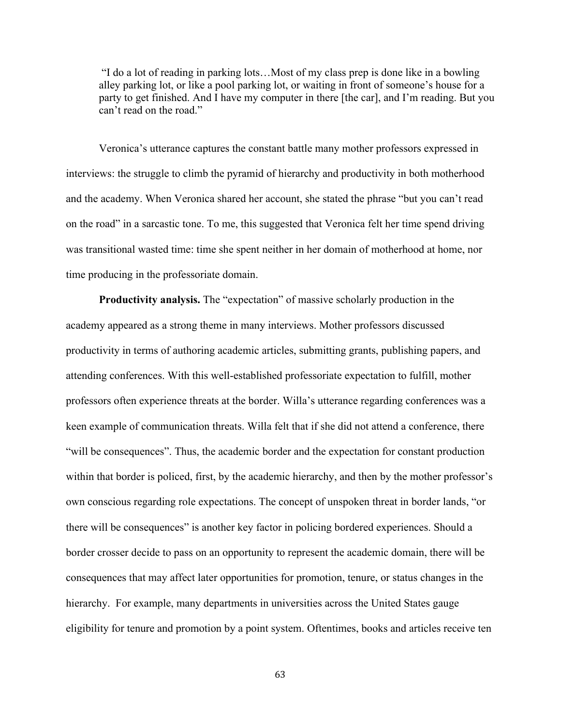"I do a lot of reading in parking lots…Most of my class prep is done like in a bowling alley parking lot, or like a pool parking lot, or waiting in front of someone's house for a party to get finished. And I have my computer in there [the car], and I'm reading. But you can't read on the road."

Veronica's utterance captures the constant battle many mother professors expressed in interviews: the struggle to climb the pyramid of hierarchy and productivity in both motherhood and the academy. When Veronica shared her account, she stated the phrase "but you can't read on the road" in a sarcastic tone. To me, this suggested that Veronica felt her time spend driving was transitional wasted time: time she spent neither in her domain of motherhood at home, nor time producing in the professoriate domain.

**Productivity analysis.** The "expectation" of massive scholarly production in the academy appeared as a strong theme in many interviews. Mother professors discussed productivity in terms of authoring academic articles, submitting grants, publishing papers, and attending conferences. With this well-established professoriate expectation to fulfill, mother professors often experience threats at the border. Willa's utterance regarding conferences was a keen example of communication threats. Willa felt that if she did not attend a conference, there "will be consequences". Thus, the academic border and the expectation for constant production within that border is policed, first, by the academic hierarchy, and then by the mother professor's own conscious regarding role expectations. The concept of unspoken threat in border lands, "or there will be consequences" is another key factor in policing bordered experiences. Should a border crosser decide to pass on an opportunity to represent the academic domain, there will be consequences that may affect later opportunities for promotion, tenure, or status changes in the hierarchy. For example, many departments in universities across the United States gauge eligibility for tenure and promotion by a point system. Oftentimes, books and articles receive ten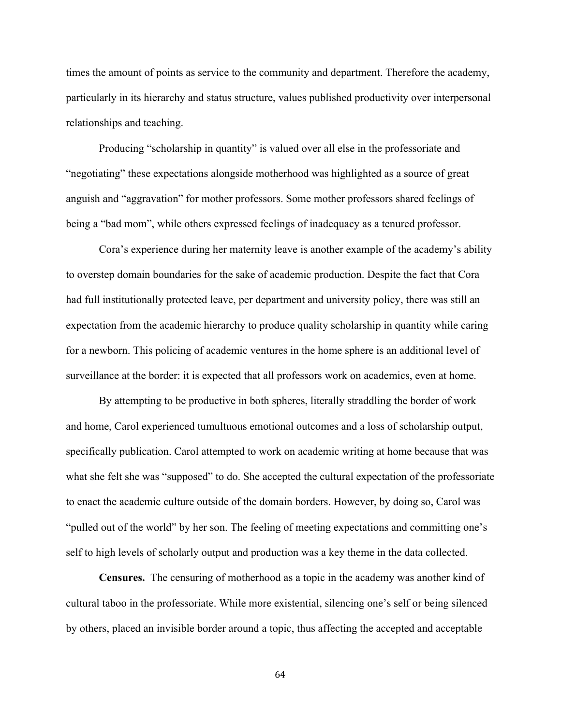times the amount of points as service to the community and department. Therefore the academy, particularly in its hierarchy and status structure, values published productivity over interpersonal relationships and teaching.

Producing "scholarship in quantity" is valued over all else in the professoriate and "negotiating" these expectations alongside motherhood was highlighted as a source of great anguish and "aggravation" for mother professors. Some mother professors shared feelings of being a "bad mom", while others expressed feelings of inadequacy as a tenured professor.

Cora's experience during her maternity leave is another example of the academy's ability to overstep domain boundaries for the sake of academic production. Despite the fact that Cora had full institutionally protected leave, per department and university policy, there was still an expectation from the academic hierarchy to produce quality scholarship in quantity while caring for a newborn. This policing of academic ventures in the home sphere is an additional level of surveillance at the border: it is expected that all professors work on academics, even at home.

By attempting to be productive in both spheres, literally straddling the border of work and home, Carol experienced tumultuous emotional outcomes and a loss of scholarship output, specifically publication. Carol attempted to work on academic writing at home because that was what she felt she was "supposed" to do. She accepted the cultural expectation of the professoriate to enact the academic culture outside of the domain borders. However, by doing so, Carol was "pulled out of the world" by her son. The feeling of meeting expectations and committing one's self to high levels of scholarly output and production was a key theme in the data collected.

**Censures.** The censuring of motherhood as a topic in the academy was another kind of cultural taboo in the professoriate. While more existential, silencing one's self or being silenced by others, placed an invisible border around a topic, thus affecting the accepted and acceptable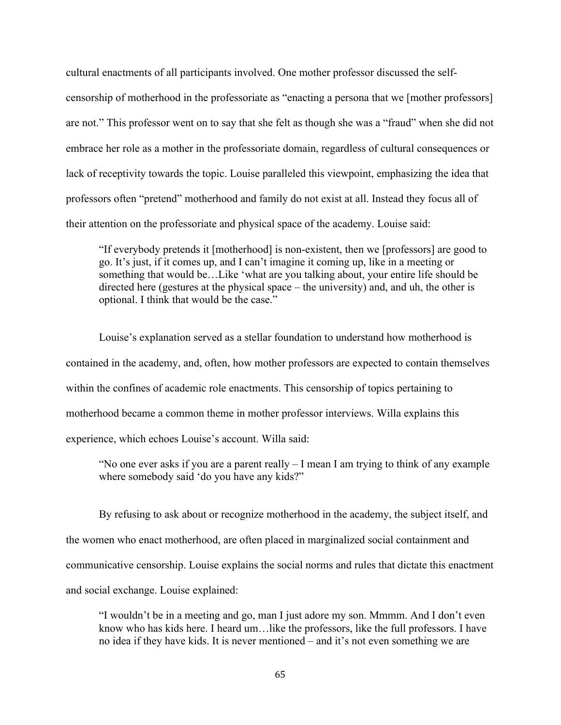cultural enactments of all participants involved. One mother professor discussed the selfcensorship of motherhood in the professoriate as "enacting a persona that we [mother professors] are not." This professor went on to say that she felt as though she was a "fraud" when she did not embrace her role as a mother in the professoriate domain, regardless of cultural consequences or lack of receptivity towards the topic. Louise paralleled this viewpoint, emphasizing the idea that professors often "pretend" motherhood and family do not exist at all. Instead they focus all of their attention on the professoriate and physical space of the academy. Louise said:

"If everybody pretends it [motherhood] is non-existent, then we [professors] are good to go. It's just, if it comes up, and I can't imagine it coming up, like in a meeting or something that would be…Like 'what are you talking about, your entire life should be directed here (gestures at the physical space – the university) and, and uh, the other is optional. I think that would be the case."

Louise's explanation served as a stellar foundation to understand how motherhood is contained in the academy, and, often, how mother professors are expected to contain themselves within the confines of academic role enactments. This censorship of topics pertaining to motherhood became a common theme in mother professor interviews. Willa explains this experience, which echoes Louise's account. Willa said:

"No one ever asks if you are a parent really – I mean I am trying to think of any example where somebody said 'do you have any kids?"

By refusing to ask about or recognize motherhood in the academy, the subject itself, and the women who enact motherhood, are often placed in marginalized social containment and communicative censorship. Louise explains the social norms and rules that dictate this enactment and social exchange. Louise explained:

"I wouldn't be in a meeting and go, man I just adore my son. Mmmm. And I don't even know who has kids here. I heard um…like the professors, like the full professors. I have no idea if they have kids. It is never mentioned – and it's not even something we are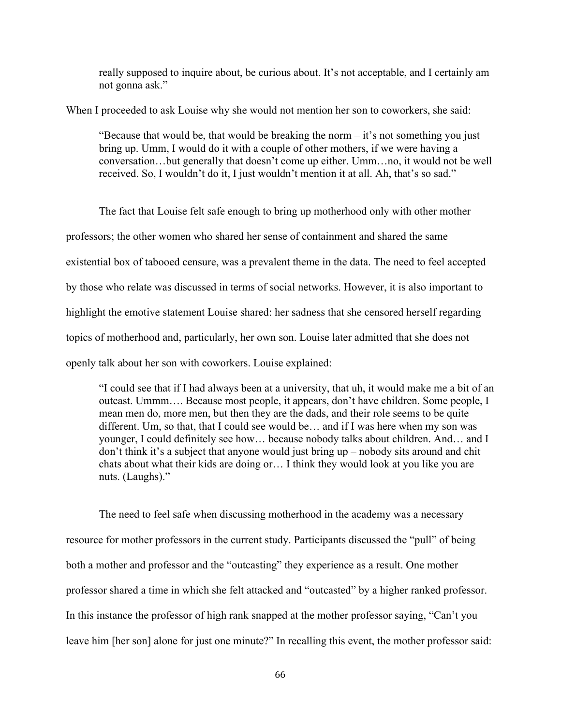really supposed to inquire about, be curious about. It's not acceptable, and I certainly am not gonna ask."

When I proceeded to ask Louise why she would not mention her son to coworkers, she said:

"Because that would be, that would be breaking the norm – it's not something you just bring up. Umm, I would do it with a couple of other mothers, if we were having a conversation…but generally that doesn't come up either. Umm…no, it would not be well received. So, I wouldn't do it, I just wouldn't mention it at all. Ah, that's so sad."

The fact that Louise felt safe enough to bring up motherhood only with other mother professors; the other women who shared her sense of containment and shared the same existential box of tabooed censure, was a prevalent theme in the data. The need to feel accepted by those who relate was discussed in terms of social networks. However, it is also important to highlight the emotive statement Louise shared: her sadness that she censored herself regarding topics of motherhood and, particularly, her own son. Louise later admitted that she does not openly talk about her son with coworkers. Louise explained:

"I could see that if I had always been at a university, that uh, it would make me a bit of an outcast. Ummm…. Because most people, it appears, don't have children. Some people, I mean men do, more men, but then they are the dads, and their role seems to be quite different. Um, so that, that I could see would be… and if I was here when my son was younger, I could definitely see how… because nobody talks about children. And… and I don't think it's a subject that anyone would just bring up – nobody sits around and chit chats about what their kids are doing or… I think they would look at you like you are nuts. (Laughs)."

The need to feel safe when discussing motherhood in the academy was a necessary resource for mother professors in the current study. Participants discussed the "pull" of being both a mother and professor and the "outcasting" they experience as a result. One mother professor shared a time in which she felt attacked and "outcasted" by a higher ranked professor. In this instance the professor of high rank snapped at the mother professor saying, "Can't you leave him [her son] alone for just one minute?" In recalling this event, the mother professor said: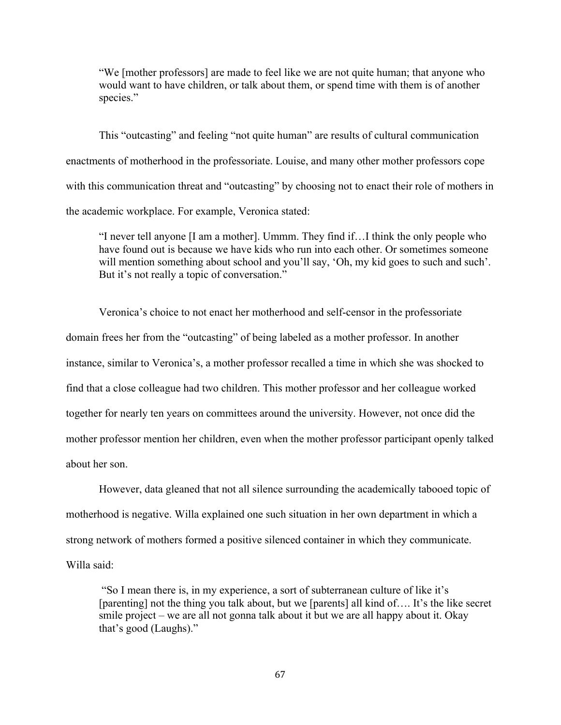"We [mother professors] are made to feel like we are not quite human; that anyone who would want to have children, or talk about them, or spend time with them is of another species."

This "outcasting" and feeling "not quite human" are results of cultural communication enactments of motherhood in the professoriate. Louise, and many other mother professors cope with this communication threat and "outcasting" by choosing not to enact their role of mothers in the academic workplace. For example, Veronica stated:

"I never tell anyone [I am a mother]. Ummm. They find if…I think the only people who have found out is because we have kids who run into each other. Or sometimes someone will mention something about school and you'll say, 'Oh, my kid goes to such and such'. But it's not really a topic of conversation."

Veronica's choice to not enact her motherhood and self-censor in the professoriate domain frees her from the "outcasting" of being labeled as a mother professor. In another instance, similar to Veronica's, a mother professor recalled a time in which she was shocked to find that a close colleague had two children. This mother professor and her colleague worked together for nearly ten years on committees around the university. However, not once did the mother professor mention her children, even when the mother professor participant openly talked about her son.

However, data gleaned that not all silence surrounding the academically tabooed topic of motherhood is negative. Willa explained one such situation in her own department in which a strong network of mothers formed a positive silenced container in which they communicate. Willa said:

"So I mean there is, in my experience, a sort of subterranean culture of like it's [parenting] not the thing you talk about, but we [parents] all kind of…. It's the like secret smile project – we are all not gonna talk about it but we are all happy about it. Okay that's good (Laughs)."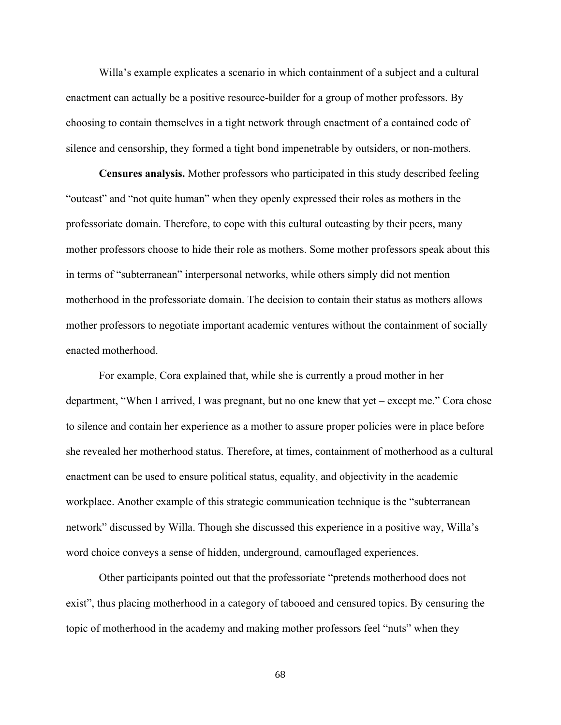Willa's example explicates a scenario in which containment of a subject and a cultural enactment can actually be a positive resource-builder for a group of mother professors. By choosing to contain themselves in a tight network through enactment of a contained code of silence and censorship, they formed a tight bond impenetrable by outsiders, or non-mothers.

**Censures analysis.** Mother professors who participated in this study described feeling "outcast" and "not quite human" when they openly expressed their roles as mothers in the professoriate domain. Therefore, to cope with this cultural outcasting by their peers, many mother professors choose to hide their role as mothers. Some mother professors speak about this in terms of "subterranean" interpersonal networks, while others simply did not mention motherhood in the professoriate domain. The decision to contain their status as mothers allows mother professors to negotiate important academic ventures without the containment of socially enacted motherhood.

For example, Cora explained that, while she is currently a proud mother in her department, "When I arrived, I was pregnant, but no one knew that yet – except me." Cora chose to silence and contain her experience as a mother to assure proper policies were in place before she revealed her motherhood status. Therefore, at times, containment of motherhood as a cultural enactment can be used to ensure political status, equality, and objectivity in the academic workplace. Another example of this strategic communication technique is the "subterranean network" discussed by Willa. Though she discussed this experience in a positive way, Willa's word choice conveys a sense of hidden, underground, camouflaged experiences.

Other participants pointed out that the professoriate "pretends motherhood does not exist", thus placing motherhood in a category of tabooed and censured topics. By censuring the topic of motherhood in the academy and making mother professors feel "nuts" when they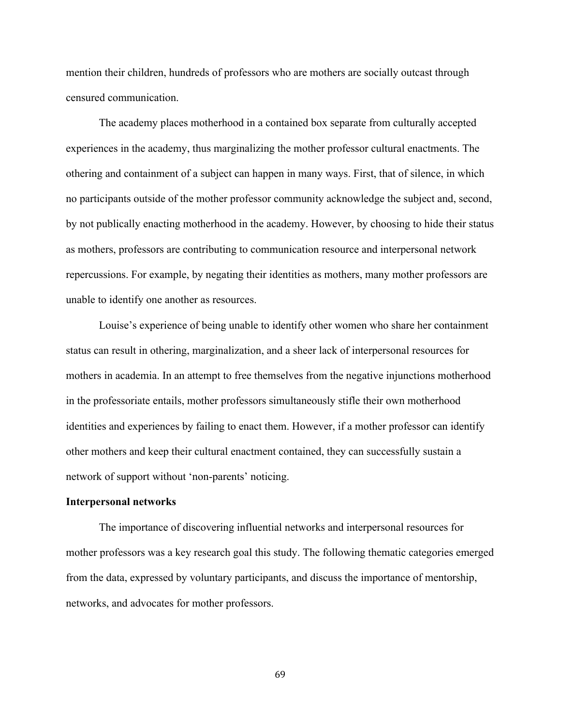mention their children, hundreds of professors who are mothers are socially outcast through censured communication.

The academy places motherhood in a contained box separate from culturally accepted experiences in the academy, thus marginalizing the mother professor cultural enactments. The othering and containment of a subject can happen in many ways. First, that of silence, in which no participants outside of the mother professor community acknowledge the subject and, second, by not publically enacting motherhood in the academy. However, by choosing to hide their status as mothers, professors are contributing to communication resource and interpersonal network repercussions. For example, by negating their identities as mothers, many mother professors are unable to identify one another as resources.

Louise's experience of being unable to identify other women who share her containment status can result in othering, marginalization, and a sheer lack of interpersonal resources for mothers in academia. In an attempt to free themselves from the negative injunctions motherhood in the professoriate entails, mother professors simultaneously stifle their own motherhood identities and experiences by failing to enact them. However, if a mother professor can identify other mothers and keep their cultural enactment contained, they can successfully sustain a network of support without 'non-parents' noticing.

## **Interpersonal networks**

The importance of discovering influential networks and interpersonal resources for mother professors was a key research goal this study. The following thematic categories emerged from the data, expressed by voluntary participants, and discuss the importance of mentorship, networks, and advocates for mother professors.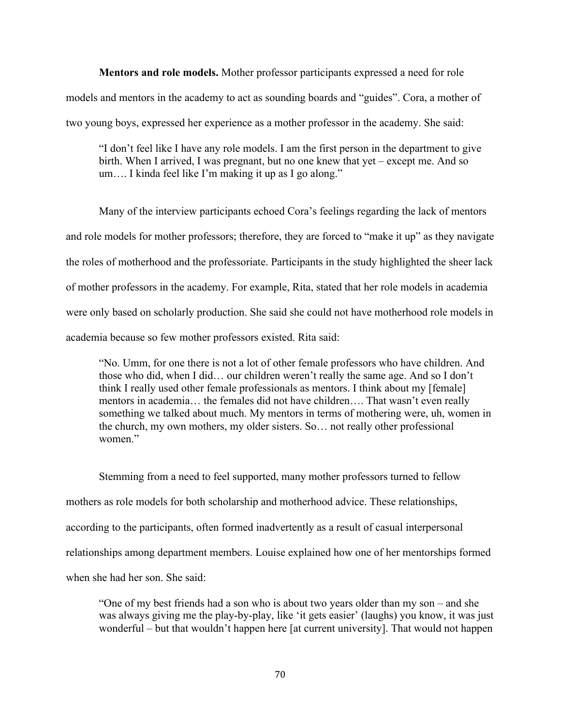**Mentors and role models.** Mother professor participants expressed a need for role models and mentors in the academy to act as sounding boards and "guides". Cora, a mother of two young boys, expressed her experience as a mother professor in the academy. She said:

"I don't feel like I have any role models. I am the first person in the department to give birth. When I arrived, I was pregnant, but no one knew that yet – except me. And so um…. I kinda feel like I'm making it up as I go along."

Many of the interview participants echoed Cora's feelings regarding the lack of mentors and role models for mother professors; therefore, they are forced to "make it up" as they navigate the roles of motherhood and the professoriate. Participants in the study highlighted the sheer lack of mother professors in the academy. For example, Rita, stated that her role models in academia were only based on scholarly production. She said she could not have motherhood role models in academia because so few mother professors existed. Rita said:

"No. Umm, for one there is not a lot of other female professors who have children. And those who did, when I did… our children weren't really the same age. And so I don't think I really used other female professionals as mentors. I think about my [female] mentors in academia… the females did not have children…. That wasn't even really something we talked about much. My mentors in terms of mothering were, uh, women in the church, my own mothers, my older sisters. So… not really other professional women<sup>"</sup>

Stemming from a need to feel supported, many mother professors turned to fellow mothers as role models for both scholarship and motherhood advice. These relationships, according to the participants, often formed inadvertently as a result of casual interpersonal relationships among department members. Louise explained how one of her mentorships formed when she had her son. She said:

"One of my best friends had a son who is about two years older than my son – and she was always giving me the play-by-play, like 'it gets easier' (laughs) you know, it was just wonderful – but that wouldn't happen here [at current university]. That would not happen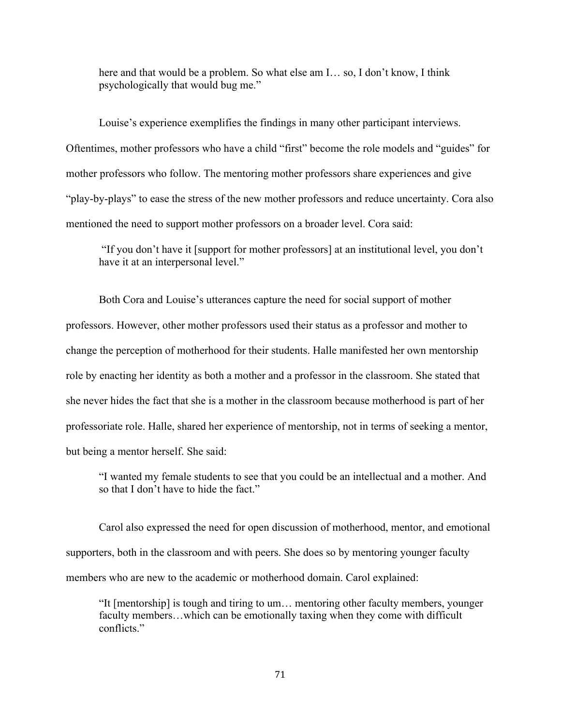here and that would be a problem. So what else am I… so, I don't know, I think psychologically that would bug me."

Louise's experience exemplifies the findings in many other participant interviews. Oftentimes, mother professors who have a child "first" become the role models and "guides" for mother professors who follow. The mentoring mother professors share experiences and give "play-by-plays" to ease the stress of the new mother professors and reduce uncertainty. Cora also mentioned the need to support mother professors on a broader level. Cora said:

"If you don't have it [support for mother professors] at an institutional level, you don't have it at an interpersonal level."

Both Cora and Louise's utterances capture the need for social support of mother professors. However, other mother professors used their status as a professor and mother to change the perception of motherhood for their students. Halle manifested her own mentorship role by enacting her identity as both a mother and a professor in the classroom. She stated that she never hides the fact that she is a mother in the classroom because motherhood is part of her professoriate role. Halle, shared her experience of mentorship, not in terms of seeking a mentor, but being a mentor herself. She said:

"I wanted my female students to see that you could be an intellectual and a mother. And so that I don't have to hide the fact."

Carol also expressed the need for open discussion of motherhood, mentor, and emotional supporters, both in the classroom and with peers. She does so by mentoring younger faculty members who are new to the academic or motherhood domain. Carol explained:

"It [mentorship] is tough and tiring to um… mentoring other faculty members, younger faculty members…which can be emotionally taxing when they come with difficult conflicts<sup>"</sup>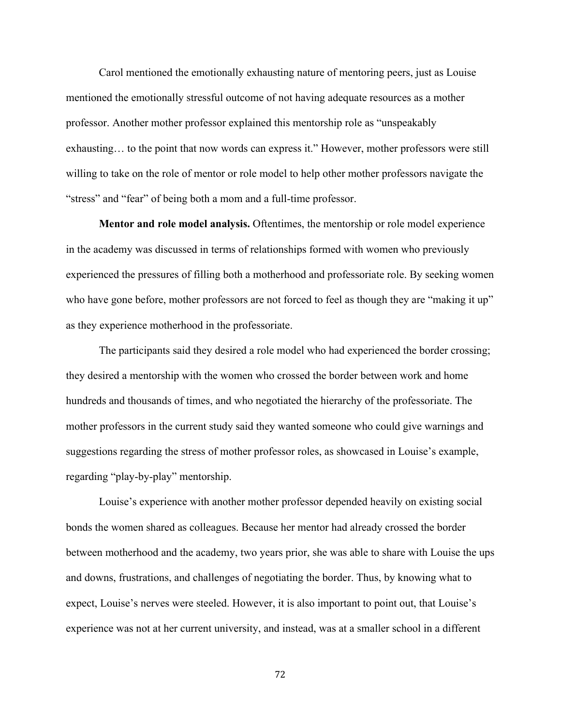Carol mentioned the emotionally exhausting nature of mentoring peers, just as Louise mentioned the emotionally stressful outcome of not having adequate resources as a mother professor. Another mother professor explained this mentorship role as "unspeakably exhausting… to the point that now words can express it." However, mother professors were still willing to take on the role of mentor or role model to help other mother professors navigate the "stress" and "fear" of being both a mom and a full-time professor.

**Mentor and role model analysis.** Oftentimes, the mentorship or role model experience in the academy was discussed in terms of relationships formed with women who previously experienced the pressures of filling both a motherhood and professoriate role. By seeking women who have gone before, mother professors are not forced to feel as though they are "making it up" as they experience motherhood in the professoriate.

The participants said they desired a role model who had experienced the border crossing; they desired a mentorship with the women who crossed the border between work and home hundreds and thousands of times, and who negotiated the hierarchy of the professoriate. The mother professors in the current study said they wanted someone who could give warnings and suggestions regarding the stress of mother professor roles, as showcased in Louise's example, regarding "play-by-play" mentorship.

Louise's experience with another mother professor depended heavily on existing social bonds the women shared as colleagues. Because her mentor had already crossed the border between motherhood and the academy, two years prior, she was able to share with Louise the ups and downs, frustrations, and challenges of negotiating the border. Thus, by knowing what to expect, Louise's nerves were steeled. However, it is also important to point out, that Louise's experience was not at her current university, and instead, was at a smaller school in a different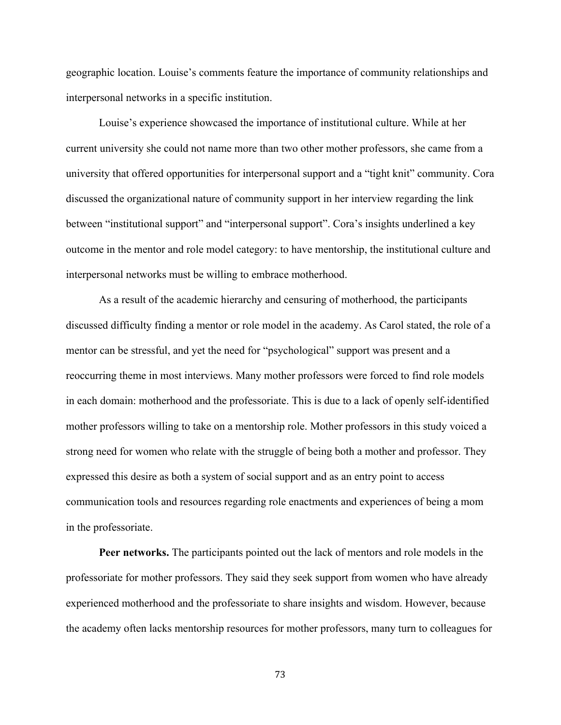geographic location. Louise's comments feature the importance of community relationships and interpersonal networks in a specific institution.

Louise's experience showcased the importance of institutional culture. While at her current university she could not name more than two other mother professors, she came from a university that offered opportunities for interpersonal support and a "tight knit" community. Cora discussed the organizational nature of community support in her interview regarding the link between "institutional support" and "interpersonal support". Cora's insights underlined a key outcome in the mentor and role model category: to have mentorship, the institutional culture and interpersonal networks must be willing to embrace motherhood.

As a result of the academic hierarchy and censuring of motherhood, the participants discussed difficulty finding a mentor or role model in the academy. As Carol stated, the role of a mentor can be stressful, and yet the need for "psychological" support was present and a reoccurring theme in most interviews. Many mother professors were forced to find role models in each domain: motherhood and the professoriate. This is due to a lack of openly self-identified mother professors willing to take on a mentorship role. Mother professors in this study voiced a strong need for women who relate with the struggle of being both a mother and professor. They expressed this desire as both a system of social support and as an entry point to access communication tools and resources regarding role enactments and experiences of being a mom in the professoriate.

**Peer networks.** The participants pointed out the lack of mentors and role models in the professoriate for mother professors. They said they seek support from women who have already experienced motherhood and the professoriate to share insights and wisdom. However, because the academy often lacks mentorship resources for mother professors, many turn to colleagues for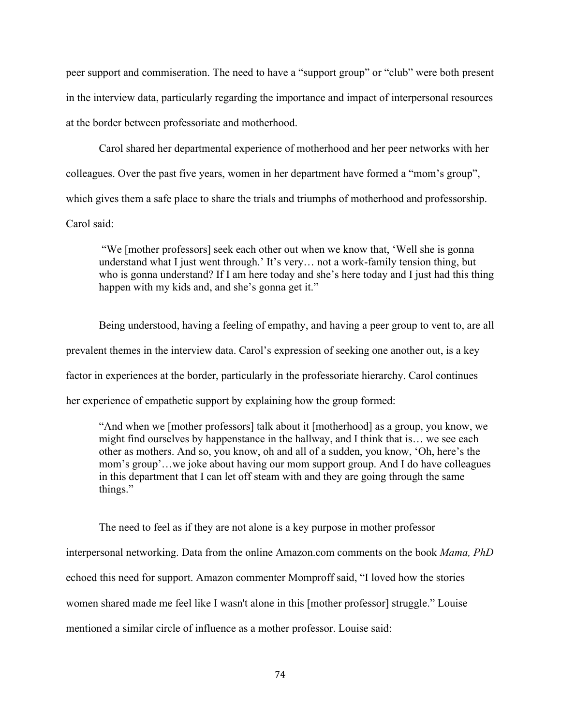peer support and commiseration. The need to have a "support group" or "club" were both present in the interview data, particularly regarding the importance and impact of interpersonal resources at the border between professoriate and motherhood.

Carol shared her departmental experience of motherhood and her peer networks with her colleagues. Over the past five years, women in her department have formed a "mom's group", which gives them a safe place to share the trials and triumphs of motherhood and professorship. Carol said:

"We [mother professors] seek each other out when we know that, 'Well she is gonna understand what I just went through.' It's very… not a work-family tension thing, but who is gonna understand? If I am here today and she's here today and I just had this thing happen with my kids and, and she's gonna get it."

Being understood, having a feeling of empathy, and having a peer group to vent to, are all prevalent themes in the interview data. Carol's expression of seeking one another out, is a key factor in experiences at the border, particularly in the professoriate hierarchy. Carol continues her experience of empathetic support by explaining how the group formed:

"And when we [mother professors] talk about it [motherhood] as a group, you know, we might find ourselves by happenstance in the hallway, and I think that is… we see each other as mothers. And so, you know, oh and all of a sudden, you know, 'Oh, here's the mom's group'…we joke about having our mom support group. And I do have colleagues in this department that I can let off steam with and they are going through the same things."

The need to feel as if they are not alone is a key purpose in mother professor interpersonal networking. Data from the online Amazon.com comments on the book *Mama, PhD* echoed this need for support. Amazon commenter Momproff said, "I loved how the stories women shared made me feel like I wasn't alone in this [mother professor] struggle." Louise mentioned a similar circle of influence as a mother professor. Louise said: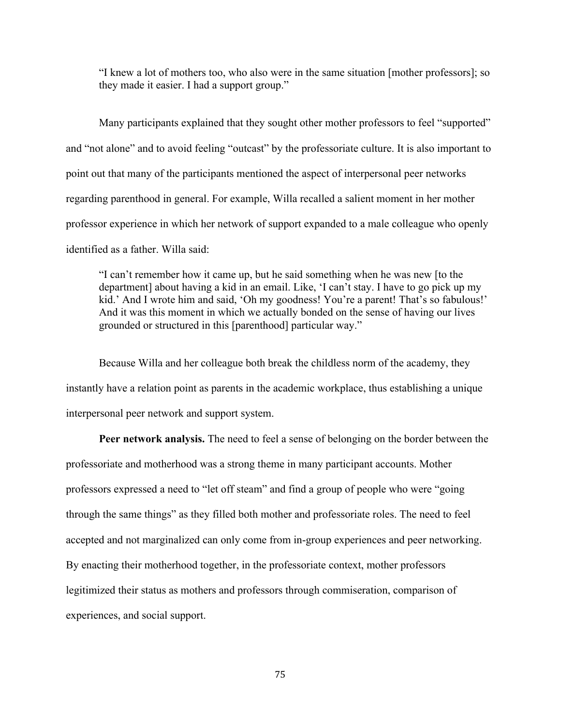"I knew a lot of mothers too, who also were in the same situation [mother professors]; so they made it easier. I had a support group."

Many participants explained that they sought other mother professors to feel "supported" and "not alone" and to avoid feeling "outcast" by the professoriate culture. It is also important to point out that many of the participants mentioned the aspect of interpersonal peer networks regarding parenthood in general. For example, Willa recalled a salient moment in her mother professor experience in which her network of support expanded to a male colleague who openly identified as a father. Willa said:

"I can't remember how it came up, but he said something when he was new [to the department] about having a kid in an email. Like, 'I can't stay. I have to go pick up my kid.' And I wrote him and said, 'Oh my goodness! You're a parent! That's so fabulous!' And it was this moment in which we actually bonded on the sense of having our lives grounded or structured in this [parenthood] particular way."

Because Willa and her colleague both break the childless norm of the academy, they instantly have a relation point as parents in the academic workplace, thus establishing a unique interpersonal peer network and support system.

**Peer network analysis.** The need to feel a sense of belonging on the border between the professoriate and motherhood was a strong theme in many participant accounts. Mother professors expressed a need to "let off steam" and find a group of people who were "going through the same things" as they filled both mother and professoriate roles. The need to feel accepted and not marginalized can only come from in-group experiences and peer networking. By enacting their motherhood together, in the professoriate context, mother professors legitimized their status as mothers and professors through commiseration, comparison of experiences, and social support.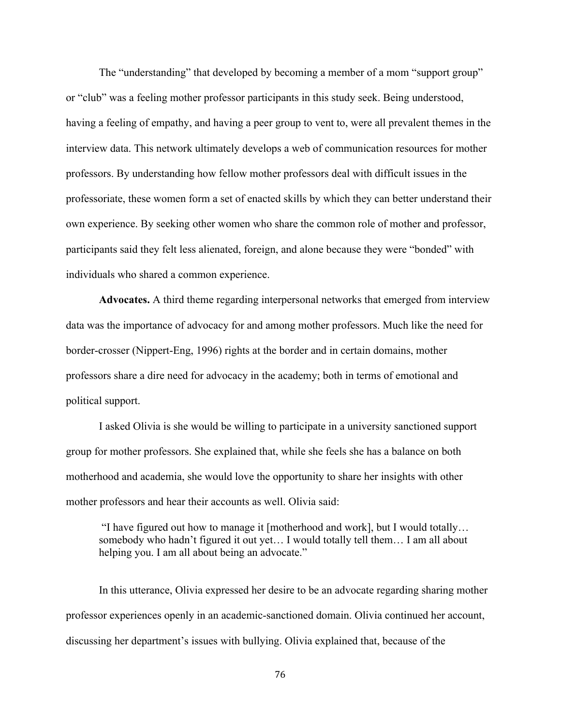The "understanding" that developed by becoming a member of a mom "support group" or "club" was a feeling mother professor participants in this study seek. Being understood, having a feeling of empathy, and having a peer group to vent to, were all prevalent themes in the interview data. This network ultimately develops a web of communication resources for mother professors. By understanding how fellow mother professors deal with difficult issues in the professoriate, these women form a set of enacted skills by which they can better understand their own experience. By seeking other women who share the common role of mother and professor, participants said they felt less alienated, foreign, and alone because they were "bonded" with individuals who shared a common experience.

**Advocates.** A third theme regarding interpersonal networks that emerged from interview data was the importance of advocacy for and among mother professors. Much like the need for border-crosser (Nippert-Eng, 1996) rights at the border and in certain domains, mother professors share a dire need for advocacy in the academy; both in terms of emotional and political support.

I asked Olivia is she would be willing to participate in a university sanctioned support group for mother professors. She explained that, while she feels she has a balance on both motherhood and academia, she would love the opportunity to share her insights with other mother professors and hear their accounts as well. Olivia said:

"I have figured out how to manage it [motherhood and work], but I would totally… somebody who hadn't figured it out yet… I would totally tell them… I am all about helping you. I am all about being an advocate."

In this utterance, Olivia expressed her desire to be an advocate regarding sharing mother professor experiences openly in an academic-sanctioned domain. Olivia continued her account, discussing her department's issues with bullying. Olivia explained that, because of the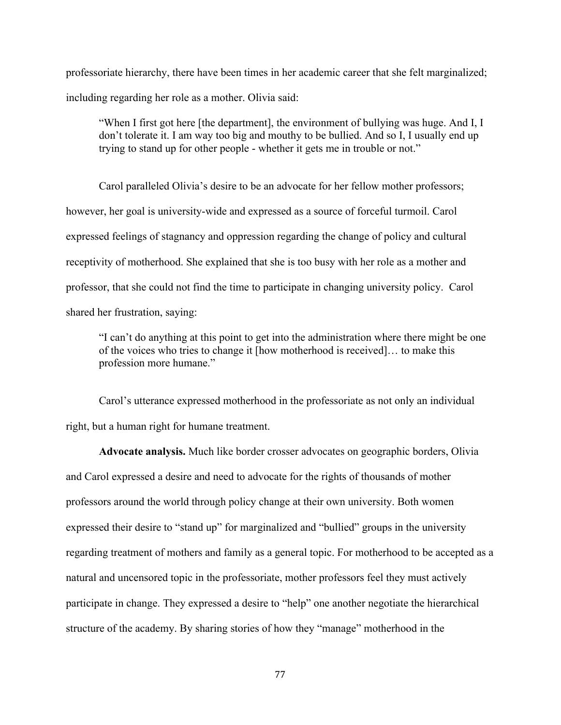professoriate hierarchy, there have been times in her academic career that she felt marginalized; including regarding her role as a mother. Olivia said:

"When I first got here [the department], the environment of bullying was huge. And I, I don't tolerate it. I am way too big and mouthy to be bullied. And so I, I usually end up trying to stand up for other people - whether it gets me in trouble or not."

Carol paralleled Olivia's desire to be an advocate for her fellow mother professors; however, her goal is university-wide and expressed as a source of forceful turmoil. Carol expressed feelings of stagnancy and oppression regarding the change of policy and cultural receptivity of motherhood. She explained that she is too busy with her role as a mother and professor, that she could not find the time to participate in changing university policy. Carol shared her frustration, saying:

"I can't do anything at this point to get into the administration where there might be one of the voices who tries to change it [how motherhood is received]… to make this profession more humane."

Carol's utterance expressed motherhood in the professoriate as not only an individual right, but a human right for humane treatment.

**Advocate analysis.** Much like border crosser advocates on geographic borders, Olivia and Carol expressed a desire and need to advocate for the rights of thousands of mother professors around the world through policy change at their own university. Both women expressed their desire to "stand up" for marginalized and "bullied" groups in the university regarding treatment of mothers and family as a general topic. For motherhood to be accepted as a natural and uncensored topic in the professoriate, mother professors feel they must actively participate in change. They expressed a desire to "help" one another negotiate the hierarchical structure of the academy. By sharing stories of how they "manage" motherhood in the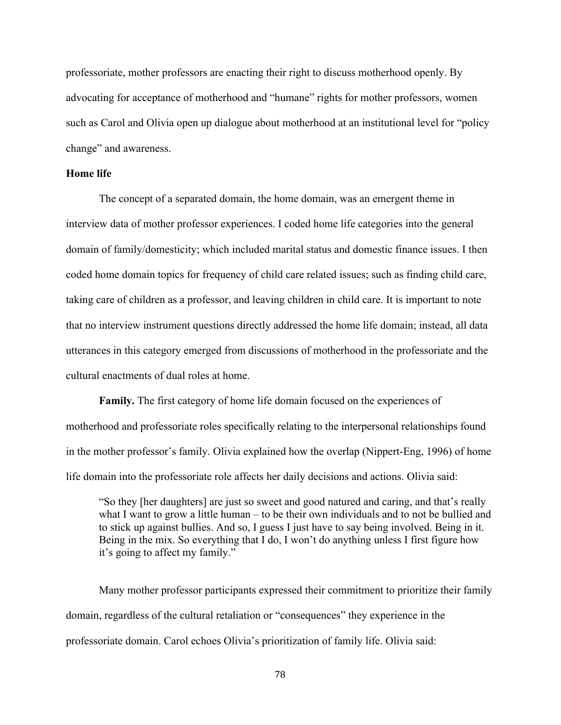professoriate, mother professors are enacting their right to discuss motherhood openly. By advocating for acceptance of motherhood and "humane" rights for mother professors, women such as Carol and Olivia open up dialogue about motherhood at an institutional level for "policy change" and awareness.

## **Home life**

The concept of a separated domain, the home domain, was an emergent theme in interview data of mother professor experiences. I coded home life categories into the general domain of family/domesticity; which included marital status and domestic finance issues. I then coded home domain topics for frequency of child care related issues; such as finding child care, taking care of children as a professor, and leaving children in child care. It is important to note that no interview instrument questions directly addressed the home life domain; instead, all data utterances in this category emerged from discussions of motherhood in the professoriate and the cultural enactments of dual roles at home.

**Family.** The first category of home life domain focused on the experiences of motherhood and professoriate roles specifically relating to the interpersonal relationships found in the mother professor's family. Olivia explained how the overlap (Nippert-Eng, 1996) of home life domain into the professoriate role affects her daily decisions and actions. Olivia said:

"So they [her daughters] are just so sweet and good natured and caring, and that's really what I want to grow a little human – to be their own individuals and to not be bullied and to stick up against bullies. And so, I guess I just have to say being involved. Being in it. Being in the mix. So everything that I do, I won't do anything unless I first figure how it's going to affect my family."

Many mother professor participants expressed their commitment to prioritize their family domain, regardless of the cultural retaliation or "consequences" they experience in the professoriate domain. Carol echoes Olivia's prioritization of family life. Olivia said: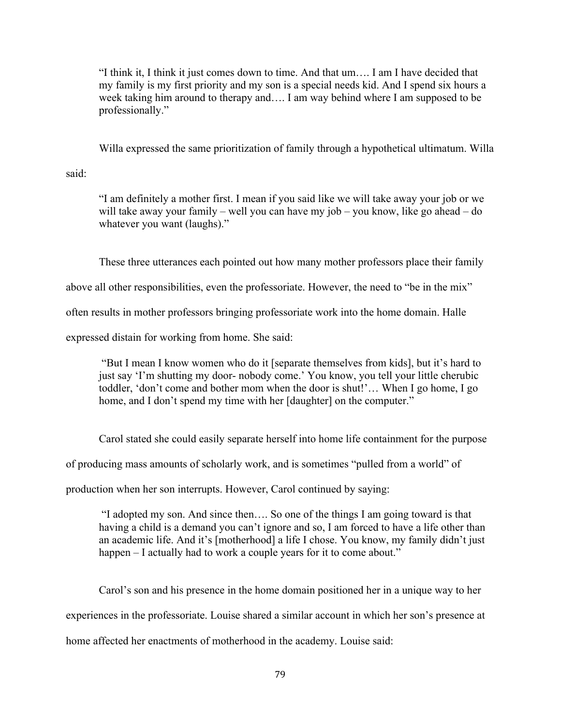"I think it, I think it just comes down to time. And that um…. I am I have decided that my family is my first priority and my son is a special needs kid. And I spend six hours a week taking him around to therapy and…. I am way behind where I am supposed to be professionally."

Willa expressed the same prioritization of family through a hypothetical ultimatum. Willa

said:

"I am definitely a mother first. I mean if you said like we will take away your job or we will take away your family – well you can have my job – you know, like go ahead – do whatever you want (laughs)."

These three utterances each pointed out how many mother professors place their family

above all other responsibilities, even the professoriate. However, the need to "be in the mix"

often results in mother professors bringing professoriate work into the home domain. Halle

expressed distain for working from home. She said:

"But I mean I know women who do it [separate themselves from kids], but it's hard to just say 'I'm shutting my door- nobody come.' You know, you tell your little cherubic toddler, 'don't come and bother mom when the door is shut!'… When I go home, I go home, and I don't spend my time with her [daughter] on the computer."

Carol stated she could easily separate herself into home life containment for the purpose

of producing mass amounts of scholarly work, and is sometimes "pulled from a world" of

production when her son interrupts. However, Carol continued by saying:

"I adopted my son. And since then…. So one of the things I am going toward is that having a child is a demand you can't ignore and so, I am forced to have a life other than an academic life. And it's [motherhood] a life I chose. You know, my family didn't just happen – I actually had to work a couple years for it to come about."

Carol's son and his presence in the home domain positioned her in a unique way to her experiences in the professoriate. Louise shared a similar account in which her son's presence at home affected her enactments of motherhood in the academy. Louise said: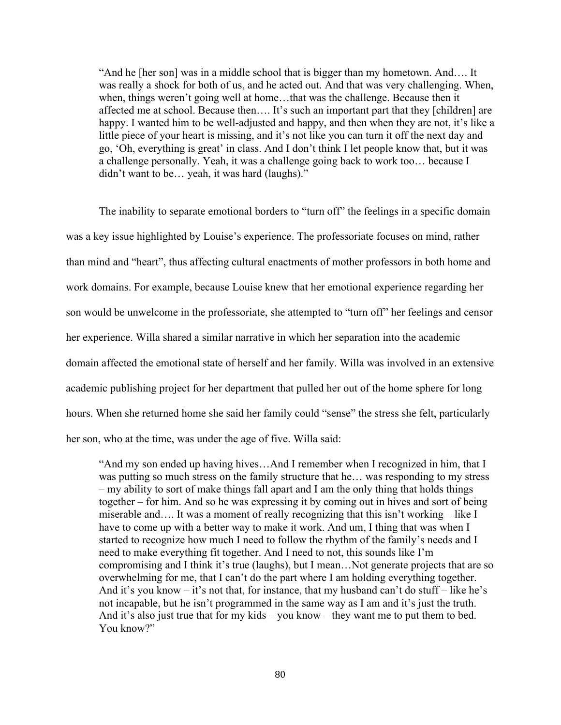"And he [her son] was in a middle school that is bigger than my hometown. And…. It was really a shock for both of us, and he acted out. And that was very challenging. When, when, things weren't going well at home…that was the challenge. Because then it affected me at school. Because then…. It's such an important part that they [children] are happy. I wanted him to be well-adjusted and happy, and then when they are not, it's like a little piece of your heart is missing, and it's not like you can turn it off the next day and go, 'Oh, everything is great' in class. And I don't think I let people know that, but it was a challenge personally. Yeah, it was a challenge going back to work too… because I didn't want to be… yeah, it was hard (laughs)."

The inability to separate emotional borders to "turn off" the feelings in a specific domain was a key issue highlighted by Louise's experience. The professoriate focuses on mind, rather than mind and "heart", thus affecting cultural enactments of mother professors in both home and work domains. For example, because Louise knew that her emotional experience regarding her son would be unwelcome in the professoriate, she attempted to "turn off" her feelings and censor her experience. Willa shared a similar narrative in which her separation into the academic domain affected the emotional state of herself and her family. Willa was involved in an extensive academic publishing project for her department that pulled her out of the home sphere for long hours. When she returned home she said her family could "sense" the stress she felt, particularly her son, who at the time, was under the age of five. Willa said:

"And my son ended up having hives…And I remember when I recognized in him, that I was putting so much stress on the family structure that he… was responding to my stress – my ability to sort of make things fall apart and I am the only thing that holds things together – for him. And so he was expressing it by coming out in hives and sort of being miserable and…. It was a moment of really recognizing that this isn't working – like I have to come up with a better way to make it work. And um, I thing that was when I started to recognize how much I need to follow the rhythm of the family's needs and I need to make everything fit together. And I need to not, this sounds like I'm compromising and I think it's true (laughs), but I mean…Not generate projects that are so overwhelming for me, that I can't do the part where I am holding everything together. And it's you know – it's not that, for instance, that my husband can't do stuff – like he's not incapable, but he isn't programmed in the same way as I am and it's just the truth. And it's also just true that for my kids – you know – they want me to put them to bed. You know?"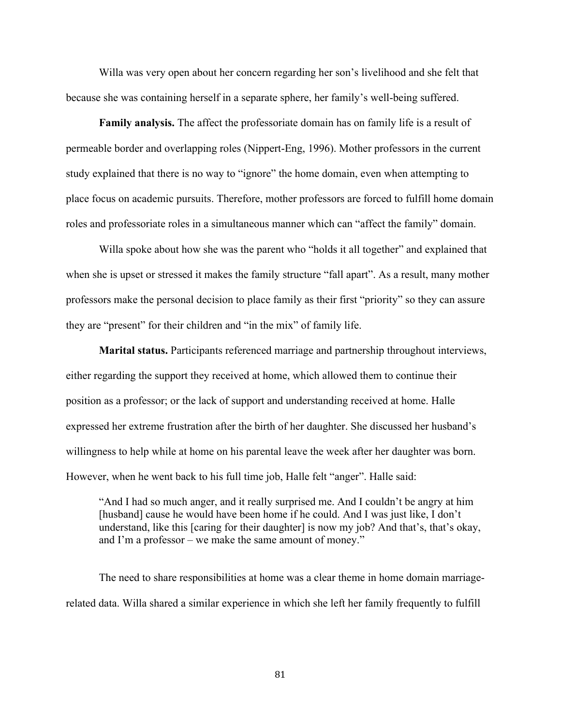Willa was very open about her concern regarding her son's livelihood and she felt that because she was containing herself in a separate sphere, her family's well-being suffered.

**Family analysis.** The affect the professoriate domain has on family life is a result of permeable border and overlapping roles (Nippert-Eng, 1996). Mother professors in the current study explained that there is no way to "ignore" the home domain, even when attempting to place focus on academic pursuits. Therefore, mother professors are forced to fulfill home domain roles and professoriate roles in a simultaneous manner which can "affect the family" domain.

Willa spoke about how she was the parent who "holds it all together" and explained that when she is upset or stressed it makes the family structure "fall apart". As a result, many mother professors make the personal decision to place family as their first "priority" so they can assure they are "present" for their children and "in the mix" of family life.

**Marital status.** Participants referenced marriage and partnership throughout interviews, either regarding the support they received at home, which allowed them to continue their position as a professor; or the lack of support and understanding received at home. Halle expressed her extreme frustration after the birth of her daughter. She discussed her husband's willingness to help while at home on his parental leave the week after her daughter was born. However, when he went back to his full time job, Halle felt "anger". Halle said:

"And I had so much anger, and it really surprised me. And I couldn't be angry at him [husband] cause he would have been home if he could. And I was just like, I don't understand, like this [caring for their daughter] is now my job? And that's, that's okay, and I'm a professor – we make the same amount of money."

The need to share responsibilities at home was a clear theme in home domain marriagerelated data. Willa shared a similar experience in which she left her family frequently to fulfill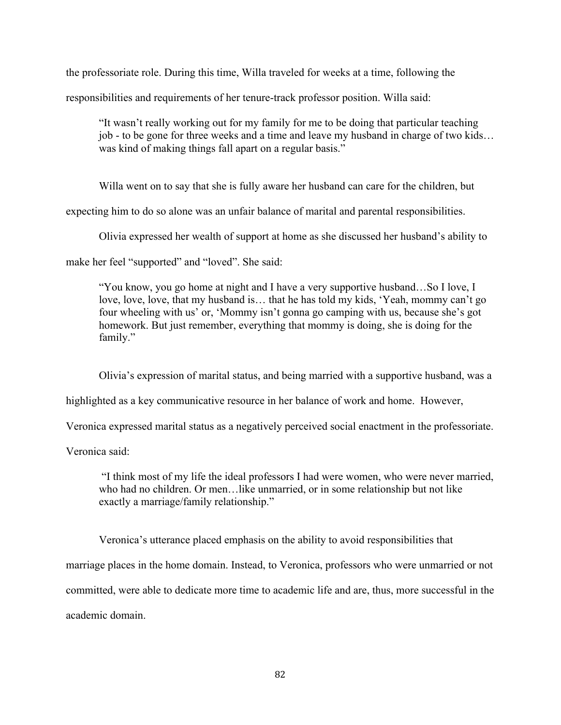the professoriate role. During this time, Willa traveled for weeks at a time, following the

responsibilities and requirements of her tenure-track professor position. Willa said:

"It wasn't really working out for my family for me to be doing that particular teaching job - to be gone for three weeks and a time and leave my husband in charge of two kids… was kind of making things fall apart on a regular basis."

Willa went on to say that she is fully aware her husband can care for the children, but

expecting him to do so alone was an unfair balance of marital and parental responsibilities.

Olivia expressed her wealth of support at home as she discussed her husband's ability to

make her feel "supported" and "loved". She said:

"You know, you go home at night and I have a very supportive husband…So I love, I love, love, love, that my husband is… that he has told my kids, 'Yeah, mommy can't go four wheeling with us' or, 'Mommy isn't gonna go camping with us, because she's got homework. But just remember, everything that mommy is doing, she is doing for the family."

Olivia's expression of marital status, and being married with a supportive husband, was a

highlighted as a key communicative resource in her balance of work and home. However,

Veronica expressed marital status as a negatively perceived social enactment in the professoriate.

Veronica said:

"I think most of my life the ideal professors I had were women, who were never married, who had no children. Or men…like unmarried, or in some relationship but not like exactly a marriage/family relationship."

Veronica's utterance placed emphasis on the ability to avoid responsibilities that

marriage places in the home domain. Instead, to Veronica, professors who were unmarried or not

committed, were able to dedicate more time to academic life and are, thus, more successful in the

academic domain.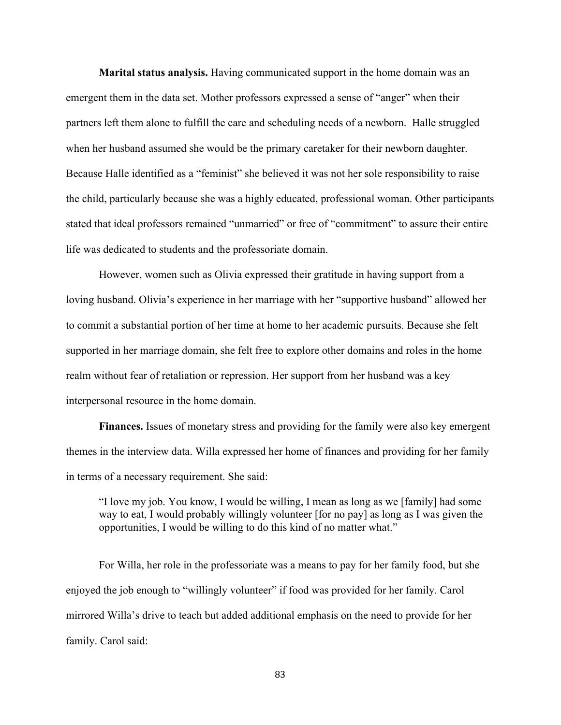**Marital status analysis.** Having communicated support in the home domain was an emergent them in the data set. Mother professors expressed a sense of "anger" when their partners left them alone to fulfill the care and scheduling needs of a newborn.Halle struggled when her husband assumed she would be the primary caretaker for their newborn daughter. Because Halle identified as a "feminist" she believed it was not her sole responsibility to raise the child, particularly because she was a highly educated, professional woman. Other participants stated that ideal professors remained "unmarried" or free of "commitment" to assure their entire life was dedicated to students and the professoriate domain.

However, women such as Olivia expressed their gratitude in having support from a loving husband. Olivia's experience in her marriage with her "supportive husband" allowed her to commit a substantial portion of her time at home to her academic pursuits. Because she felt supported in her marriage domain, she felt free to explore other domains and roles in the home realm without fear of retaliation or repression. Her support from her husband was a key interpersonal resource in the home domain.

**Finances.** Issues of monetary stress and providing for the family were also key emergent themes in the interview data. Willa expressed her home of finances and providing for her family in terms of a necessary requirement. She said:

"I love my job. You know, I would be willing, I mean as long as we [family] had some way to eat, I would probably willingly volunteer [for no pay] as long as I was given the opportunities, I would be willing to do this kind of no matter what."

For Willa, her role in the professoriate was a means to pay for her family food, but she enjoyed the job enough to "willingly volunteer" if food was provided for her family. Carol mirrored Willa's drive to teach but added additional emphasis on the need to provide for her family. Carol said: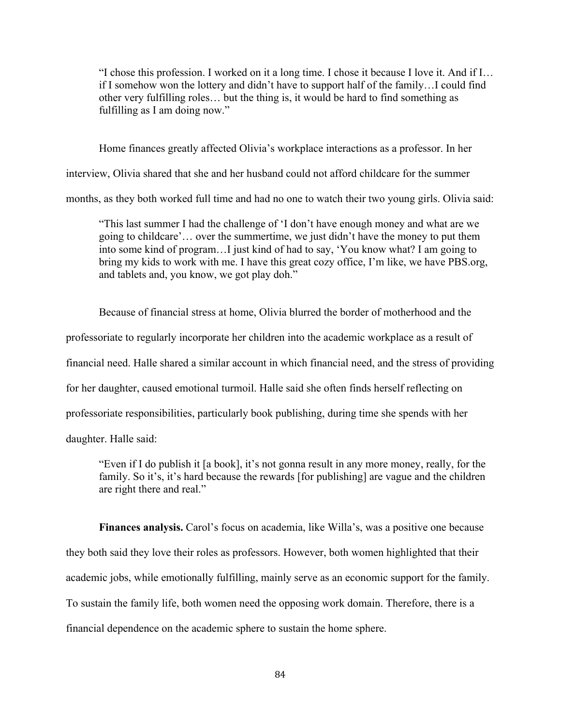"I chose this profession. I worked on it a long time. I chose it because I love it. And if I… if I somehow won the lottery and didn't have to support half of the family…I could find other very fulfilling roles… but the thing is, it would be hard to find something as fulfilling as I am doing now."

Home finances greatly affected Olivia's workplace interactions as a professor. In her

interview, Olivia shared that she and her husband could not afford childcare for the summer

months, as they both worked full time and had no one to watch their two young girls. Olivia said:

"This last summer I had the challenge of 'I don't have enough money and what are we going to childcare'… over the summertime, we just didn't have the money to put them into some kind of program…I just kind of had to say, 'You know what? I am going to bring my kids to work with me. I have this great cozy office, I'm like, we have PBS.org, and tablets and, you know, we got play doh."

Because of financial stress at home, Olivia blurred the border of motherhood and the professoriate to regularly incorporate her children into the academic workplace as a result of financial need. Halle shared a similar account in which financial need, and the stress of providing for her daughter, caused emotional turmoil. Halle said she often finds herself reflecting on professoriate responsibilities, particularly book publishing, during time she spends with her daughter. Halle said:

"Even if I do publish it [a book], it's not gonna result in any more money, really, for the family. So it's, it's hard because the rewards [for publishing] are vague and the children are right there and real."

Finances analysis. Carol's focus on academia, like Willa's, was a positive one because they both said they love their roles as professors. However, both women highlighted that their academic jobs, while emotionally fulfilling, mainly serve as an economic support for the family. To sustain the family life, both women need the opposing work domain. Therefore, there is a financial dependence on the academic sphere to sustain the home sphere.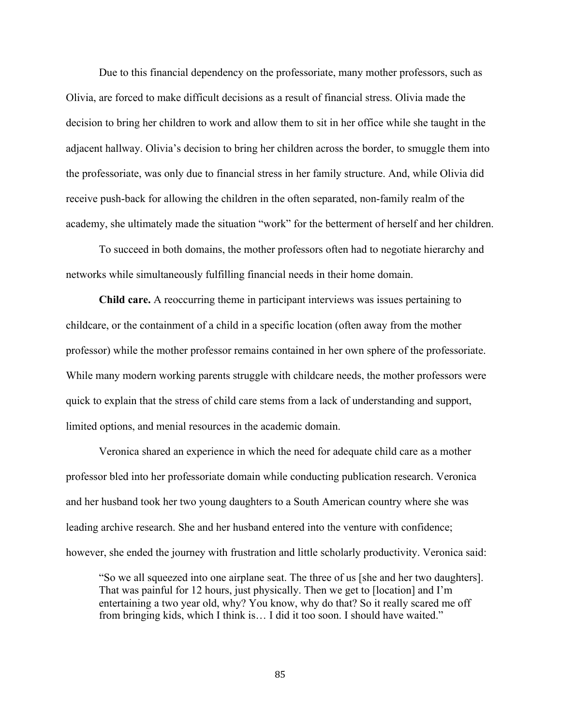Due to this financial dependency on the professoriate, many mother professors, such as Olivia, are forced to make difficult decisions as a result of financial stress. Olivia made the decision to bring her children to work and allow them to sit in her office while she taught in the adjacent hallway. Olivia's decision to bring her children across the border, to smuggle them into the professoriate, was only due to financial stress in her family structure. And, while Olivia did receive push-back for allowing the children in the often separated, non-family realm of the academy, she ultimately made the situation "work" for the betterment of herself and her children.

To succeed in both domains, the mother professors often had to negotiate hierarchy and networks while simultaneously fulfilling financial needs in their home domain.

**Child care.** A reoccurring theme in participant interviews was issues pertaining to childcare, or the containment of a child in a specific location (often away from the mother professor) while the mother professor remains contained in her own sphere of the professoriate. While many modern working parents struggle with childcare needs, the mother professors were quick to explain that the stress of child care stems from a lack of understanding and support, limited options, and menial resources in the academic domain.

Veronica shared an experience in which the need for adequate child care as a mother professor bled into her professoriate domain while conducting publication research. Veronica and her husband took her two young daughters to a South American country where she was leading archive research. She and her husband entered into the venture with confidence; however, she ended the journey with frustration and little scholarly productivity. Veronica said:

"So we all squeezed into one airplane seat. The three of us [she and her two daughters]. That was painful for 12 hours, just physically. Then we get to [location] and I'm entertaining a two year old, why? You know, why do that? So it really scared me off from bringing kids, which I think is… I did it too soon. I should have waited."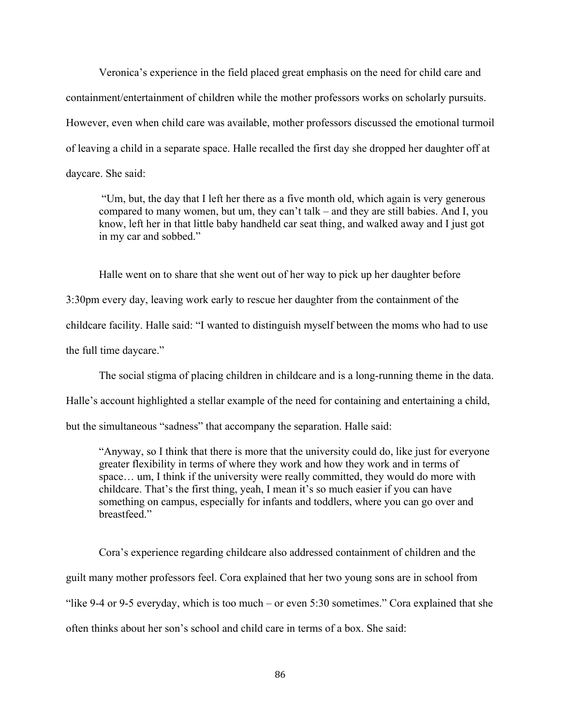Veronica's experience in the field placed great emphasis on the need for child care and containment/entertainment of children while the mother professors works on scholarly pursuits. However, even when child care was available, mother professors discussed the emotional turmoil of leaving a child in a separate space. Halle recalled the first day she dropped her daughter off at daycare. She said:

"Um, but, the day that I left her there as a five month old, which again is very generous compared to many women, but um, they can't talk – and they are still babies. And I, you know, left her in that little baby handheld car seat thing, and walked away and I just got in my car and sobbed."

Halle went on to share that she went out of her way to pick up her daughter before

3:30pm every day, leaving work early to rescue her daughter from the containment of the

childcare facility. Halle said: "I wanted to distinguish myself between the moms who had to use

the full time daycare."

The social stigma of placing children in childcare and is a long-running theme in the data.

Halle's account highlighted a stellar example of the need for containing and entertaining a child,

but the simultaneous "sadness" that accompany the separation. Halle said:

"Anyway, so I think that there is more that the university could do, like just for everyone greater flexibility in terms of where they work and how they work and in terms of space… um, I think if the university were really committed, they would do more with childcare. That's the first thing, yeah, I mean it's so much easier if you can have something on campus, especially for infants and toddlers, where you can go over and breastfeed."

Cora's experience regarding childcare also addressed containment of children and the guilt many mother professors feel. Cora explained that her two young sons are in school from "like 9-4 or 9-5 everyday, which is too much – or even 5:30 sometimes." Cora explained that she often thinks about her son's school and child care in terms of a box. She said: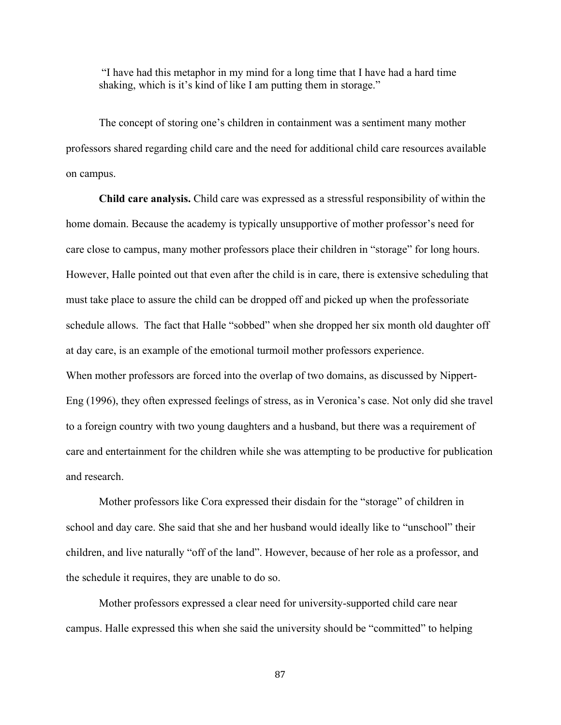"I have had this metaphor in my mind for a long time that I have had a hard time shaking, which is it's kind of like I am putting them in storage."

The concept of storing one's children in containment was a sentiment many mother professors shared regarding child care and the need for additional child care resources available on campus.

**Child care analysis.** Child care was expressed as a stressful responsibility of within the home domain. Because the academy is typically unsupportive of mother professor's need for care close to campus, many mother professors place their children in "storage" for long hours. However, Halle pointed out that even after the child is in care, there is extensive scheduling that must take place to assure the child can be dropped off and picked up when the professoriate schedule allows. The fact that Halle "sobbed" when she dropped her six month old daughter off at day care, is an example of the emotional turmoil mother professors experience. When mother professors are forced into the overlap of two domains, as discussed by Nippert-Eng (1996), they often expressed feelings of stress, as in Veronica's case. Not only did she travel to a foreign country with two young daughters and a husband, but there was a requirement of care and entertainment for the children while she was attempting to be productive for publication and research.

Mother professors like Cora expressed their disdain for the "storage" of children in school and day care. She said that she and her husband would ideally like to "unschool" their children, and live naturally "off of the land". However, because of her role as a professor, and the schedule it requires, they are unable to do so.

Mother professors expressed a clear need for university-supported child care near campus. Halle expressed this when she said the university should be "committed" to helping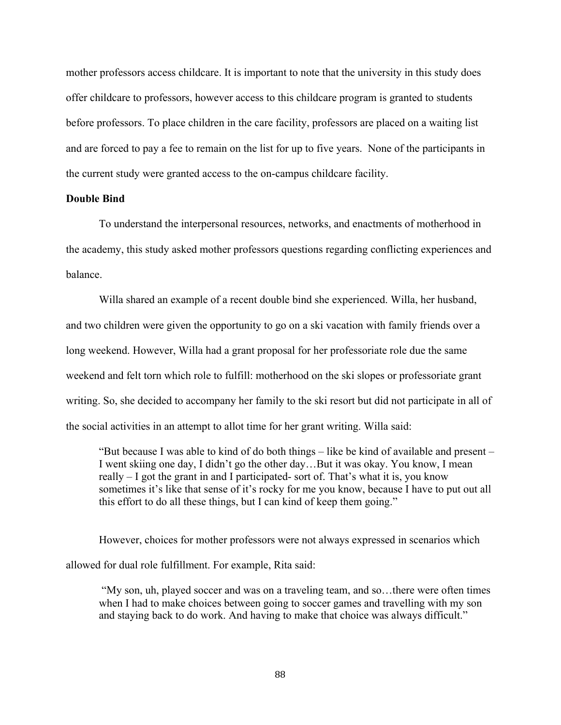mother professors access childcare. It is important to note that the university in this study does offer childcare to professors, however access to this childcare program is granted to students before professors. To place children in the care facility, professors are placed on a waiting list and are forced to pay a fee to remain on the list for up to five years. None of the participants in the current study were granted access to the on-campus childcare facility.

## **Double Bind**

To understand the interpersonal resources, networks, and enactments of motherhood in the academy, this study asked mother professors questions regarding conflicting experiences and balance.

Willa shared an example of a recent double bind she experienced. Willa, her husband, and two children were given the opportunity to go on a ski vacation with family friends over a long weekend. However, Willa had a grant proposal for her professoriate role due the same weekend and felt torn which role to fulfill: motherhood on the ski slopes or professoriate grant writing. So, she decided to accompany her family to the ski resort but did not participate in all of the social activities in an attempt to allot time for her grant writing. Willa said:

"But because I was able to kind of do both things – like be kind of available and present – I went skiing one day, I didn't go the other day…But it was okay. You know, I mean really – I got the grant in and I participated- sort of. That's what it is, you know sometimes it's like that sense of it's rocky for me you know, because I have to put out all this effort to do all these things, but I can kind of keep them going."

However, choices for mother professors were not always expressed in scenarios which allowed for dual role fulfillment. For example, Rita said:

"My son, uh, played soccer and was on a traveling team, and so…there were often times when I had to make choices between going to soccer games and travelling with my son and staying back to do work. And having to make that choice was always difficult."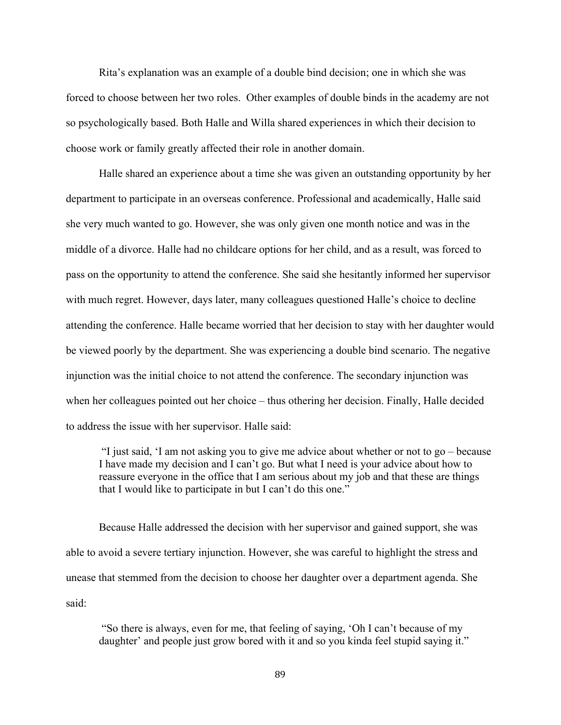Rita's explanation was an example of a double bind decision; one in which she was forced to choose between her two roles. Other examples of double binds in the academy are not so psychologically based. Both Halle and Willa shared experiences in which their decision to choose work or family greatly affected their role in another domain.

Halle shared an experience about a time she was given an outstanding opportunity by her department to participate in an overseas conference. Professional and academically, Halle said she very much wanted to go. However, she was only given one month notice and was in the middle of a divorce. Halle had no childcare options for her child, and as a result, was forced to pass on the opportunity to attend the conference. She said she hesitantly informed her supervisor with much regret. However, days later, many colleagues questioned Halle's choice to decline attending the conference. Halle became worried that her decision to stay with her daughter would be viewed poorly by the department. She was experiencing a double bind scenario. The negative injunction was the initial choice to not attend the conference. The secondary injunction was when her colleagues pointed out her choice – thus othering her decision. Finally, Halle decided to address the issue with her supervisor. Halle said:

"I just said, 'I am not asking you to give me advice about whether or not to go – because I have made my decision and I can't go. But what I need is your advice about how to reassure everyone in the office that I am serious about my job and that these are things that I would like to participate in but I can't do this one."

Because Halle addressed the decision with her supervisor and gained support, she was able to avoid a severe tertiary injunction. However, she was careful to highlight the stress and unease that stemmed from the decision to choose her daughter over a department agenda. She said:

"So there is always, even for me, that feeling of saying, 'Oh I can't because of my daughter' and people just grow bored with it and so you kinda feel stupid saying it."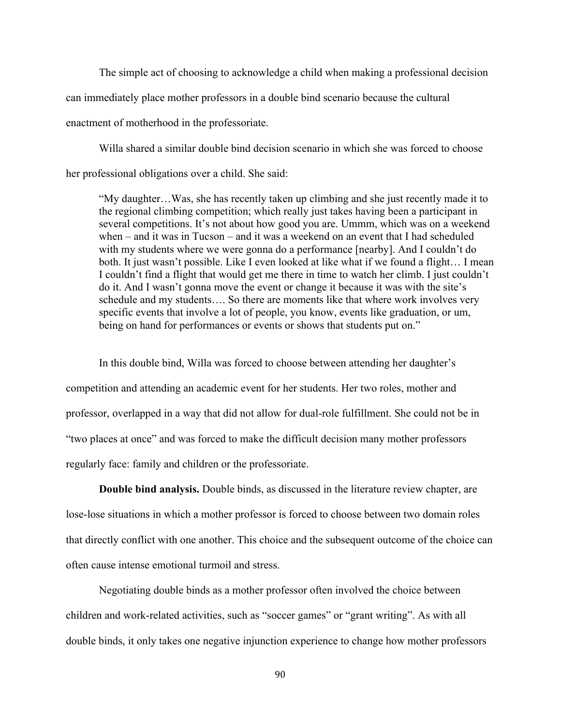The simple act of choosing to acknowledge a child when making a professional decision can immediately place mother professors in a double bind scenario because the cultural enactment of motherhood in the professoriate.

Willa shared a similar double bind decision scenario in which she was forced to choose her professional obligations over a child. She said:

"My daughter…Was, she has recently taken up climbing and she just recently made it to the regional climbing competition; which really just takes having been a participant in several competitions. It's not about how good you are. Ummm, which was on a weekend when – and it was in Tucson – and it was a weekend on an event that I had scheduled with my students where we were gonna do a performance [nearby]. And I couldn't do both. It just wasn't possible. Like I even looked at like what if we found a flight… I mean I couldn't find a flight that would get me there in time to watch her climb. I just couldn't do it. And I wasn't gonna move the event or change it because it was with the site's schedule and my students…. So there are moments like that where work involves very specific events that involve a lot of people, you know, events like graduation, or um, being on hand for performances or events or shows that students put on."

In this double bind, Willa was forced to choose between attending her daughter's competition and attending an academic event for her students. Her two roles, mother and professor, overlapped in a way that did not allow for dual-role fulfillment. She could not be in "two places at once" and was forced to make the difficult decision many mother professors regularly face: family and children or the professoriate.

**Double bind analysis.** Double binds, as discussed in the literature review chapter, are lose-lose situations in which a mother professor is forced to choose between two domain roles that directly conflict with one another. This choice and the subsequent outcome of the choice can often cause intense emotional turmoil and stress.

Negotiating double binds as a mother professor often involved the choice between children and work-related activities, such as "soccer games" or "grant writing". As with all double binds, it only takes one negative injunction experience to change how mother professors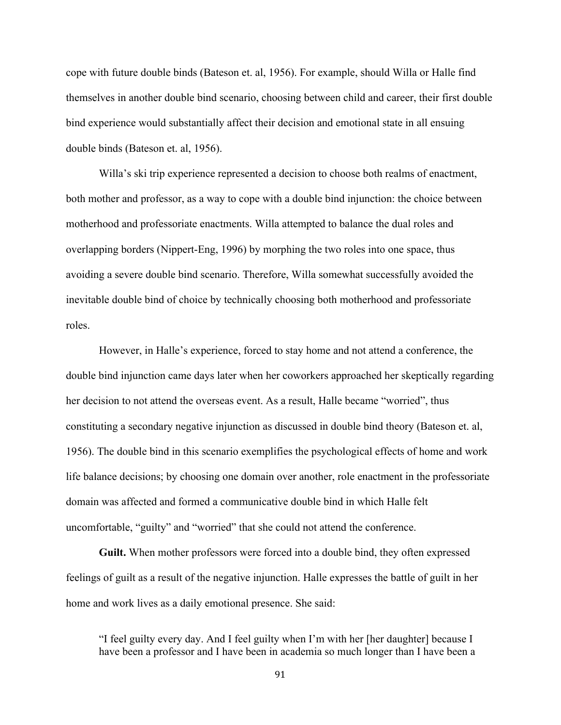cope with future double binds (Bateson et. al, 1956). For example, should Willa or Halle find themselves in another double bind scenario, choosing between child and career, their first double bind experience would substantially affect their decision and emotional state in all ensuing double binds (Bateson et. al, 1956).

Willa's ski trip experience represented a decision to choose both realms of enactment, both mother and professor, as a way to cope with a double bind injunction: the choice between motherhood and professoriate enactments. Willa attempted to balance the dual roles and overlapping borders (Nippert-Eng, 1996) by morphing the two roles into one space, thus avoiding a severe double bind scenario. Therefore, Willa somewhat successfully avoided the inevitable double bind of choice by technically choosing both motherhood and professoriate roles.

However, in Halle's experience, forced to stay home and not attend a conference, the double bind injunction came days later when her coworkers approached her skeptically regarding her decision to not attend the overseas event. As a result, Halle became "worried", thus constituting a secondary negative injunction as discussed in double bind theory (Bateson et. al, 1956). The double bind in this scenario exemplifies the psychological effects of home and work life balance decisions; by choosing one domain over another, role enactment in the professoriate domain was affected and formed a communicative double bind in which Halle felt uncomfortable, "guilty" and "worried" that she could not attend the conference.

**Guilt.** When mother professors were forced into a double bind, they often expressed feelings of guilt as a result of the negative injunction. Halle expresses the battle of guilt in her home and work lives as a daily emotional presence. She said:

"I feel guilty every day. And I feel guilty when I'm with her [her daughter] because I have been a professor and I have been in academia so much longer than I have been a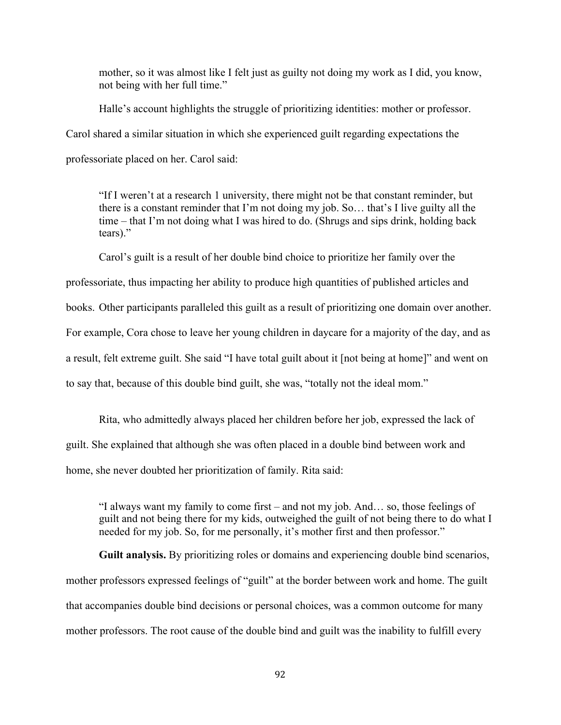mother, so it was almost like I felt just as guilty not doing my work as I did, you know, not being with her full time."

Halle's account highlights the struggle of prioritizing identities: mother or professor. Carol shared a similar situation in which she experienced guilt regarding expectations the professoriate placed on her. Carol said:

"If I weren't at a research 1 university, there might not be that constant reminder, but there is a constant reminder that I'm not doing my job. So… that's I live guilty all the time – that I'm not doing what I was hired to do. (Shrugs and sips drink, holding back tears)."

Carol's guilt is a result of her double bind choice to prioritize her family over the

professoriate, thus impacting her ability to produce high quantities of published articles and books. Other participants paralleled this guilt as a result of prioritizing one domain over another.

For example, Cora chose to leave her young children in daycare for a majority of the day, and as

a result, felt extreme guilt. She said "I have total guilt about it [not being at home]" and went on

to say that, because of this double bind guilt, she was, "totally not the ideal mom."

Rita, who admittedly always placed her children before her job, expressed the lack of guilt. She explained that although she was often placed in a double bind between work and home, she never doubted her prioritization of family. Rita said:

"I always want my family to come first – and not my job. And… so, those feelings of guilt and not being there for my kids, outweighed the guilt of not being there to do what I needed for my job. So, for me personally, it's mother first and then professor."

**Guilt analysis.** By prioritizing roles or domains and experiencing double bind scenarios, mother professors expressed feelings of "guilt" at the border between work and home. The guilt that accompanies double bind decisions or personal choices, was a common outcome for many mother professors. The root cause of the double bind and guilt was the inability to fulfill every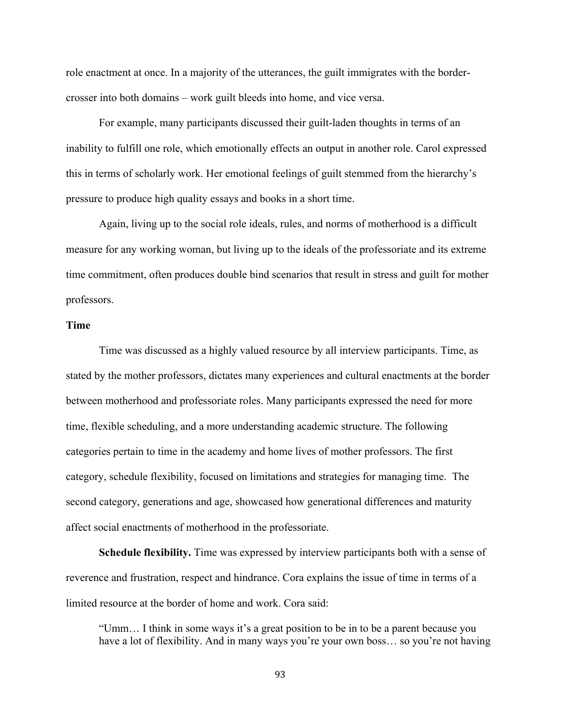role enactment at once. In a majority of the utterances, the guilt immigrates with the bordercrosser into both domains – work guilt bleeds into home, and vice versa.

For example, many participants discussed their guilt-laden thoughts in terms of an inability to fulfill one role, which emotionally effects an output in another role. Carol expressed this in terms of scholarly work. Her emotional feelings of guilt stemmed from the hierarchy's pressure to produce high quality essays and books in a short time.

Again, living up to the social role ideals, rules, and norms of motherhood is a difficult measure for any working woman, but living up to the ideals of the professoriate and its extreme time commitment, often produces double bind scenarios that result in stress and guilt for mother professors.

## **Time**

Time was discussed as a highly valued resource by all interview participants. Time, as stated by the mother professors, dictates many experiences and cultural enactments at the border between motherhood and professoriate roles. Many participants expressed the need for more time, flexible scheduling, and a more understanding academic structure. The following categories pertain to time in the academy and home lives of mother professors. The first category, schedule flexibility, focused on limitations and strategies for managing time. The second category, generations and age, showcased how generational differences and maturity affect social enactments of motherhood in the professoriate.

**Schedule flexibility.** Time was expressed by interview participants both with a sense of reverence and frustration, respect and hindrance. Cora explains the issue of time in terms of a limited resource at the border of home and work. Cora said:

"Umm… I think in some ways it's a great position to be in to be a parent because you have a lot of flexibility. And in many ways you're your own boss... so you're not having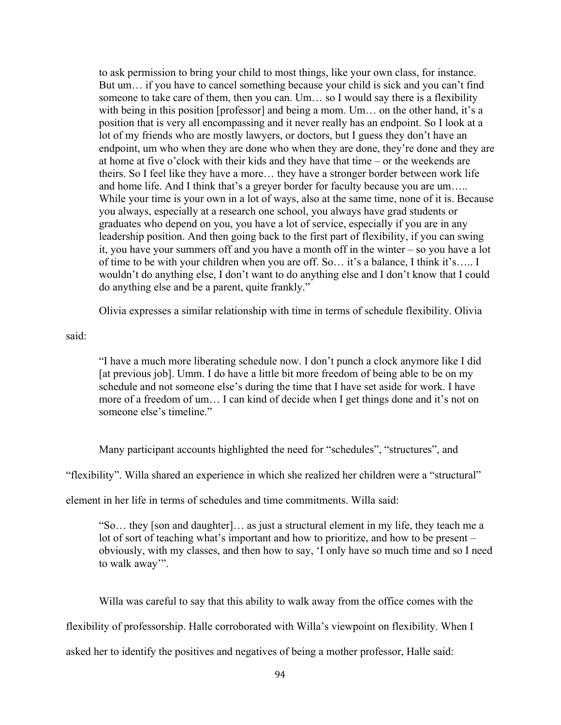to ask permission to bring your child to most things, like your own class, for instance. But um… if you have to cancel something because your child is sick and you can't find someone to take care of them, then you can. Um… so I would say there is a flexibility with being in this position [professor] and being a mom. Um... on the other hand, it's a position that is very all encompassing and it never really has an endpoint. So I look at a lot of my friends who are mostly lawyers, or doctors, but I guess they don't have an endpoint, um who when they are done who when they are done, they're done and they are at home at five o'clock with their kids and they have that time – or the weekends are theirs. So I feel like they have a more… they have a stronger border between work life and home life. And I think that's a greyer border for faculty because you are um….. While your time is your own in a lot of ways, also at the same time, none of it is. Because you always, especially at a research one school, you always have grad students or graduates who depend on you, you have a lot of service, especially if you are in any leadership position. And then going back to the first part of flexibility, if you can swing it, you have your summers off and you have a month off in the winter – so you have a lot of time to be with your children when you are off. So… it's a balance, I think it's….. I wouldn't do anything else, I don't want to do anything else and I don't know that I could do anything else and be a parent, quite frankly."

Olivia expresses a similar relationship with time in terms of schedule flexibility. Olivia

said:

"I have a much more liberating schedule now. I don't punch a clock anymore like I did [at previous job]. Umm. I do have a little bit more freedom of being able to be on my schedule and not someone else's during the time that I have set aside for work. I have more of a freedom of um… I can kind of decide when I get things done and it's not on someone else's timeline."

Many participant accounts highlighted the need for "schedules", "structures", and

"flexibility". Willa shared an experience in which she realized her children were a "structural"

element in her life in terms of schedules and time commitments. Willa said:

"So… they [son and daughter]… as just a structural element in my life, they teach me a lot of sort of teaching what's important and how to prioritize, and how to be present – obviously, with my classes, and then how to say, 'I only have so much time and so I need to walk away'".

Willa was careful to say that this ability to walk away from the office comes with the

flexibility of professorship. Halle corroborated with Willa's viewpoint on flexibility. When I

asked her to identify the positives and negatives of being a mother professor, Halle said: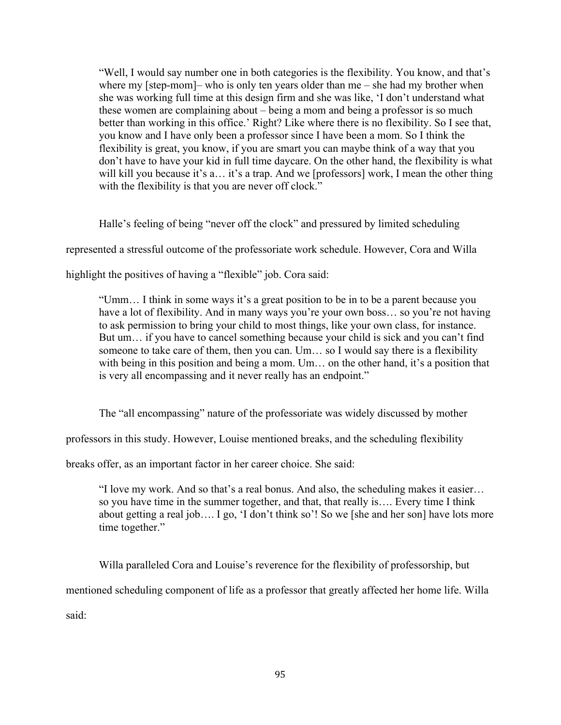"Well, I would say number one in both categories is the flexibility. You know, and that's where my [step-mom]– who is only ten years older than me – she had my brother when she was working full time at this design firm and she was like, 'I don't understand what these women are complaining about – being a mom and being a professor is so much better than working in this office.' Right? Like where there is no flexibility. So I see that, you know and I have only been a professor since I have been a mom. So I think the flexibility is great, you know, if you are smart you can maybe think of a way that you don't have to have your kid in full time daycare. On the other hand, the flexibility is what will kill you because it's a… it's a trap. And we [professors] work, I mean the other thing with the flexibility is that you are never off clock."

Halle's feeling of being "never off the clock" and pressured by limited scheduling

represented a stressful outcome of the professoriate work schedule. However, Cora and Willa

highlight the positives of having a "flexible" job. Cora said:

"Umm… I think in some ways it's a great position to be in to be a parent because you have a lot of flexibility. And in many ways you're your own boss... so you're not having to ask permission to bring your child to most things, like your own class, for instance. But um… if you have to cancel something because your child is sick and you can't find someone to take care of them, then you can. Um… so I would say there is a flexibility with being in this position and being a mom. Um... on the other hand, it's a position that is very all encompassing and it never really has an endpoint."

The "all encompassing" nature of the professoriate was widely discussed by mother

professors in this study. However, Louise mentioned breaks, and the scheduling flexibility

breaks offer, as an important factor in her career choice. She said:

"I love my work. And so that's a real bonus. And also, the scheduling makes it easier… so you have time in the summer together, and that, that really is…. Every time I think about getting a real job…. I go, 'I don't think so'! So we [she and her son] have lots more time together."

Willa paralleled Cora and Louise's reverence for the flexibility of professorship, but

mentioned scheduling component of life as a professor that greatly affected her home life. Willa

said: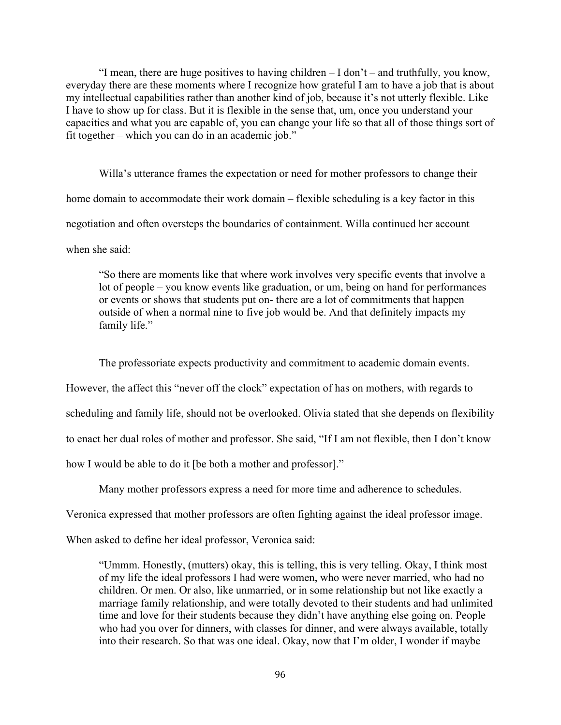"I mean, there are huge positives to having children – I don't – and truthfully, you know, everyday there are these moments where I recognize how grateful I am to have a job that is about my intellectual capabilities rather than another kind of job, because it's not utterly flexible. Like I have to show up for class. But it is flexible in the sense that, um, once you understand your capacities and what you are capable of, you can change your life so that all of those things sort of fit together – which you can do in an academic job."

Willa's utterance frames the expectation or need for mother professors to change their home domain to accommodate their work domain – flexible scheduling is a key factor in this negotiation and often oversteps the boundaries of containment. Willa continued her account when she said:

"So there are moments like that where work involves very specific events that involve a lot of people – you know events like graduation, or um, being on hand for performances or events or shows that students put on- there are a lot of commitments that happen outside of when a normal nine to five job would be. And that definitely impacts my family life."

The professoriate expects productivity and commitment to academic domain events.

However, the affect this "never off the clock" expectation of has on mothers, with regards to

scheduling and family life, should not be overlooked. Olivia stated that she depends on flexibility

to enact her dual roles of mother and professor. She said, "If I am not flexible, then I don't know

how I would be able to do it [be both a mother and professor]."

Many mother professors express a need for more time and adherence to schedules.

Veronica expressed that mother professors are often fighting against the ideal professor image.

When asked to define her ideal professor, Veronica said:

"Ummm. Honestly, (mutters) okay, this is telling, this is very telling. Okay, I think most of my life the ideal professors I had were women, who were never married, who had no children. Or men. Or also, like unmarried, or in some relationship but not like exactly a marriage family relationship, and were totally devoted to their students and had unlimited time and love for their students because they didn't have anything else going on. People who had you over for dinners, with classes for dinner, and were always available, totally into their research. So that was one ideal. Okay, now that I'm older, I wonder if maybe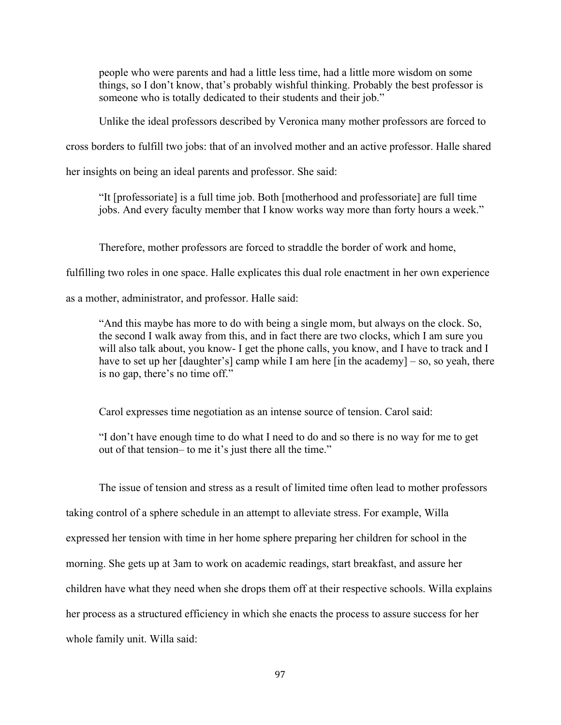people who were parents and had a little less time, had a little more wisdom on some things, so I don't know, that's probably wishful thinking. Probably the best professor is someone who is totally dedicated to their students and their job."

Unlike the ideal professors described by Veronica many mother professors are forced to

cross borders to fulfill two jobs: that of an involved mother and an active professor. Halle shared

her insights on being an ideal parents and professor. She said:

"It [professoriate] is a full time job. Both [motherhood and professoriate] are full time jobs. And every faculty member that I know works way more than forty hours a week."

Therefore, mother professors are forced to straddle the border of work and home,

fulfilling two roles in one space. Halle explicates this dual role enactment in her own experience

as a mother, administrator, and professor. Halle said:

"And this maybe has more to do with being a single mom, but always on the clock. So, the second I walk away from this, and in fact there are two clocks, which I am sure you will also talk about, you know- I get the phone calls, you know, and I have to track and I have to set up her [daughter's] camp while I am here [in the academy] – so, so yeah, there is no gap, there's no time off."

Carol expresses time negotiation as an intense source of tension. Carol said:

"I don't have enough time to do what I need to do and so there is no way for me to get out of that tension– to me it's just there all the time."

The issue of tension and stress as a result of limited time often lead to mother professors taking control of a sphere schedule in an attempt to alleviate stress. For example, Willa expressed her tension with time in her home sphere preparing her children for school in the morning. She gets up at 3am to work on academic readings, start breakfast, and assure her children have what they need when she drops them off at their respective schools. Willa explains her process as a structured efficiency in which she enacts the process to assure success for her whole family unit. Willa said: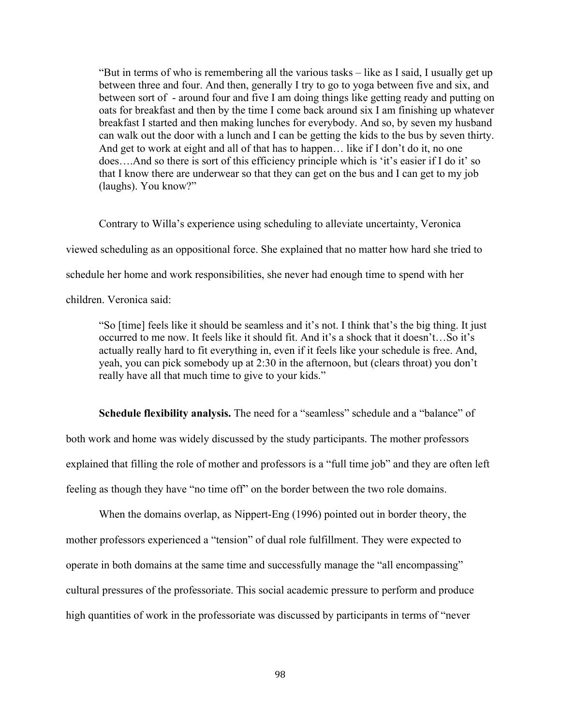"But in terms of who is remembering all the various tasks – like as I said, I usually get up between three and four. And then, generally I try to go to yoga between five and six, and between sort of - around four and five I am doing things like getting ready and putting on oats for breakfast and then by the time I come back around six I am finishing up whatever breakfast I started and then making lunches for everybody. And so, by seven my husband can walk out the door with a lunch and I can be getting the kids to the bus by seven thirty. And get to work at eight and all of that has to happen… like if I don't do it, no one does….And so there is sort of this efficiency principle which is 'it's easier if I do it' so that I know there are underwear so that they can get on the bus and I can get to my job (laughs). You know?"

Contrary to Willa's experience using scheduling to alleviate uncertainty, Veronica viewed scheduling as an oppositional force. She explained that no matter how hard she tried to schedule her home and work responsibilities, she never had enough time to spend with her children. Veronica said:

"So [time] feels like it should be seamless and it's not. I think that's the big thing. It just occurred to me now. It feels like it should fit. And it's a shock that it doesn't…So it's actually really hard to fit everything in, even if it feels like your schedule is free. And, yeah, you can pick somebody up at 2:30 in the afternoon, but (clears throat) you don't really have all that much time to give to your kids."

**Schedule flexibility analysis.** The need for a "seamless" schedule and a "balance" of both work and home was widely discussed by the study participants. The mother professors explained that filling the role of mother and professors is a "full time job" and they are often left feeling as though they have "no time off" on the border between the two role domains.

When the domains overlap, as Nippert-Eng (1996) pointed out in border theory, the mother professors experienced a "tension" of dual role fulfillment. They were expected to operate in both domains at the same time and successfully manage the "all encompassing" cultural pressures of the professoriate. This social academic pressure to perform and produce high quantities of work in the professoriate was discussed by participants in terms of "never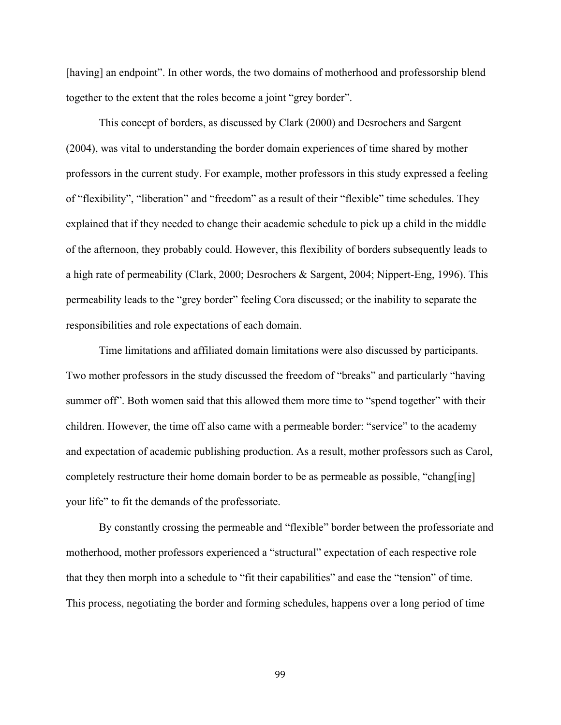[having] an endpoint". In other words, the two domains of motherhood and professorship blend together to the extent that the roles become a joint "grey border".

This concept of borders, as discussed by Clark (2000) and Desrochers and Sargent (2004), was vital to understanding the border domain experiences of time shared by mother professors in the current study. For example, mother professors in this study expressed a feeling of "flexibility", "liberation" and "freedom" as a result of their "flexible" time schedules. They explained that if they needed to change their academic schedule to pick up a child in the middle of the afternoon, they probably could. However, this flexibility of borders subsequently leads to a high rate of permeability (Clark, 2000; Desrochers & Sargent, 2004; Nippert-Eng, 1996). This permeability leads to the "grey border" feeling Cora discussed; or the inability to separate the responsibilities and role expectations of each domain.

Time limitations and affiliated domain limitations were also discussed by participants. Two mother professors in the study discussed the freedom of "breaks" and particularly "having summer off". Both women said that this allowed them more time to "spend together" with their children. However, the time off also came with a permeable border: "service" to the academy and expectation of academic publishing production. As a result, mother professors such as Carol, completely restructure their home domain border to be as permeable as possible, "chang[ing] your life" to fit the demands of the professoriate.

By constantly crossing the permeable and "flexible" border between the professoriate and motherhood, mother professors experienced a "structural" expectation of each respective role that they then morph into a schedule to "fit their capabilities" and ease the "tension" of time. This process, negotiating the border and forming schedules, happens over a long period of time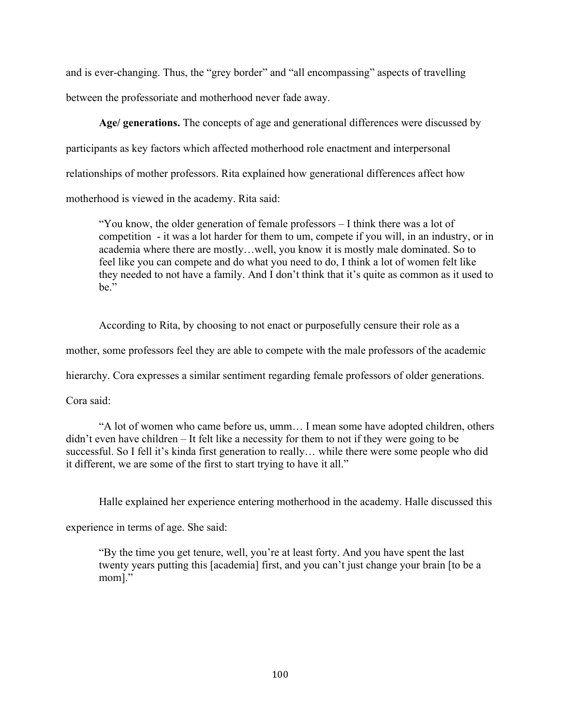and is ever-changing. Thus, the "grey border" and "all encompassing" aspects of travelling between the professoriate and motherhood never fade away.

**Age/ generations.** The concepts of age and generational differences were discussed by participants as key factors which affected motherhood role enactment and interpersonal relationships of mother professors. Rita explained how generational differences affect how motherhood is viewed in the academy. Rita said:

"You know, the older generation of female professors – I think there was a lot of competition - it was a lot harder for them to um, compete if you will, in an industry, or in academia where there are mostly…well, you know it is mostly male dominated. So to feel like you can compete and do what you need to do, I think a lot of women felt like they needed to not have a family. And I don't think that it's quite as common as it used to be."

According to Rita, by choosing to not enact or purposefully censure their role as a

mother, some professors feel they are able to compete with the male professors of the academic

hierarchy. Cora expresses a similar sentiment regarding female professors of older generations.

Cora said:

"A lot of women who came before us, umm… I mean some have adopted children, others didn't even have children – It felt like a necessity for them to not if they were going to be successful. So I fell it's kinda first generation to really… while there were some people who did it different, we are some of the first to start trying to have it all."

Halle explained her experience entering motherhood in the academy. Halle discussed this

experience in terms of age. She said:

"By the time you get tenure, well, you're at least forty. And you have spent the last twenty years putting this [academia] first, and you can't just change your brain [to be a mom]."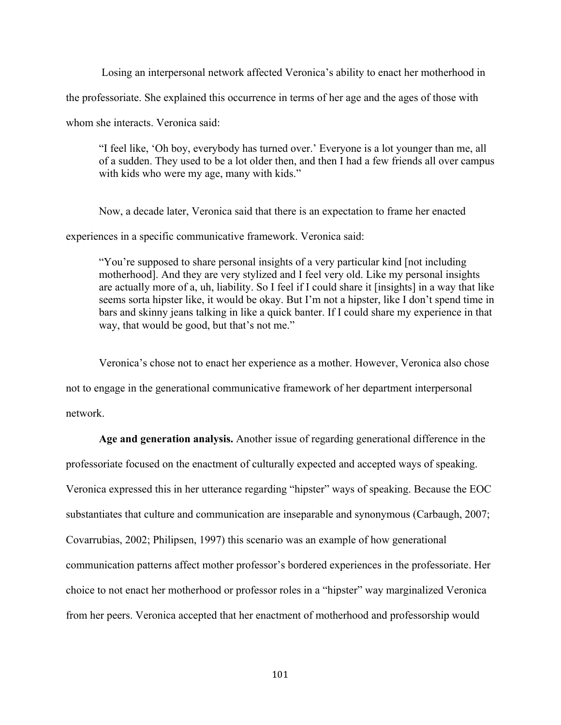Losing an interpersonal network affected Veronica's ability to enact her motherhood in

the professoriate. She explained this occurrence in terms of her age and the ages of those with

whom she interacts. Veronica said:

"I feel like, 'Oh boy, everybody has turned over.' Everyone is a lot younger than me, all of a sudden. They used to be a lot older then, and then I had a few friends all over campus with kids who were my age, many with kids."

Now, a decade later, Veronica said that there is an expectation to frame her enacted

experiences in a specific communicative framework. Veronica said:

"You're supposed to share personal insights of a very particular kind [not including motherhood]. And they are very stylized and I feel very old. Like my personal insights are actually more of a, uh, liability. So I feel if I could share it [insights] in a way that like seems sorta hipster like, it would be okay. But I'm not a hipster, like I don't spend time in bars and skinny jeans talking in like a quick banter. If I could share my experience in that way, that would be good, but that's not me."

Veronica's chose not to enact her experience as a mother. However, Veronica also chose

not to engage in the generational communicative framework of her department interpersonal

network.

**Age and generation analysis.** Another issue of regarding generational difference in the professoriate focused on the enactment of culturally expected and accepted ways of speaking.

Veronica expressed this in her utterance regarding "hipster" ways of speaking. Because the EOC

substantiates that culture and communication are inseparable and synonymous (Carbaugh, 2007;

Covarrubias, 2002; Philipsen, 1997) this scenario was an example of how generational

communication patterns affect mother professor's bordered experiences in the professoriate. Her

choice to not enact her motherhood or professor roles in a "hipster" way marginalized Veronica

from her peers. Veronica accepted that her enactment of motherhood and professorship would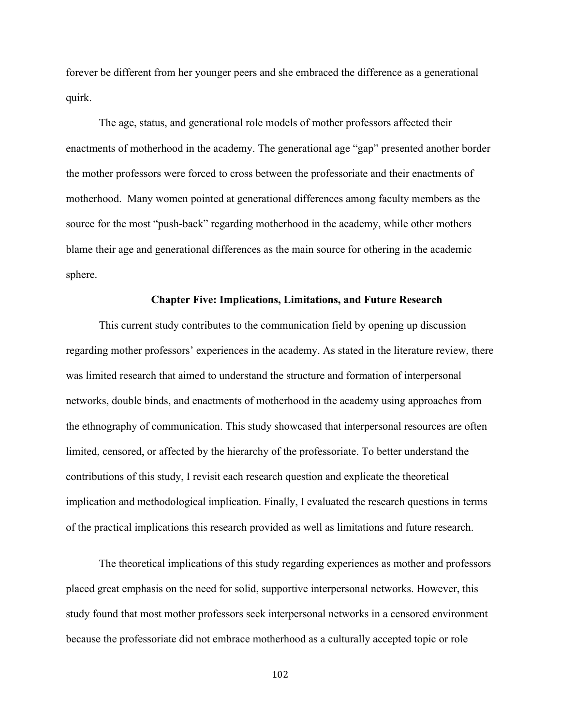forever be different from her younger peers and she embraced the difference as a generational quirk.

The age, status, and generational role models of mother professors affected their enactments of motherhood in the academy. The generational age "gap" presented another border the mother professors were forced to cross between the professoriate and their enactments of motherhood. Many women pointed at generational differences among faculty members as the source for the most "push-back" regarding motherhood in the academy, while other mothers blame their age and generational differences as the main source for othering in the academic sphere.

#### **Chapter Five: Implications, Limitations, and Future Research**

This current study contributes to the communication field by opening up discussion regarding mother professors' experiences in the academy. As stated in the literature review, there was limited research that aimed to understand the structure and formation of interpersonal networks, double binds, and enactments of motherhood in the academy using approaches from the ethnography of communication. This study showcased that interpersonal resources are often limited, censored, or affected by the hierarchy of the professoriate. To better understand the contributions of this study, I revisit each research question and explicate the theoretical implication and methodological implication. Finally, I evaluated the research questions in terms of the practical implications this research provided as well as limitations and future research.

The theoretical implications of this study regarding experiences as mother and professors placed great emphasis on the need for solid, supportive interpersonal networks. However, this study found that most mother professors seek interpersonal networks in a censored environment because the professoriate did not embrace motherhood as a culturally accepted topic or role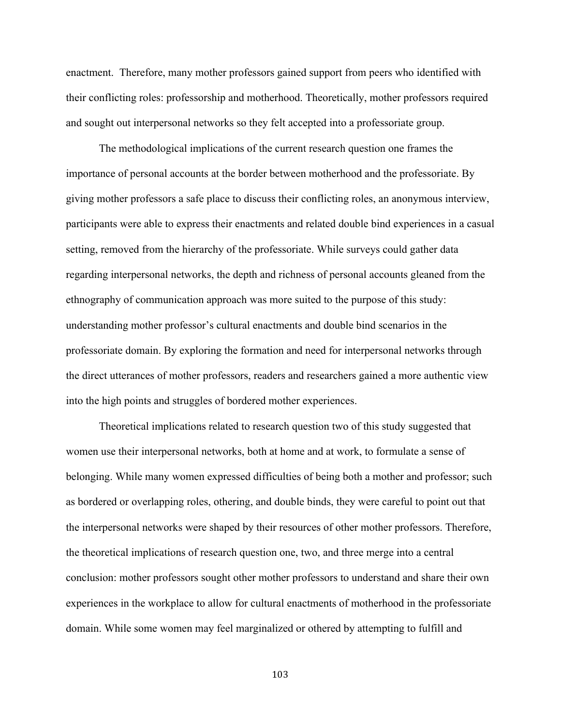enactment. Therefore, many mother professors gained support from peers who identified with their conflicting roles: professorship and motherhood. Theoretically, mother professors required and sought out interpersonal networks so they felt accepted into a professoriate group.

The methodological implications of the current research question one frames the importance of personal accounts at the border between motherhood and the professoriate. By giving mother professors a safe place to discuss their conflicting roles, an anonymous interview, participants were able to express their enactments and related double bind experiences in a casual setting, removed from the hierarchy of the professoriate. While surveys could gather data regarding interpersonal networks, the depth and richness of personal accounts gleaned from the ethnography of communication approach was more suited to the purpose of this study: understanding mother professor's cultural enactments and double bind scenarios in the professoriate domain. By exploring the formation and need for interpersonal networks through the direct utterances of mother professors, readers and researchers gained a more authentic view into the high points and struggles of bordered mother experiences.

Theoretical implications related to research question two of this study suggested that women use their interpersonal networks, both at home and at work, to formulate a sense of belonging. While many women expressed difficulties of being both a mother and professor; such as bordered or overlapping roles, othering, and double binds, they were careful to point out that the interpersonal networks were shaped by their resources of other mother professors. Therefore, the theoretical implications of research question one, two, and three merge into a central conclusion: mother professors sought other mother professors to understand and share their own experiences in the workplace to allow for cultural enactments of motherhood in the professoriate domain. While some women may feel marginalized or othered by attempting to fulfill and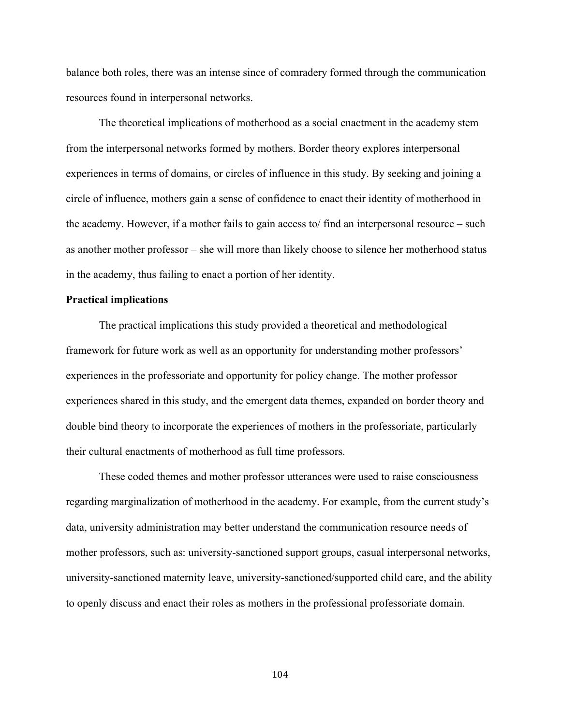balance both roles, there was an intense since of comradery formed through the communication resources found in interpersonal networks.

The theoretical implications of motherhood as a social enactment in the academy stem from the interpersonal networks formed by mothers. Border theory explores interpersonal experiences in terms of domains, or circles of influence in this study. By seeking and joining a circle of influence, mothers gain a sense of confidence to enact their identity of motherhood in the academy. However, if a mother fails to gain access to/ find an interpersonal resource – such as another mother professor – she will more than likely choose to silence her motherhood status in the academy, thus failing to enact a portion of her identity.

#### **Practical implications**

The practical implications this study provided a theoretical and methodological framework for future work as well as an opportunity for understanding mother professors' experiences in the professoriate and opportunity for policy change. The mother professor experiences shared in this study, and the emergent data themes, expanded on border theory and double bind theory to incorporate the experiences of mothers in the professoriate, particularly their cultural enactments of motherhood as full time professors.

These coded themes and mother professor utterances were used to raise consciousness regarding marginalization of motherhood in the academy. For example, from the current study's data, university administration may better understand the communication resource needs of mother professors, such as: university-sanctioned support groups, casual interpersonal networks, university-sanctioned maternity leave, university-sanctioned/supported child care, and the ability to openly discuss and enact their roles as mothers in the professional professoriate domain.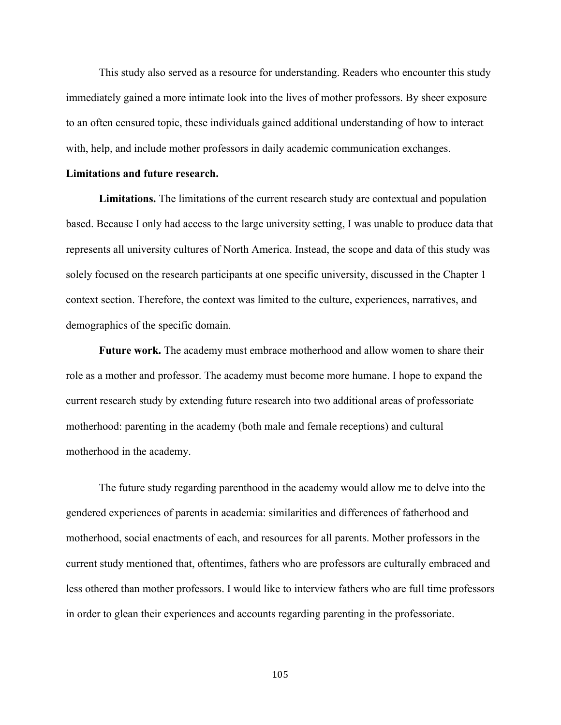This study also served as a resource for understanding. Readers who encounter this study immediately gained a more intimate look into the lives of mother professors. By sheer exposure to an often censured topic, these individuals gained additional understanding of how to interact with, help, and include mother professors in daily academic communication exchanges.

#### **Limitations and future research.**

**Limitations.** The limitations of the current research study are contextual and population based. Because I only had access to the large university setting, I was unable to produce data that represents all university cultures of North America. Instead, the scope and data of this study was solely focused on the research participants at one specific university, discussed in the Chapter 1 context section. Therefore, the context was limited to the culture, experiences, narratives, and demographics of the specific domain.

**Future work.** The academy must embrace motherhood and allow women to share their role as a mother and professor. The academy must become more humane. I hope to expand the current research study by extending future research into two additional areas of professoriate motherhood: parenting in the academy (both male and female receptions) and cultural motherhood in the academy.

The future study regarding parenthood in the academy would allow me to delve into the gendered experiences of parents in academia: similarities and differences of fatherhood and motherhood, social enactments of each, and resources for all parents. Mother professors in the current study mentioned that, oftentimes, fathers who are professors are culturally embraced and less othered than mother professors. I would like to interview fathers who are full time professors in order to glean their experiences and accounts regarding parenting in the professoriate.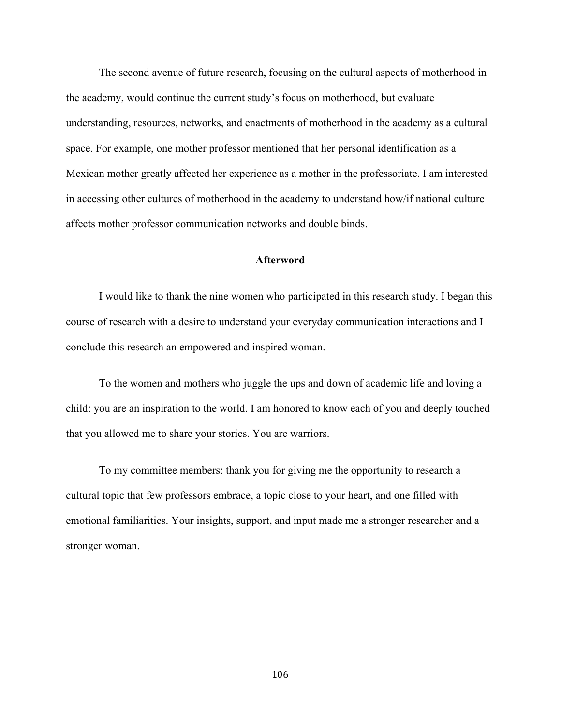The second avenue of future research, focusing on the cultural aspects of motherhood in the academy, would continue the current study's focus on motherhood, but evaluate understanding, resources, networks, and enactments of motherhood in the academy as a cultural space. For example, one mother professor mentioned that her personal identification as a Mexican mother greatly affected her experience as a mother in the professoriate. I am interested in accessing other cultures of motherhood in the academy to understand how/if national culture affects mother professor communication networks and double binds.

#### **Afterword**

I would like to thank the nine women who participated in this research study. I began this course of research with a desire to understand your everyday communication interactions and I conclude this research an empowered and inspired woman.

To the women and mothers who juggle the ups and down of academic life and loving a child: you are an inspiration to the world. I am honored to know each of you and deeply touched that you allowed me to share your stories. You are warriors.

To my committee members: thank you for giving me the opportunity to research a cultural topic that few professors embrace, a topic close to your heart, and one filled with emotional familiarities. Your insights, support, and input made me a stronger researcher and a stronger woman.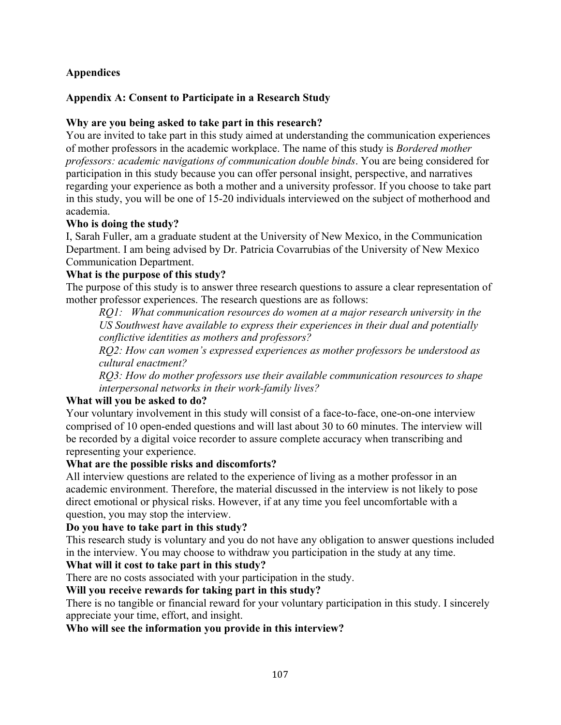# **Appendices**

## **Appendix A: Consent to Participate in a Research Study**

## **Why are you being asked to take part in this research?**

You are invited to take part in this study aimed at understanding the communication experiences of mother professors in the academic workplace. The name of this study is *Bordered mother professors: academic navigations of communication double binds*. You are being considered for participation in this study because you can offer personal insight, perspective, and narratives regarding your experience as both a mother and a university professor. If you choose to take part in this study, you will be one of 15-20 individuals interviewed on the subject of motherhood and academia.

### **Who is doing the study?**

I, Sarah Fuller, am a graduate student at the University of New Mexico, in the Communication Department. I am being advised by Dr. Patricia Covarrubias of the University of New Mexico Communication Department.

### **What is the purpose of this study?**

The purpose of this study is to answer three research questions to assure a clear representation of mother professor experiences. The research questions are as follows:

*RQ1: What communication resources do women at a major research university in the US Southwest have available to express their experiences in their dual and potentially conflictive identities as mothers and professors?*

*RQ2: How can women's expressed experiences as mother professors be understood as cultural enactment?*

*RQ3: How do mother professors use their available communication resources to shape interpersonal networks in their work-family lives?*

### **What will you be asked to do?**

Your voluntary involvement in this study will consist of a face-to-face, one-on-one interview comprised of 10 open-ended questions and will last about 30 to 60 minutes. The interview will be recorded by a digital voice recorder to assure complete accuracy when transcribing and representing your experience.

### **What are the possible risks and discomforts?**

All interview questions are related to the experience of living as a mother professor in an academic environment. Therefore, the material discussed in the interview is not likely to pose direct emotional or physical risks. However, if at any time you feel uncomfortable with a question, you may stop the interview.

### **Do you have to take part in this study?**

This research study is voluntary and you do not have any obligation to answer questions included in the interview. You may choose to withdraw you participation in the study at any time.

### **What will it cost to take part in this study?**

There are no costs associated with your participation in the study.

### **Will you receive rewards for taking part in this study?**

There is no tangible or financial reward for your voluntary participation in this study. I sincerely appreciate your time, effort, and insight.

**Who will see the information you provide in this interview?**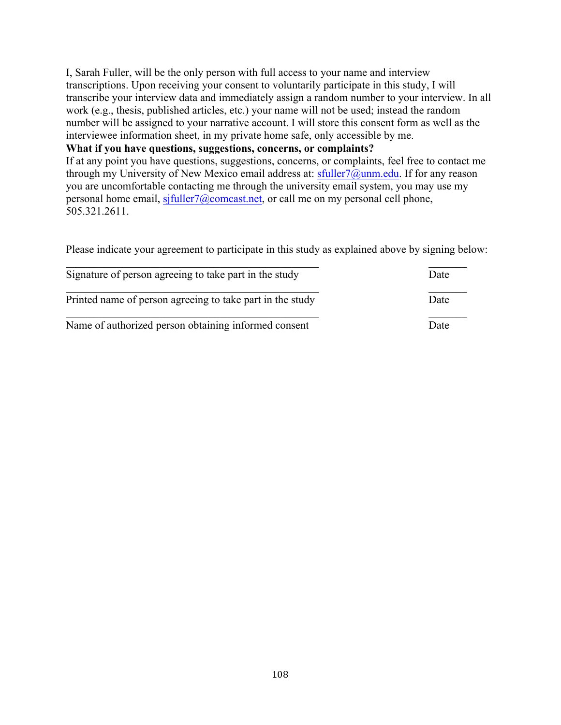I, Sarah Fuller, will be the only person with full access to your name and interview transcriptions. Upon receiving your consent to voluntarily participate in this study, I will transcribe your interview data and immediately assign a random number to your interview. In all work (e.g., thesis, published articles, etc.) your name will not be used; instead the random number will be assigned to your narrative account. I will store this consent form as well as the interviewee information sheet, in my private home safe, only accessible by me.

#### **What if you have questions, suggestions, concerns, or complaints?**

If at any point you have questions, suggestions, concerns, or complaints, feel free to contact me through my University of New Mexico email address at: sfuller7@unm.edu. If for any reason you are uncomfortable contacting me through the university email system, you may use my personal home email, sjfuller7@comcast.net, or call me on my personal cell phone, 505.321.2611.

Please indicate your agreement to participate in this study as explained above by signing below:

| Signature of person agreeing to take part in the study    | Date |
|-----------------------------------------------------------|------|
| Printed name of person agreeing to take part in the study | Date |
| Name of authorized person obtaining informed consent      | Date |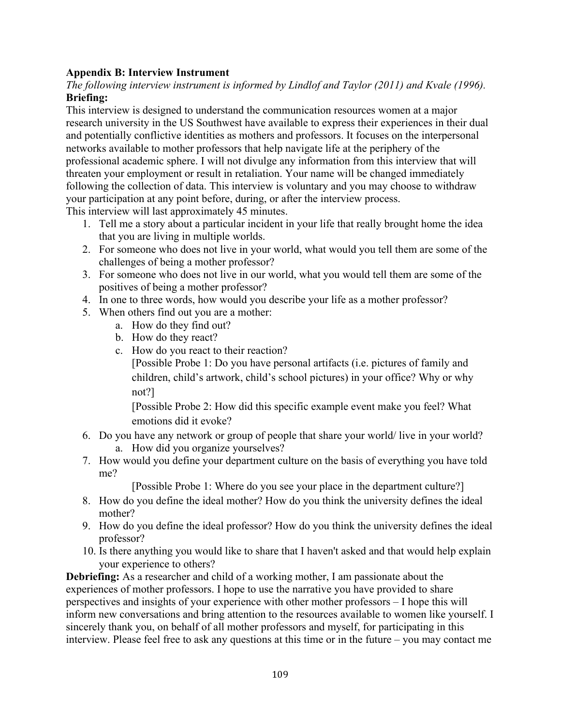# **Appendix B: Interview Instrument**

*The following interview instrument is informed by Lindlof and Taylor (2011) and Kvale (1996).* **Briefing:**

This interview is designed to understand the communication resources women at a major research university in the US Southwest have available to express their experiences in their dual and potentially conflictive identities as mothers and professors. It focuses on the interpersonal networks available to mother professors that help navigate life at the periphery of the professional academic sphere. I will not divulge any information from this interview that will threaten your employment or result in retaliation. Your name will be changed immediately following the collection of data. This interview is voluntary and you may choose to withdraw your participation at any point before, during, or after the interview process.

This interview will last approximately 45 minutes.

- 1. Tell me a story about a particular incident in your life that really brought home the idea that you are living in multiple worlds.
- 2. For someone who does not live in your world, what would you tell them are some of the challenges of being a mother professor?
- 3. For someone who does not live in our world, what you would tell them are some of the positives of being a mother professor?
- 4. In one to three words, how would you describe your life as a mother professor?
- 5. When others find out you are a mother:
	- a. How do they find out?
	- b. How do they react?
	- c. How do you react to their reaction?

[Possible Probe 1: Do you have personal artifacts (i.e. pictures of family and children, child's artwork, child's school pictures) in your office? Why or why not?]

[Possible Probe 2: How did this specific example event make you feel? What emotions did it evoke?

- 6. Do you have any network or group of people that share your world/ live in your world? a. How did you organize yourselves?
- 7. How would you define your department culture on the basis of everything you have told me?

[Possible Probe 1: Where do you see your place in the department culture?]

- 8. How do you define the ideal mother? How do you think the university defines the ideal mother?
- 9. How do you define the ideal professor? How do you think the university defines the ideal professor?
- 10. Is there anything you would like to share that I haven't asked and that would help explain your experience to others?

**Debriefing:** As a researcher and child of a working mother, I am passionate about the experiences of mother professors. I hope to use the narrative you have provided to share perspectives and insights of your experience with other mother professors – I hope this will inform new conversations and bring attention to the resources available to women like yourself. I sincerely thank you, on behalf of all mother professors and myself, for participating in this interview. Please feel free to ask any questions at this time or in the future – you may contact me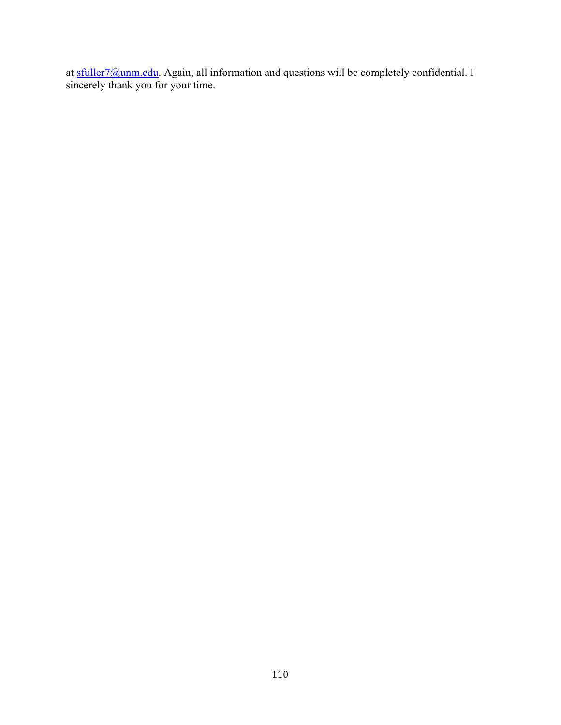at sfuller7@unm.edu. Again, all information and questions will be completely confidential. I sincerely thank you for your time.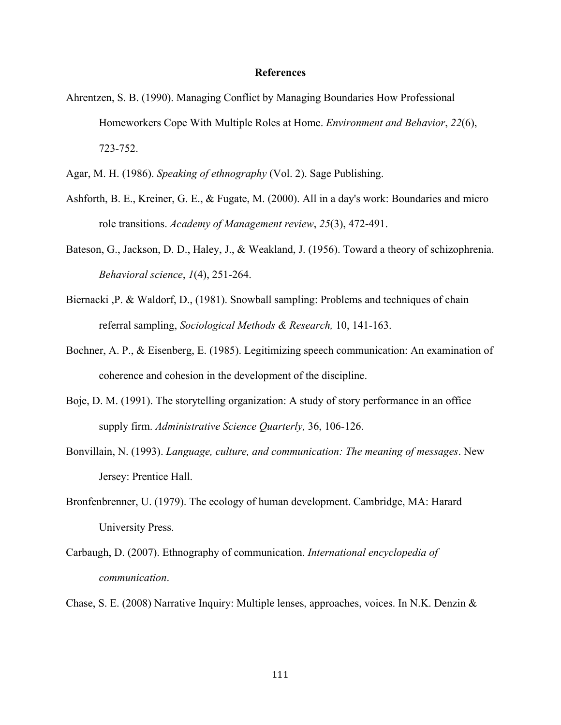#### **References**

- Ahrentzen, S. B. (1990). Managing Conflict by Managing Boundaries How Professional Homeworkers Cope With Multiple Roles at Home. *Environment and Behavior*, *22*(6), 723-752.
- Agar, M. H. (1986). *Speaking of ethnography* (Vol. 2). Sage Publishing.
- Ashforth, B. E., Kreiner, G. E., & Fugate, M. (2000). All in a day's work: Boundaries and micro role transitions. *Academy of Management review*, *25*(3), 472-491.
- Bateson, G., Jackson, D. D., Haley, J., & Weakland, J. (1956). Toward a theory of schizophrenia. *Behavioral science*, *1*(4), 251-264.
- Biernacki ,P. & Waldorf, D., (1981). Snowball sampling: Problems and techniques of chain referral sampling, *Sociological Methods & Research,* 10, 141-163.
- Bochner, A. P., & Eisenberg, E. (1985). Legitimizing speech communication: An examination of coherence and cohesion in the development of the discipline.
- Boje, D. M. (1991). The storytelling organization: A study of story performance in an office supply firm. *Administrative Science Quarterly,* 36, 106-126.
- Bonvillain, N. (1993). *Language, culture, and communication: The meaning of messages*. New Jersey: Prentice Hall.
- Bronfenbrenner, U. (1979). The ecology of human development. Cambridge, MA: Harard University Press.
- Carbaugh, D. (2007). Ethnography of communication. *International encyclopedia of communication*.
- Chase, S. E. (2008) Narrative Inquiry: Multiple lenses, approaches, voices. In N.K. Denzin &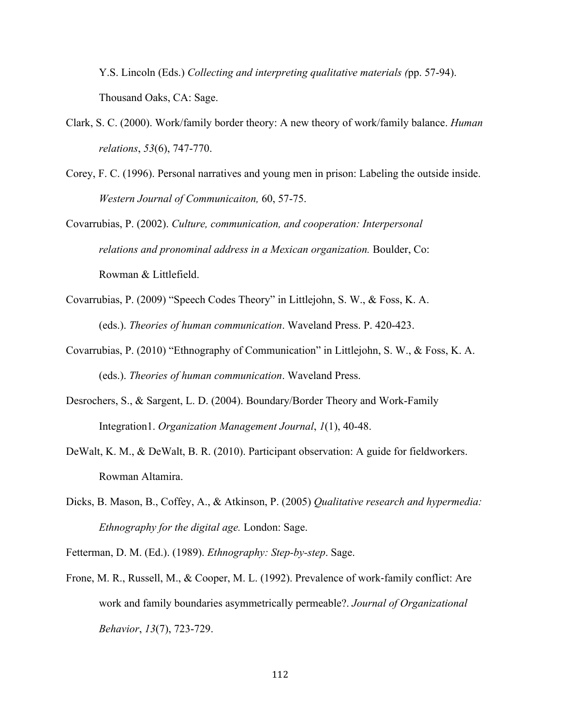Y.S. Lincoln (Eds.) *Collecting and interpreting qualitative materials (*pp. 57-94). Thousand Oaks, CA: Sage.

- Clark, S. C. (2000). Work/family border theory: A new theory of work/family balance. *Human relations*, *53*(6), 747-770.
- Corey, F. C. (1996). Personal narratives and young men in prison: Labeling the outside inside. *Western Journal of Communicaiton,* 60, 57-75.
- Covarrubias, P. (2002). *Culture, communication, and cooperation: Interpersonal relations and pronominal address in a Mexican organization.* Boulder, Co: Rowman & Littlefield.
- Covarrubias, P. (2009) "Speech Codes Theory" in Littlejohn, S. W., & Foss, K. A. (eds.). *Theories of human communication*. Waveland Press. P. 420-423.
- Covarrubias, P. (2010) "Ethnography of Communication" in Littlejohn, S. W., & Foss, K. A. (eds.). *Theories of human communication*. Waveland Press.
- Desrochers, S., & Sargent, L. D. (2004). Boundary/Border Theory and Work-Family Integration1. *Organization Management Journal*, *1*(1), 40-48.
- DeWalt, K. M., & DeWalt, B. R. (2010). Participant observation: A guide for fieldworkers. Rowman Altamira.
- Dicks, B. Mason, B., Coffey, A., & Atkinson, P. (2005) *Qualitative research and hypermedia: Ethnography for the digital age.* London: Sage.
- Fetterman, D. M. (Ed.). (1989). *Ethnography: Step-by-step*. Sage.
- Frone, M. R., Russell, M., & Cooper, M. L. (1992). Prevalence of work-family conflict: Are work and family boundaries asymmetrically permeable?. *Journal of Organizational Behavior*, *13*(7), 723-729.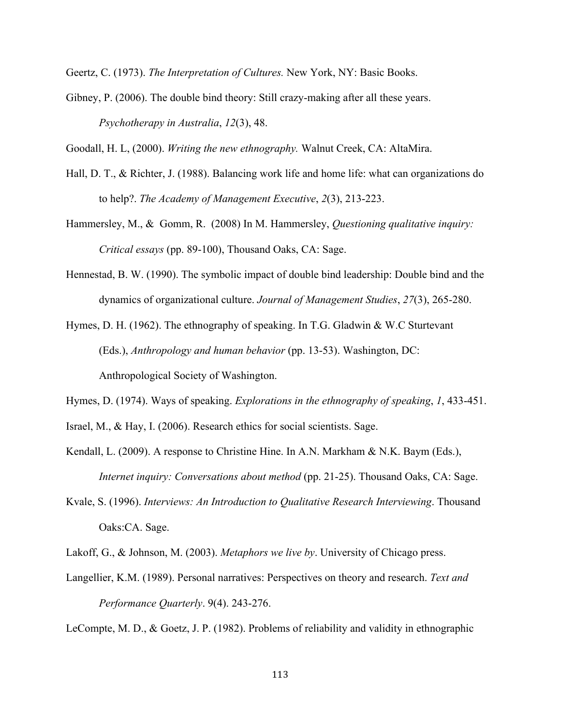Geertz, C. (1973). *The Interpretation of Cultures.* New York, NY: Basic Books.

Gibney, P. (2006). The double bind theory: Still crazy-making after all these years. *Psychotherapy in Australia*, *12*(3), 48.

Goodall, H. L, (2000). *Writing the new ethnography.* Walnut Creek, CA: AltaMira.

- Hall, D. T., & Richter, J. (1988). Balancing work life and home life: what can organizations do to help?. *The Academy of Management Executive*, *2*(3), 213-223.
- Hammersley, M., & Gomm, R. (2008) In M. Hammersley, *Questioning qualitative inquiry: Critical essays* (pp. 89-100), Thousand Oaks, CA: Sage.
- Hennestad, B. W. (1990). The symbolic impact of double bind leadership: Double bind and the dynamics of organizational culture. *Journal of Management Studies*, *27*(3), 265-280.

Hymes, D. H. (1962). The ethnography of speaking. In T.G. Gladwin & W.C Sturtevant (Eds.), *Anthropology and human behavior* (pp. 13-53). Washington, DC: Anthropological Society of Washington.

Hymes, D. (1974). Ways of speaking. *Explorations in the ethnography of speaking*, *1*, 433-451.

Israel, M., & Hay, I. (2006). Research ethics for social scientists. Sage.

- Kendall, L. (2009). A response to Christine Hine. In A.N. Markham & N.K. Baym (Eds.), *Internet inquiry: Conversations about method* (pp. 21-25). Thousand Oaks, CA: Sage.
- Kvale, S. (1996). *Interviews: An Introduction to Qualitative Research Interviewing*. Thousand Oaks:CA. Sage.
- Lakoff, G., & Johnson, M. (2003). *Metaphors we live by*. University of Chicago press.
- Langellier, K.M. (1989). Personal narratives: Perspectives on theory and research. *Text and Performance Quarterly*. 9(4). 243-276.

LeCompte, M. D., & Goetz, J. P. (1982). Problems of reliability and validity in ethnographic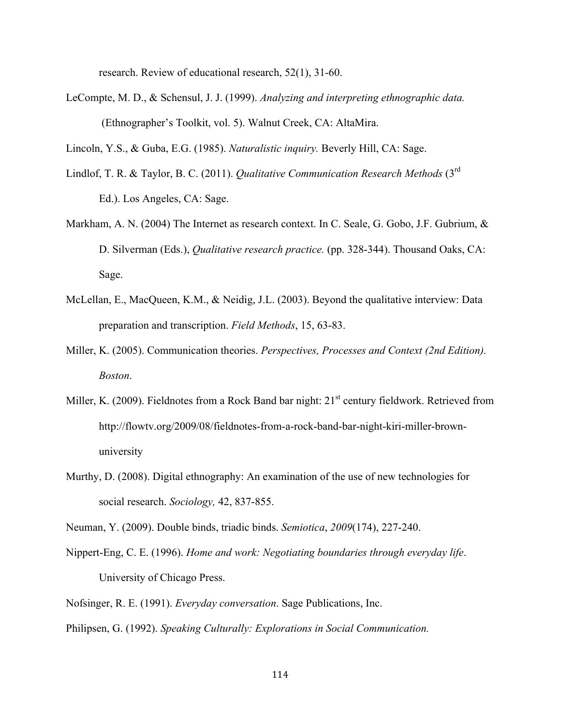research. Review of educational research, 52(1), 31-60.

LeCompte, M. D., & Schensul, J. J. (1999). *Analyzing and interpreting ethnographic data.* (Ethnographer's Toolkit, vol. 5). Walnut Creek, CA: AltaMira.

Lincoln, Y.S., & Guba, E.G. (1985). *Naturalistic inquiry.* Beverly Hill, CA: Sage.

- Lindlof, T. R. & Taylor, B. C. (2011). *Qualitative Communication Research Methods* (3rd Ed.). Los Angeles, CA: Sage.
- Markham, A. N. (2004) The Internet as research context. In C. Seale, G. Gobo, J.F. Gubrium, & D. Silverman (Eds.), *Qualitative research practice.* (pp. 328-344). Thousand Oaks, CA: Sage.
- McLellan, E., MacQueen, K.M., & Neidig, J.L. (2003). Beyond the qualitative interview: Data preparation and transcription. *Field Methods*, 15, 63-83.
- Miller, K. (2005). Communication theories. *Perspectives, Processes and Context (2nd Edition). Boston*.
- Miller, K. (2009). Fieldnotes from a Rock Band bar night: 21<sup>st</sup> century fieldwork. Retrieved from http://flowtv.org/2009/08/fieldnotes-from-a-rock-band-bar-night-kiri-miller-brownuniversity
- Murthy, D. (2008). Digital ethnography: An examination of the use of new technologies for social research. *Sociology,* 42, 837-855.

Neuman, Y. (2009). Double binds, triadic binds. *Semiotica*, *2009*(174), 227-240.

- Nippert-Eng, C. E. (1996). *Home and work: Negotiating boundaries through everyday life*. University of Chicago Press.
- Nofsinger, R. E. (1991). *Everyday conversation*. Sage Publications, Inc.

Philipsen, G. (1992). *Speaking Culturally: Explorations in Social Communication.*